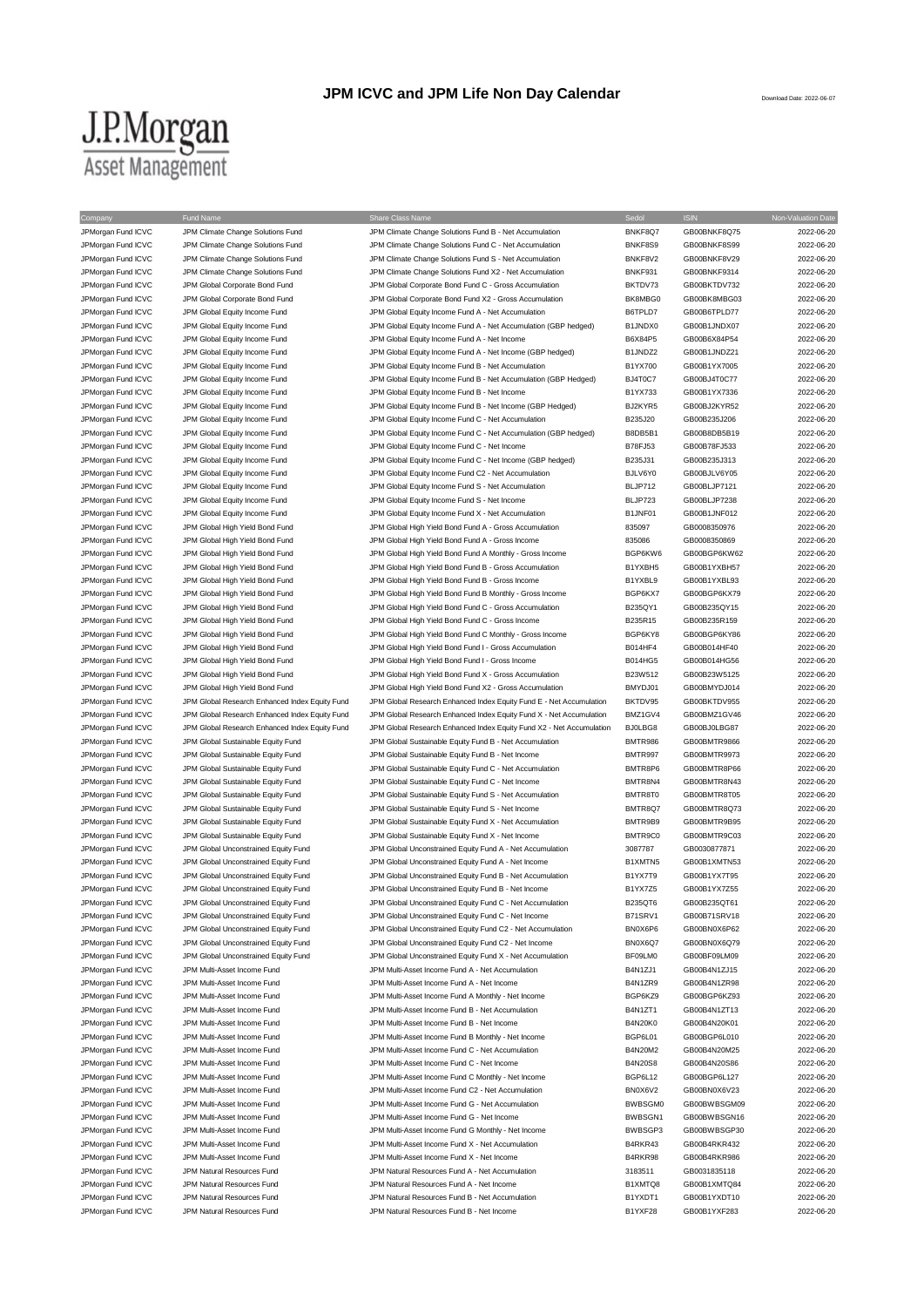## **JPM ICVC and JPM Life Non Day Calendar**

## $\underbrace{\text{J.P.}Morgan}_{\text{Asset Management}}$

| Company                                  | Fund Name                                                                | Share Class Name                                                                                                 | Sedol              | <b>ISIN</b>                  | Non-Valuation Date       |
|------------------------------------------|--------------------------------------------------------------------------|------------------------------------------------------------------------------------------------------------------|--------------------|------------------------------|--------------------------|
| JPMorgan Fund ICVC                       | JPM Climate Change Solutions Fund                                        | JPM Climate Change Solutions Fund B - Net Accumulation                                                           | BNKF8Q7            | GB00BNKF8Q75                 | 2022-06-20               |
| JPMorgan Fund ICVC<br>JPMorgan Fund ICVC | JPM Climate Change Solutions Fund<br>JPM Climate Change Solutions Fund   | JPM Climate Change Solutions Fund C - Net Accumulation<br>JPM Climate Change Solutions Fund S - Net Accumulation | BNKF8S9<br>BNKF8V2 | GB00BNKF8S99<br>GB00BNKF8V29 | 2022-06-20<br>2022-06-20 |
| JPMorgan Fund ICVC                       | JPM Climate Change Solutions Fund                                        | JPM Climate Change Solutions Fund X2 - Net Accumulation                                                          | BNKF931            | GB00BNKF9314                 | 2022-06-20               |
| JPMorgan Fund ICVC                       | JPM Global Corporate Bond Fund                                           | JPM Global Corporate Bond Fund C - Gross Accumulation                                                            | BKTDV73            | GB00BKTDV732                 | 2022-06-20               |
| JPMorgan Fund ICVC                       | JPM Global Corporate Bond Fund                                           | JPM Global Corporate Bond Fund X2 - Gross Accumulation                                                           | BK8MBG0            | GB00BK8MBG03                 | 2022-06-20               |
| JPMorgan Fund ICVC                       | JPM Global Equity Income Fund                                            | JPM Global Equity Income Fund A - Net Accumulation                                                               | B6TPLD7            | GB00B6TPLD77                 | 2022-06-20               |
| JPMorgan Fund ICVC                       | JPM Global Equity Income Fund                                            | JPM Global Equity Income Fund A - Net Accumulation (GBP hedged)                                                  | B1JNDX0            | GB00B1JNDX07                 | 2022-06-20               |
| JPMorgan Fund ICVC                       | JPM Global Equity Income Fund                                            | JPM Global Equity Income Fund A - Net Income                                                                     | B6X84P5            | GB00B6X84P54                 | 2022-06-20               |
| JPMorgan Fund ICVC                       | JPM Global Equity Income Fund                                            | JPM Global Equity Income Fund A - Net Income (GBP hedged)                                                        | B1JNDZ2            | GB00B1JNDZ21                 | 2022-06-20               |
| JPMorgan Fund ICVC                       | JPM Global Equity Income Fund                                            | JPM Global Equity Income Fund B - Net Accumulation                                                               | B1YX700            | GB00B1YX7005                 | 2022-06-20               |
| JPMorgan Fund ICVC                       | JPM Global Equity Income Fund                                            | JPM Global Equity Income Fund B - Net Accumulation (GBP Hedged)                                                  | BJ4T0C7            | GB00BJ4T0C77                 | 2022-06-20               |
| JPMorgan Fund ICVC                       | JPM Global Equity Income Fund                                            | JPM Global Equity Income Fund B - Net Income                                                                     | B1YX733            | GB00B1YX7336                 | 2022-06-20               |
| JPMorgan Fund ICVC                       | JPM Global Equity Income Fund                                            | JPM Global Equity Income Fund B - Net Income (GBP Hedged)                                                        | BJ2KYR5            | GB00BJ2KYR52                 | 2022-06-20               |
| JPMorgan Fund ICVC                       | JPM Global Equity Income Fund                                            | JPM Global Equity Income Fund C - Net Accumulation                                                               | B235J20            | GB00B235J206                 | 2022-06-20               |
| JPMorgan Fund ICVC                       | JPM Global Equity Income Fund                                            | JPM Global Equity Income Fund C - Net Accumulation (GBP hedged)                                                  | B8DB5B1            | GB00B8DB5B19                 | 2022-06-20               |
| JPMorgan Fund ICVC                       | JPM Global Equity Income Fund                                            | JPM Global Equity Income Fund C - Net Income                                                                     | B78FJ53            | GB00B78FJ533                 | 2022-06-20               |
| JPMorgan Fund ICVC                       | JPM Global Equity Income Fund                                            | JPM Global Equity Income Fund C - Net Income (GBP hedged)                                                        | B235J31            | GB00B235J313                 | 2022-06-20               |
| JPMorgan Fund ICVC                       | JPM Global Equity Income Fund                                            | JPM Global Equity Income Fund C2 - Net Accumulation                                                              | BJLV6Y0            | GB00BJLV6Y05                 | 2022-06-20               |
| JPMorgan Fund ICVC                       | JPM Global Equity Income Fund                                            | JPM Global Equity Income Fund S - Net Accumulation                                                               | BLJP712            | GB00BLJP7121                 | 2022-06-20               |
| JPMorgan Fund ICVC<br>JPMorgan Fund ICVC | JPM Global Equity Income Fund<br>JPM Global Equity Income Fund           | JPM Global Equity Income Fund S - Net Income<br>JPM Global Equity Income Fund X - Net Accumulation               | BLJP723<br>B1JNF01 | GB00BLJP7238<br>GB00B1JNF012 | 2022-06-20<br>2022-06-20 |
| JPMorgan Fund ICVC                       | JPM Global High Yield Bond Fund                                          | JPM Global High Yield Bond Fund A - Gross Accumulation                                                           | 835097             | GB0008350976                 | 2022-06-20               |
| JPMorgan Fund ICVC                       | JPM Global High Yield Bond Fund                                          | JPM Global High Yield Bond Fund A - Gross Income                                                                 | 835086             | GB0008350869                 | 2022-06-20               |
| JPMorgan Fund ICVC                       | JPM Global High Yield Bond Fund                                          | JPM Global High Yield Bond Fund A Monthly - Gross Income                                                         | BGP6KW6            | GB00BGP6KW62                 | 2022-06-20               |
| JPMorgan Fund ICVC                       | JPM Global High Yield Bond Fund                                          | JPM Global High Yield Bond Fund B - Gross Accumulation                                                           | B1YXBH5            | GB00B1YXBH57                 | 2022-06-20               |
| JPMorgan Fund ICVC                       | JPM Global High Yield Bond Fund                                          | JPM Global High Yield Bond Fund B - Gross Income                                                                 | B1YXBL9            | GB00B1YXBL93                 | 2022-06-20               |
| JPMorgan Fund ICVC                       | JPM Global High Yield Bond Fund                                          | JPM Global High Yield Bond Fund B Monthly - Gross Income                                                         | BGP6KX7            | GB00BGP6KX79                 | 2022-06-20               |
| JPMorgan Fund ICVC                       | JPM Global High Yield Bond Fund                                          | JPM Global High Yield Bond Fund C - Gross Accumulation                                                           | B235QY1            | GB00B235QY15                 | 2022-06-20               |
| JPMorgan Fund ICVC                       | JPM Global High Yield Bond Fund                                          | JPM Global High Yield Bond Fund C - Gross Income                                                                 | B235R15            | GB00B235R159                 | 2022-06-20               |
| JPMorgan Fund ICVC                       | JPM Global High Yield Bond Fund                                          | JPM Global High Yield Bond Fund C Monthly - Gross Income                                                         | BGP6KY8            | GB00BGP6KY86                 | 2022-06-20               |
| JPMorgan Fund ICVC                       | JPM Global High Yield Bond Fund                                          | JPM Global High Yield Bond Fund I - Gross Accumulation                                                           | B014HF4            | GB00B014HF40                 | 2022-06-20               |
| JPMorgan Fund ICVC                       | JPM Global High Yield Bond Fund                                          | JPM Global High Yield Bond Fund I - Gross Income                                                                 | B014HG5            | GB00B014HG56                 | 2022-06-20               |
| JPMorgan Fund ICVC                       | JPM Global High Yield Bond Fund                                          | JPM Global High Yield Bond Fund X - Gross Accumulation                                                           | B23W512            | GB00B23W5125                 | 2022-06-20               |
| JPMorgan Fund ICVC                       | JPM Global High Yield Bond Fund                                          | JPM Global High Yield Bond Fund X2 - Gross Accumulation                                                          | BMYDJ01            | GB00BMYDJ014                 | 2022-06-20               |
| JPMorgan Fund ICVC                       | JPM Global Research Enhanced Index Equity Fund                           | JPM Global Research Enhanced Index Equity Fund E - Net Accumulation                                              | BKTDV95            | GB00BKTDV955                 | 2022-06-20               |
| JPMorgan Fund ICVC                       | JPM Global Research Enhanced Index Equity Fund                           | JPM Global Research Enhanced Index Equity Fund X - Net Accumulation                                              | BMZ1GV4            | GB00BMZ1GV46                 | 2022-06-20               |
| JPMorgan Fund ICVC                       | JPM Global Research Enhanced Index Equity Fund                           | JPM Global Research Enhanced Index Equity Fund X2 - Net Accumulation                                             | BJ0LBG8            | GB00BJ0LBG87                 | 2022-06-20               |
| JPMorgan Fund ICVC                       | JPM Global Sustainable Equity Fund                                       | JPM Global Sustainable Equity Fund B - Net Accumulation                                                          | <b>BMTR986</b>     | GB00BMTR9866                 | 2022-06-20               |
| JPMorgan Fund ICVC                       | JPM Global Sustainable Equity Fund                                       | JPM Global Sustainable Equity Fund B - Net Income                                                                | BMTR997            | GB00BMTR9973                 | 2022-06-20               |
| JPMorgan Fund ICVC                       | JPM Global Sustainable Equity Fund                                       | JPM Global Sustainable Equity Fund C - Net Accumulation                                                          | BMTR8P6            | GB00BMTR8P66                 | 2022-06-20               |
| JPMorgan Fund ICVC                       | JPM Global Sustainable Equity Fund                                       | JPM Global Sustainable Equity Fund C - Net Income                                                                | BMTR8N4            | GB00BMTR8N43                 | 2022-06-20               |
| JPMorgan Fund ICVC<br>JPMorgan Fund ICVC | JPM Global Sustainable Equity Fund<br>JPM Global Sustainable Equity Fund | JPM Global Sustainable Equity Fund S - Net Accumulation<br>JPM Global Sustainable Equity Fund S - Net Income     | BMTR8T0<br>BMTR8Q7 | GB00BMTR8T05<br>GB00BMTR8Q73 | 2022-06-20<br>2022-06-20 |
| JPMorgan Fund ICVC                       | JPM Global Sustainable Equity Fund                                       | JPM Global Sustainable Equity Fund X - Net Accumulation                                                          | BMTR9B9            | GB00BMTR9B95                 | 2022-06-20               |
| JPMorgan Fund ICVC                       | JPM Global Sustainable Equity Fund                                       | JPM Global Sustainable Equity Fund X - Net Income                                                                | BMTR9C0            | GB00BMTR9C03                 | 2022-06-20               |
| JPMorgan Fund ICVC                       | JPM Global Unconstrained Equity Fund                                     | JPM Global Unconstrained Equity Fund A - Net Accumulation                                                        | 3087787            | GB0030877871                 | 2022-06-20               |
| JPMorgan Fund ICVC                       | JPM Global Unconstrained Equity Fund                                     | JPM Global Unconstrained Equity Fund A - Net Income                                                              | B1XMTN5            | GB00B1XMTN53                 | 2022-06-20               |
| JPMorgan Fund ICVC                       | JPM Global Unconstrained Equity Fund                                     | JPM Global Unconstrained Equity Fund B - Net Accumulation                                                        | B1YX7T9            | GB00B1YX7T95                 | 2022-06-20               |
| JPMorgan Fund ICVC                       | JPM Global Unconstrained Equity Fund                                     | JPM Global Unconstrained Equity Fund B - Net Income                                                              | B1YX7Z5            | GB00B1YX7Z55                 | 2022-06-20               |
| JPMorgan Fund ICVC                       | JPM Global Unconstrained Equity Fund                                     | JPM Global Unconstrained Equity Fund C - Net Accumulation                                                        | B235QT6            | GB00B235QT61                 | 2022-06-20               |
| JPMorgan Fund ICVC                       | JPM Global Unconstrained Equity Fund                                     | JPM Global Unconstrained Equity Fund C - Net Income                                                              | B71SRV1            | GB00B71SRV18                 | 2022-06-20               |
| JPMorgan Fund ICVC                       | JPM Global Unconstrained Equity Fund                                     | JPM Global Unconstrained Equity Fund C2 - Net Accumulation                                                       | BN0X6P6            | GB00BN0X6P62                 | 2022-06-20               |
| JPMorgan Fund ICVC                       | JPM Global Unconstrained Equity Fund                                     | JPM Global Unconstrained Equity Fund C2 - Net Income                                                             | BN0X6Q7            | GB00BN0X6Q79                 | 2022-06-20               |
| JPMorgan Fund ICVC                       | JPM Global Unconstrained Equity Fund                                     | JPM Global Unconstrained Equity Fund X - Net Accumulation                                                        | BF09LM0            | GB00BF09LM09                 | 2022-06-20               |
| JPMorgan Fund ICVC                       | JPM Multi-Asset Income Fund                                              | JPM Multi-Asset Income Fund A - Net Accumulation                                                                 | B4N1ZJ1            | GB00B4N1ZJ15                 | 2022-06-20               |
| JPMorgan Fund ICVC                       | JPM Multi-Asset Income Fund                                              | JPM Multi-Asset Income Fund A - Net Income                                                                       | B4N1ZR9            | GB00B4N1ZR98                 | 2022-06-20               |
| JPMorgan Fund ICVC                       | JPM Multi-Asset Income Fund                                              | JPM Multi-Asset Income Fund A Monthly - Net Income                                                               | BGP6KZ9            | GB00BGP6KZ93                 | 2022-06-20               |
| JPMorgan Fund ICVC                       | JPM Multi-Asset Income Fund                                              | JPM Multi-Asset Income Fund B - Net Accumulation                                                                 | B4N1ZT1            | GB00B4N1ZT13                 | 2022-06-20               |
| JPMorgan Fund ICVC                       | JPM Multi-Asset Income Fund                                              | JPM Multi-Asset Income Fund B - Net Income                                                                       | <b>B4N20K0</b>     | GB00B4N20K01                 | 2022-06-20               |
| JPMorgan Fund ICVC                       | JPM Multi-Asset Income Fund                                              | JPM Multi-Asset Income Fund B Monthly - Net Income                                                               | BGP6L01            | GB00BGP6L010                 | 2022-06-20               |
| JPMorgan Fund ICVC                       | JPM Multi-Asset Income Fund                                              | JPM Multi-Asset Income Fund C - Net Accumulation                                                                 | B4N20M2            | GB00B4N20M25                 | 2022-06-20               |
| JPMorgan Fund ICVC                       | JPM Multi-Asset Income Fund                                              | JPM Multi-Asset Income Fund C - Net Income                                                                       | <b>B4N20S8</b>     | GB00B4N20S86                 | 2022-06-20<br>2022-06-20 |
| JPMorgan Fund ICVC<br>JPMorgan Fund ICVC | JPM Multi-Asset Income Fund<br>JPM Multi-Asset Income Fund               | JPM Multi-Asset Income Fund C Monthly - Net Income<br>JPM Multi-Asset Income Fund C2 - Net Accumulation          | BGP6L12<br>BN0X6V2 | GB00BGP6L127<br>GB00BN0X6V23 | 2022-06-20               |
| JPMorgan Fund ICVC                       | JPM Multi-Asset Income Fund                                              | JPM Multi-Asset Income Fund G - Net Accumulation                                                                 | <b>BWBSGM0</b>     | GB00BWBSGM09                 | 2022-06-20               |
| JPMorgan Fund ICVC                       | JPM Multi-Asset Income Fund                                              | JPM Multi-Asset Income Fund G - Net Income                                                                       | BWBSGN1            | GB00BWBSGN16                 | 2022-06-20               |
| JPMorgan Fund ICVC                       | JPM Multi-Asset Income Fund                                              | JPM Multi-Asset Income Fund G Monthly - Net Income                                                               | BWBSGP3            | GB00BWBSGP30                 | 2022-06-20               |
| JPMorgan Fund ICVC                       | JPM Multi-Asset Income Fund                                              | JPM Multi-Asset Income Fund X - Net Accumulation                                                                 | B4RKR43            | GB00B4RKR432                 | 2022-06-20               |
| JPMorgan Fund ICVC                       | JPM Multi-Asset Income Fund                                              | JPM Multi-Asset Income Fund X - Net Income                                                                       | B4RKR98            | GB00B4RKR986                 | 2022-06-20               |
| JPMorgan Fund ICVC                       | JPM Natural Resources Fund                                               | JPM Natural Resources Fund A - Net Accumulation                                                                  | 3183511            | GB0031835118                 | 2022-06-20               |
| JPMorgan Fund ICVC                       | JPM Natural Resources Fund                                               | JPM Natural Resources Fund A - Net Income                                                                        | B1XMTQ8            | GB00B1XMTQ84                 | 2022-06-20               |
| JPMorgan Fund ICVC                       | JPM Natural Resources Fund                                               | JPM Natural Resources Fund B - Net Accumulation                                                                  | B1YXDT1            | GB00B1YXDT10                 | 2022-06-20               |
| JPMorgan Fund ICVC                       | JPM Natural Resources Fund                                               | JPM Natural Resources Fund B - Net Income                                                                        | B1YXF28            | GB00B1YXF283                 | 2022-06-20               |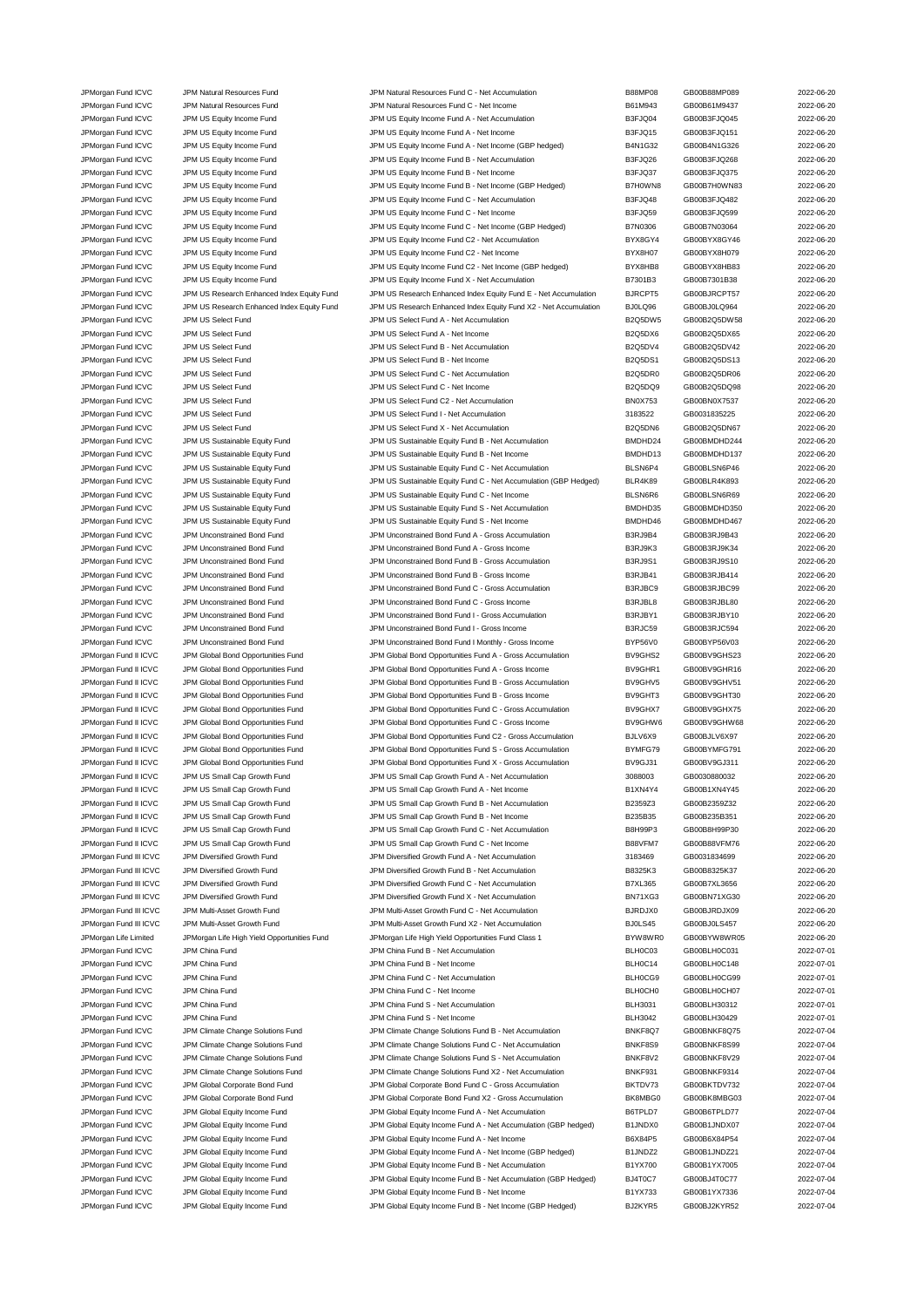| JPMorgan Fund ICVC     | JPM Natural Resources Fund                  | JPM Natural Resources Fund C - Net Accumulation                  | <b>B88MP08</b> | GB00B88MP089 | 2022-06-20 |
|------------------------|---------------------------------------------|------------------------------------------------------------------|----------------|--------------|------------|
| JPMorgan Fund ICVC     | JPM Natural Resources Fund                  | JPM Natural Resources Fund C - Net Income                        | B61M943        | GB00B61M9437 | 2022-06-20 |
| JPMorgan Fund ICVC     | JPM US Equity Income Fund                   | JPM US Equity Income Fund A - Net Accumulation                   | B3FJQ04        | GB00B3FJQ045 | 2022-06-20 |
| JPMorgan Fund ICVC     | JPM US Equity Income Fund                   | JPM US Equity Income Fund A - Net Income                         | B3FJQ15        | GB00B3FJQ151 | 2022-06-20 |
| JPMorgan Fund ICVC     | JPM US Equity Income Fund                   | JPM US Equity Income Fund A - Net Income (GBP hedged)            | B4N1G32        | GB00B4N1G326 | 2022-06-20 |
| JPMorgan Fund ICVC     | JPM US Equity Income Fund                   | JPM US Equity Income Fund B - Net Accumulation                   | B3FJQ26        | GB00B3FJQ268 | 2022-06-20 |
| JPMorgan Fund ICVC     | JPM US Equity Income Fund                   | JPM US Equity Income Fund B - Net Income                         | B3FJQ37        | GB00B3FJQ375 | 2022-06-20 |
| JPMorgan Fund ICVC     | JPM US Equity Income Fund                   | JPM US Equity Income Fund B - Net Income (GBP Hedged)            | B7H0WN8        | GB00B7H0WN83 | 2022-06-20 |
| JPMorgan Fund ICVC     | JPM US Equity Income Fund                   | JPM US Equity Income Fund C - Net Accumulation                   | B3FJQ48        | GB00B3FJQ482 | 2022-06-20 |
| JPMorgan Fund ICVC     | JPM US Equity Income Fund                   | JPM US Equity Income Fund C - Net Income                         | B3FJQ59        | GB00B3FJQ599 | 2022-06-20 |
| JPMorgan Fund ICVC     | JPM US Equity Income Fund                   | JPM US Equity Income Fund C - Net Income (GBP Hedged)            | B7N0306        | GB00B7N03064 | 2022-06-20 |
| JPMorgan Fund ICVC     | JPM US Equity Income Fund                   | JPM US Equity Income Fund C2 - Net Accumulation                  | BYX8GY4        | GB00BYX8GY46 | 2022-06-20 |
| JPMorgan Fund ICVC     | JPM US Equity Income Fund                   | JPM US Equity Income Fund C2 - Net Income                        | BYX8H07        | GB00BYX8H079 | 2022-06-20 |
| JPMorgan Fund ICVC     | JPM US Equity Income Fund                   | JPM US Equity Income Fund C2 - Net Income (GBP hedged)           | BYX8HB8        | GB00BYX8HB83 | 2022-06-20 |
| JPMorgan Fund ICVC     | JPM US Equity Income Fund                   | JPM US Equity Income Fund X - Net Accumulation                   | B7301B3        | GB00B7301B38 | 2022-06-20 |
| JPMorgan Fund ICVC     | JPM US Research Enhanced Index Equity Fund  | JPM US Research Enhanced Index Equity Fund E - Net Accumulation  | BJRCPT5        | GB00BJRCPT57 | 2022-06-20 |
| JPMorgan Fund ICVC     | JPM US Research Enhanced Index Equity Fund  | JPM US Research Enhanced Index Equity Fund X2 - Net Accumulation | BJ0LQ96        | GB00BJ0LQ964 | 2022-06-20 |
|                        |                                             |                                                                  |                |              |            |
| JPMorgan Fund ICVC     | JPM US Select Fund                          | JPM US Select Fund A - Net Accumulation                          | <b>B2Q5DW5</b> | GB00B2Q5DW58 | 2022-06-20 |
| JPMorgan Fund ICVC     | JPM US Select Fund                          | JPM US Select Fund A - Net Income                                | B2Q5DX6        | GB00B2Q5DX65 | 2022-06-20 |
| JPMorgan Fund ICVC     | JPM US Select Fund                          | JPM US Select Fund B - Net Accumulation                          | B2Q5DV4        | GB00B2Q5DV42 | 2022-06-20 |
| JPMorgan Fund ICVC     | JPM US Select Fund                          | JPM US Select Fund B - Net Income                                | <b>B2Q5DS1</b> | GB00B2Q5DS13 | 2022-06-20 |
| JPMorgan Fund ICVC     | JPM US Select Fund                          | JPM US Select Fund C - Net Accumulation                          | B2Q5DR0        | GB00B2Q5DR06 | 2022-06-20 |
| JPMorgan Fund ICVC     | JPM US Select Fund                          | JPM US Select Fund C - Net Income                                | B2Q5DQ9        | GB00B2Q5DQ98 | 2022-06-20 |
| JPMorgan Fund ICVC     | JPM US Select Fund                          | JPM US Select Fund C2 - Net Accumulation                         | <b>BN0X753</b> | GB00BN0X7537 | 2022-06-20 |
| JPMorgan Fund ICVC     | JPM US Select Fund                          | JPM US Select Fund I - Net Accumulation                          | 3183522        | GB0031835225 | 2022-06-20 |
| JPMorgan Fund ICVC     | JPM US Select Fund                          | JPM US Select Fund X - Net Accumulation                          | B2Q5DN6        | GB00B2Q5DN67 | 2022-06-20 |
| JPMorgan Fund ICVC     | JPM US Sustainable Equity Fund              | JPM US Sustainable Equity Fund B - Net Accumulation              | BMDHD24        | GB00BMDHD244 | 2022-06-20 |
| JPMorgan Fund ICVC     | JPM US Sustainable Equity Fund              | JPM US Sustainable Equity Fund B - Net Income                    | BMDHD13        | GB00BMDHD137 | 2022-06-20 |
| JPMorgan Fund ICVC     | JPM US Sustainable Equity Fund              | JPM US Sustainable Equity Fund C - Net Accumulation              | BLSN6P4        | GB00BLSN6P46 | 2022-06-20 |
| JPMorgan Fund ICVC     | JPM US Sustainable Equity Fund              | JPM US Sustainable Equity Fund C - Net Accumulation (GBP Hedged) | BLR4K89        | GB00BLR4K893 | 2022-06-20 |
| JPMorgan Fund ICVC     | JPM US Sustainable Equity Fund              | JPM US Sustainable Equity Fund C - Net Income                    | BLSN6R6        | GB00BLSN6R69 | 2022-06-20 |
| JPMorgan Fund ICVC     | JPM US Sustainable Equity Fund              | JPM US Sustainable Equity Fund S - Net Accumulation              | BMDHD35        | GB00BMDHD350 | 2022-06-20 |
| JPMorgan Fund ICVC     | JPM US Sustainable Equity Fund              | JPM US Sustainable Equity Fund S - Net Income                    | BMDHD46        | GB00BMDHD467 | 2022-06-20 |
| JPMorgan Fund ICVC     | JPM Unconstrained Bond Fund                 | JPM Unconstrained Bond Fund A - Gross Accumulation               | B3RJ9B4        | GB00B3RJ9B43 | 2022-06-20 |
| JPMorgan Fund ICVC     | JPM Unconstrained Bond Fund                 | JPM Unconstrained Bond Fund A - Gross Income                     | B3RJ9K3        | GB00B3RJ9K34 | 2022-06-20 |
|                        |                                             |                                                                  |                |              |            |
| JPMorgan Fund ICVC     | JPM Unconstrained Bond Fund                 | JPM Unconstrained Bond Fund B - Gross Accumulation               | <b>B3RJ9S1</b> | GB00B3RJ9S10 | 2022-06-20 |
| JPMorgan Fund ICVC     | JPM Unconstrained Bond Fund                 | JPM Unconstrained Bond Fund B - Gross Income                     | B3RJB41        | GB00B3RJB414 | 2022-06-20 |
| JPMorgan Fund ICVC     | JPM Unconstrained Bond Fund                 | JPM Unconstrained Bond Fund C - Gross Accumulation               | B3RJBC9        | GB00B3RJBC99 | 2022-06-20 |
| JPMorgan Fund ICVC     | JPM Unconstrained Bond Fund                 | JPM Unconstrained Bond Fund C - Gross Income                     | B3RJBL8        | GB00B3RJBL80 | 2022-06-20 |
| JPMorgan Fund ICVC     | JPM Unconstrained Bond Fund                 | JPM Unconstrained Bond Fund I - Gross Accumulation               | B3RJBY1        | GB00B3RJBY10 | 2022-06-20 |
| JPMorgan Fund ICVC     | JPM Unconstrained Bond Fund                 | JPM Unconstrained Bond Fund I - Gross Income                     | B3RJC59        | GB00B3RJC594 | 2022-06-20 |
| JPMorgan Fund ICVC     | JPM Unconstrained Bond Fund                 | JPM Unconstrained Bond Fund I Monthly - Gross Income             | BYP56V0        | GB00BYP56V03 | 2022-06-20 |
| JPMorgan Fund II ICVC  | JPM Global Bond Opportunities Fund          | JPM Global Bond Opportunities Fund A - Gross Accumulation        | BV9GHS2        | GB00BV9GHS23 | 2022-06-20 |
| JPMorgan Fund II ICVC  | JPM Global Bond Opportunities Fund          | JPM Global Bond Opportunities Fund A - Gross Income              | BV9GHR1        | GB00BV9GHR16 | 2022-06-20 |
| JPMorgan Fund II ICVC  | JPM Global Bond Opportunities Fund          | JPM Global Bond Opportunities Fund B - Gross Accumulation        | BV9GHV5        | GB00BV9GHV51 | 2022-06-20 |
| JPMorgan Fund II ICVC  | JPM Global Bond Opportunities Fund          | JPM Global Bond Opportunities Fund B - Gross Income              | BV9GHT3        | GB00BV9GHT30 | 2022-06-20 |
| JPMorgan Fund II ICVC  | JPM Global Bond Opportunities Fund          | JPM Global Bond Opportunities Fund C - Gross Accumulation        | BV9GHX7        | GB00BV9GHX75 | 2022-06-20 |
| JPMorgan Fund II ICVC  | JPM Global Bond Opportunities Fund          | JPM Global Bond Opportunities Fund C - Gross Income              | BV9GHW6        | GB00BV9GHW68 | 2022-06-20 |
| JPMorgan Fund II ICVC  | JPM Global Bond Opportunities Fund          | JPM Global Bond Opportunities Fund C2 - Gross Accumulation       | BJLV6X9        | GB00BJLV6X97 | 2022-06-20 |
| JPMorgan Fund II ICVC  | JPM Global Bond Opportunities Fund          | JPM Global Bond Opportunities Fund S - Gross Accumulation        | BYMFG79        | GB00BYMFG791 | 2022-06-20 |
| JPMorgan Fund II ICVC  | JPM Global Bond Opportunities Fund          | JPM Global Bond Opportunities Fund X - Gross Accumulation        | BV9GJ31        | GB00BV9GJ311 | 2022-06-20 |
| JPMorgan Fund II ICVC  | JPM US Small Cap Growth Fund                | JPM US Small Cap Growth Fund A - Net Accumulation                | 3088003        | GB0030880032 | 2022-06-20 |
| JPMorgan Fund II ICVC  | JPM US Small Cap Growth Fund                | JPM US Small Cap Growth Fund A - Net Income                      | B1XN4Y4        | GB00B1XN4Y45 | 2022-06-20 |
| JPMorgan Fund II ICVC  | JPM US Small Cap Growth Fund                | JPM US Small Cap Growth Fund B - Net Accumulation                | B2359Z3        | GB00B2359Z32 | 2022-06-20 |
|                        |                                             |                                                                  |                |              |            |
| JPMorgan Fund II ICVC  | JPM US Small Cap Growth Fund                | JPM US Small Cap Growth Fund B - Net Income                      | B235B35        | GB00B235B351 | 2022-06-20 |
| JPMorgan Fund II ICVC  | JPM US Small Cap Growth Fund                | JPM US Small Cap Growth Fund C - Net Accumulation                | <b>B8H99P3</b> | GB00B8H99P30 | 2022-06-20 |
| JPMorgan Fund II ICVC  | JPM US Small Cap Growth Fund                | JPM US Small Cap Growth Fund C - Net Income                      | B88VFM7        | GB00B88VFM76 | 2022-06-20 |
| JPMorgan Fund III ICVC | JPM Diversified Growth Fund                 | JPM Diversified Growth Fund A - Net Accumulation                 | 3183469        | GB0031834699 | 2022-06-20 |
| JPMorgan Fund III ICVC | JPM Diversified Growth Fund                 | JPM Diversified Growth Fund B - Net Accumulation                 | B8325K3        | GB00B8325K37 | 2022-06-20 |
| JPMorgan Fund III ICVC | JPM Diversified Growth Fund                 | JPM Diversified Growth Fund C - Net Accumulation                 | <b>B7XL365</b> | GB00B7XL3656 | 2022-06-20 |
| JPMorgan Fund III ICVC | JPM Diversified Growth Fund                 | JPM Diversified Growth Fund X - Net Accumulation                 | BN71XG3        | GB00BN71XG30 | 2022-06-20 |
| JPMorgan Fund III ICVC | JPM Multi-Asset Growth Fund                 | JPM Multi-Asset Growth Fund C - Net Accumulation                 | BJRDJX0        | GB00BJRDJX09 | 2022-06-20 |
| JPMorgan Fund III ICVC | JPM Multi-Asset Growth Fund                 | JPM Multi-Asset Growth Fund X2 - Net Accumulation                | BJ0LS45        | GB00BJ0LS457 | 2022-06-20 |
| JPMorgan Life Limited  | JPMorgan Life High Yield Opportunities Fund | JPMorgan Life High Yield Opportunities Fund Class 1              | BYW8WR0        | GB00BYW8WR05 | 2022-06-20 |
| JPMorgan Fund ICVC     | JPM China Fund                              | JPM China Fund B - Net Accumulation                              | BLH0C03        | GB00BLH0C031 | 2022-07-01 |
| JPMorgan Fund ICVC     | JPM China Fund                              | JPM China Fund B - Net Income                                    | BLH0C14        | GB00BLH0C148 | 2022-07-01 |
| JPMorgan Fund ICVC     | JPM China Fund                              | JPM China Fund C - Net Accumulation                              | BLH0CG9        | GB00BLH0CG99 | 2022-07-01 |
| JPMorgan Fund ICVC     | JPM China Fund                              | JPM China Fund C - Net Income                                    | BLH0CH0        | GB00BLH0CH07 | 2022-07-01 |
| JPMorgan Fund ICVC     | JPM China Fund                              | JPM China Fund S - Net Accumulation                              | <b>BLH3031</b> | GB00BLH30312 | 2022-07-01 |
| JPMorgan Fund ICVC     | JPM China Fund                              | JPM China Fund S - Net Income                                    | <b>BLH3042</b> | GB00BLH30429 | 2022-07-01 |
| JPMorgan Fund ICVC     | JPM Climate Change Solutions Fund           | JPM Climate Change Solutions Fund B - Net Accumulation           | BNKF8Q7        | GB00BNKF8Q75 | 2022-07-04 |
| JPMorgan Fund ICVC     | JPM Climate Change Solutions Fund           | JPM Climate Change Solutions Fund C - Net Accumulation           | BNKF8S9        | GB00BNKF8S99 | 2022-07-04 |
| JPMorgan Fund ICVC     | JPM Climate Change Solutions Fund           | JPM Climate Change Solutions Fund S - Net Accumulation           | BNKF8V2        | GB00BNKF8V29 | 2022-07-04 |
| JPMorgan Fund ICVC     |                                             | JPM Climate Change Solutions Fund X2 - Net Accumulation          | BNKF931        |              | 2022-07-04 |
|                        | JPM Climate Change Solutions Fund           |                                                                  |                | GB00BNKF9314 |            |
| JPMorgan Fund ICVC     | JPM Global Corporate Bond Fund              | JPM Global Corporate Bond Fund C - Gross Accumulation            | BKTDV73        | GB00BKTDV732 | 2022-07-04 |
| JPMorgan Fund ICVC     | JPM Global Corporate Bond Fund              | JPM Global Corporate Bond Fund X2 - Gross Accumulation           | BK8MBG0        | GB00BK8MBG03 | 2022-07-04 |
| JPMorgan Fund ICVC     | JPM Global Equity Income Fund               | JPM Global Equity Income Fund A - Net Accumulation               | B6TPLD7        | GB00B6TPLD77 | 2022-07-04 |
| JPMorgan Fund ICVC     | JPM Global Equity Income Fund               | JPM Global Equity Income Fund A - Net Accumulation (GBP hedged)  | B1JNDX0        | GB00B1JNDX07 | 2022-07-04 |
| JPMorgan Fund ICVC     | JPM Global Equity Income Fund               | JPM Global Equity Income Fund A - Net Income                     | B6X84P5        | GB00B6X84P54 | 2022-07-04 |
| JPMorgan Fund ICVC     | JPM Global Equity Income Fund               | JPM Global Equity Income Fund A - Net Income (GBP hedged)        | B1JNDZ2        | GB00B1JNDZ21 | 2022-07-04 |
| JPMorgan Fund ICVC     | JPM Global Equity Income Fund               | JPM Global Equity Income Fund B - Net Accumulation               | B1YX700        | GB00B1YX7005 | 2022-07-04 |
| JPMorgan Fund ICVC     | JPM Global Equity Income Fund               | JPM Global Equity Income Fund B - Net Accumulation (GBP Hedged)  | BJ4T0C7        | GB00BJ4T0C77 | 2022-07-04 |
| JPMorgan Fund ICVC     | JPM Global Equity Income Fund               | JPM Global Equity Income Fund B - Net Income                     | B1YX733        | GB00B1YX7336 | 2022-07-04 |
| JPMorgan Fund ICVC     | JPM Global Equity Income Fund               | JPM Global Equity Income Fund B - Net Income (GBP Hedged)        | BJ2KYR5        | GB00BJ2KYR52 | 2022-07-04 |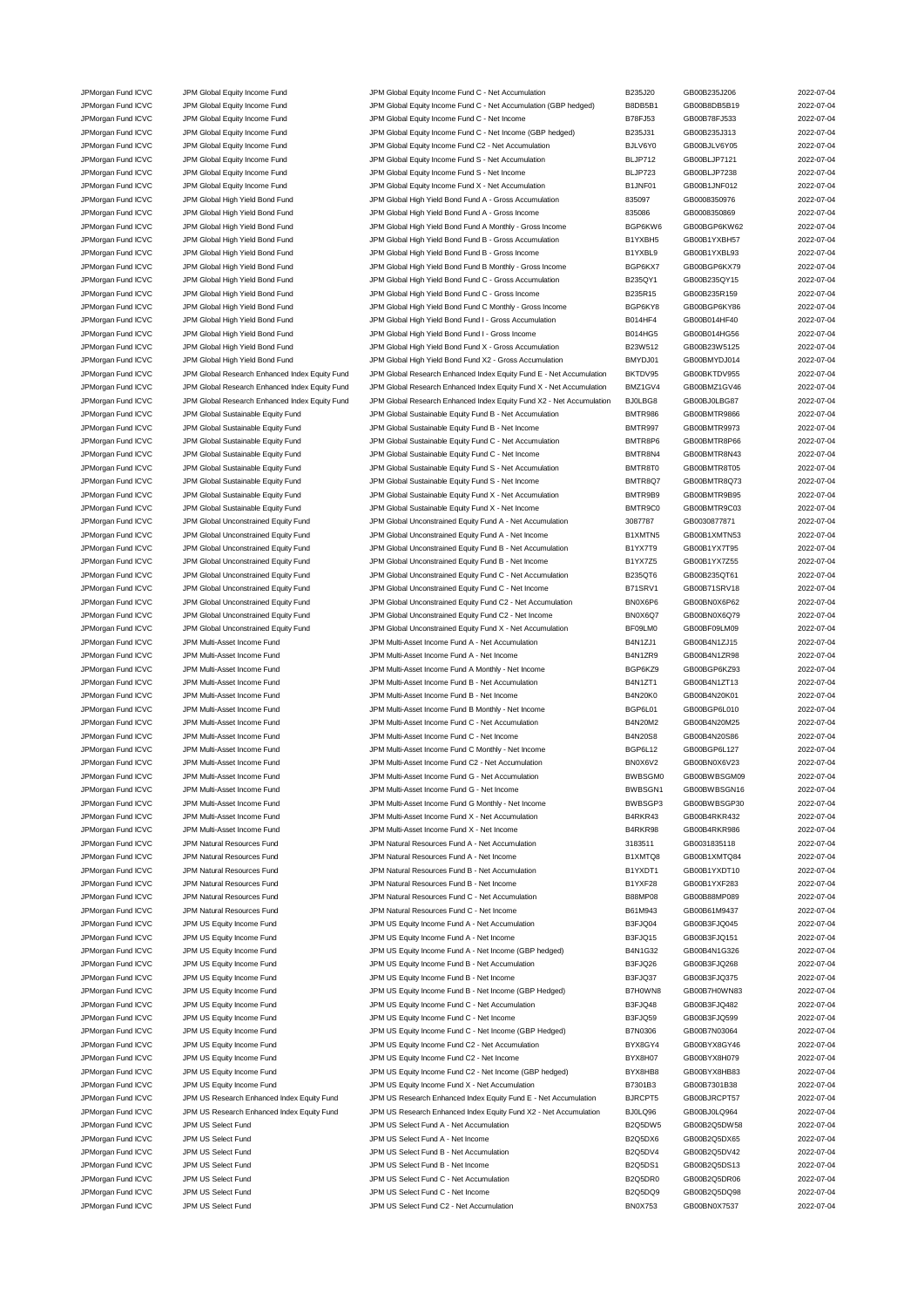JPMorgan Fund ICVC JPM Global Equity Income Fund JPM Global Equity Income Fund C - Net Accumulation B235J20 GB00B235J206 2022-07-04 JPMorgan Fund ICVC JPM Global Equity Income Fund JPM Global Equity Income Fund C - Net Accumulation (GBP hedged) B8DB5B1 GB00B8DB5B19 2022-07-04 JPMorgan Fund ICVC JPM Global Equity Income Fund JPM Global Equity Income Fund C - Net Income B78FJ53 GB00B78FJ533 2022-07-04 JPMorgan Fund ICVC JPM Global Equity Income Fund JPM Global Equity Income Fund C - Net Income (GBP hedged) B235J31 GB00B235J313 2022-07-04 JPMorgan Fund ICVC JPM Global Equity Income Fund JPM Global Equity Income Fund C2 - Net Accumulation BJLV6Y0 GB00BJLV6Y05 2022-07-04 JPMorgan Fund ICVC JPM Global Equity Income Fund JPM Global Equity Income Fund S - Net Accumulation BLJP712 GB00BLJP7121 2022-07-04 JPMorgan Fund ICVC JPM Global Equity Income Fund JPM Global Equity Income Fund S - Net Income Bund S - Net Income BLJP723 GB00BLJP7238 2022-07-04 JPMorgan Fund ICVC JPM Global Equity Income Fund JPM Global Equity Income Fund X - Net Accumulation B1JNF01 GB00B1JNF012 2022-07-04 JPMorgan Fund ICVC JPM Global High Yield Bond Fund JPM Global High Yield Bond Fund A - Gross Accumulation 835097 GB0008350976 2022-07-04 JPMorgan Fund ICVC JPM Global High Yield Bond Fund JPM Global High Yield Bond Fund A - Gross Income 835086 GB0008350869 2022-07-04 JPMorgan Fund ICVC JPM Global High Yield Bond Fund JPM Global High Yield Bond Fund A Monthly - Gross Income BGP6KW6 GB00BGP6KW62 2022-07-04 JPMorgan Fund ICVC JPM Global High Yield Bond Fund JPM Global High Yield Bond Fund B - Gross Accumulation B1YXBH5 GB00B1YXBH57 2022-07-04 JPMorgan Fund ICVC JPM Global High Yield Bond Fund JPM Global High Yield Bond Fund B - Gross Income B1YXBL9 GB00B1YXBL93 2022-07-04 JPMorgan Fund ICVC JPM Global High Yield Bond Fund JPM Global High Yield Bond Fund B Monthly - Gross Income BGP6KX7 GB00BGP6KX79 2022-07-04 JPMorgan Fund ICVC JPM Global High Yield Bond Fund JPM Global High Yield Bond Fund C - Gross Accumulation B235QY1 GB00B235QY15 2022-07-04 JPMorgan Fund ICVC JPM Global High Yield Bond Fund JPM Global High Yield Bond Fund C - Gross Income B235R15 GB00B235R159 2022-07-04 JPMorgan Fund ICVC JPM Global High Yield Bond Fund JPM Global High Yield Bond Fund C Monthly - Gross Income BGP6KY8 GB00BGP6KY86 2022-07-04 JPMorgan Fund ICVC JPM Global High Yield Bond Fund JPM Global High Yield Bond Fund I - Gross Accumulation B014HF4 GB00B014HF40 2022-07-04 JPMorgan Fund ICVC JPM Global High Yield Bond Fund JPM Global High Yield Bond Fund I - Gross Income B014HG5 GB00B014HG56 2022-07-04 JPMorgan Fund ICVC JPM Global High Yield Bond Fund JPM Global High Yield Bond Fund X - Gross Accumulation B23W512 GB00B23W5125 2022-07-04<br>JPMorgan Fund ICVC JPM Global High Yield Bond Fund JPM Global High Yield Bond Fund X JPM Global High Yield Bond Fund JPM Global High Yield Bond Fund X2 - Gross Accumulation BMYDJ01 GB00BMYDJ014 2022-07-04 JPMorgan Fund ICVC JPM Global Research Enhanced Index Equity Fund JPM Global Research Enhanced Index Equity Fund E - Net Accumulation BKTDV95 GB00BKTDV955 2022-07-04 JPMorgan Fund ICVC JPM Global Research Enhanced Index Equity Fund JPM Global Research Enhanced Index Equity Fund X - Net Accumulation BMZ1GV4 GB00BMZ1GV46 2022-07-04 JPMorgan Fund ICVC JPM Global Research Enhanced Index Equity Fund JPM Global Research Enhanced Index Equity Fund X2 - Net Accumulation BJ0LBG8 GB00BJ0LBG87 2022-07-04 JPMorgan Fund ICVC JPM Global Sustainable Equity Fund JPM Global Sustainable Equity Fund B - Net Accumulation BMTR986 GB00BMTR9866 2022-07-04 JPMorgan Fund ICVC JPM Global Sustainable Equity Fund JPM Global Sustainable Equity Fund B - Net Income BMTR997 GB00BMTR9973 2022-07-04 JPMorgan Fund ICVC JPM Global Sustainable Equity Fund JPM Global Sustainable Equity Fund C - Net Accumulation BMTR8P6 GB00BMTR8P66 2022-07-04 JPMorgan Fund ICVC JPM Global Sustainable Equity Fund JPM Global Sustainable Equity Fund C - Net Income BMTR8N4 GB00BMTR8N43 2022-07-04<br>JPMorgan Fund ICVC JPM Global Sustainable Equity Fund JPM Global Sustainable Equity Fu JPMorgan Fund ICVC JPM Global Sustainable Equity Fund JPM Global Sustainable Equity Fund S - Net Accumulation BMTR8T0 GB00BMTR8T05 2022-07-04 JPMorgan Fund ICVC JPM Global Sustainable Equity Fund JPM Global Sustainable Equity Fund S - Net Income BMTR8Q7 GB00BMTR8Q73 2022-07-04 JPMorgan Fund ICVC JPM Global Sustainable Equity Fund JPM Global Sustainable Equity Fund X - Net Accumulation BMTR9B9 GB00BMTR9B95 2022-07-04 JPMorgan Fund ICVC JPM Global Sustainable Equity Fund JPM Global Sustainable Equity Fund X - Net Income BMTR9C0 GB00BMTR9C03 2022-07-04 JPMorgan Fund ICVC JPM Global Unconstrained Equity Fund JPM Global Unconstrained Equity Fund A - Net Accumulation 3087787 GB0030877871 2022-07-04 JPMorgan Fund ICVC JPM Global Unconstrained Equity Fund JPM Global Unconstrained Equity Fund A - Net Income B1XMTN5 GB00B1XMTN53 2022-07-04 JPMorgan Fund ICVC JPM Global Unconstrained Equity Fund JPM Global Unconstrained Equity Fund B - Net Accumulation B1YX7T9 GB00B1YX7T95 2022-07-04 JPMorgan Fund ICVC JPM Global Unconstrained Equity Fund JPM Global Unconstrained Equity Fund B - Net Income B1YX7Z5 GB00B1YX7Z55 2022-07-04 JPMorgan Fund ICVC JPM Global Unconstrained Equity Fund JPM Global Unconstrained Equity Fund C - Net Accumulation B235QT6 GB00B235QT61 2022-07-04 JPMorgan Fund ICVC JPM Global Unconstrained Equity Fund JPM Global Unconstrained Equity Fund C - Net Income B71SRV1 GB00B71SRV18 2022-07-04 JPMorgan Fund ICVC JPM Global Unconstrained Equity Fund JPM Global Unconstrained Equity Fund C2 - Net Accumulation BN0X6P6 GB00BN0X6P62 2022-07-04 JPMorgan Fund ICVC JPM Global Unconstrained Equity Fund JPM Global Unconstrained Equity Fund C2 - Net Income BN0X6Q7 GB00BN0X6Q79 2022-07-04 JPMorgan Fund ICVC JPM Global Unconstrained Equity Fund JPM Global Unconstrained Equity Fund X - Net Accumulation BF09LM0 GB00BF09LM09 2022-07-04 JPMorgan Fund ICVC JPM Multi-Asset Income Fund JPM Multi-Asset Income Fund A - Net Accumulation B4N1ZJ1 GB00B4N1ZJ15 2022-07-04 JPMorgan Fund ICVC JPM Multi-Asset Income Fund JPM Multi-Asset Income Fund A - Net Income B4N1ZR9 GB00B4N1ZR98 2022-07-04 JPMorgan Fund ICVC JPM Multi-Asset Income Fund JPM Multi-Asset Income Fund A Monthly - Net Income BGP6KZ9 GB00BGP6KZ93 2022-07-04 JPMorgan Fund ICVC JPM Multi-Asset Income Fund JPM Multi-Asset Income Fund B - Net Accumulation B4N1ZT1 GB00B4N1ZT13 2022-07-04 JPMorgan Fund ICVC JPM Multi-Asset Income Fund JPM Multi-Asset Income Fund B - Net Income B4N20K0 GB00B4N20K01 2022-07-04 JPMorgan Fund ICVC JPM Multi-Asset Income Fund JPM Multi-Asset Income Fund B Monthly - Net Income BGP6L01 GB00BGP6L010 2022-07-04 JPMorgan Fund ICVC JPM Multi-Asset Income Fund JPM Multi-Asset Income Fund C - Net Accumulation B4N20M2 GB00B4N20M25 2022-07-04 JPMorgan Fund ICVC JPM Multi-Asset Income Fund C - Net Income Fund C - Net Income B4N20S8 GB00B4N20S86 2022-07-04 JPMorgan Fund ICVC JPM Multi-Asset Income Fund State of the Multi-Asset Income Fund C Monthly - Net Income BGP6L12 GB00BGP6L127 2022-07-04 JPMorgan Fund ICVC JPM Multi-Asset Income Fund JPM Multi-Asset Income Fund C2 - Net Accumulation BN0X6V2 GB00BN0X6V23 2022-07-04 JPMorgan Fund ICVC JPM Multi-Asset Income Fund JPM Multi-Asset Income Fund G - Net Accumulation BWBSGM0 GB00BWBSGM09 2022-07-04 JPMorgan Fund ICVC JPM Multi-Asset Income Fund JPM Multi-Asset Income Fund G - Net Income BWBSGN1 GB00BWBSGN16 2022-07-04 JPMorgan Fund ICVC JPM Multi-Asset Income Fund JPM Multi-Asset Income Fund G Monthly - Net Income BWBSGP3 GB00BWBSGP30 2022-07-04 JPMorgan Fund ICVC JPM Multi-Asset Income Fund JPM Multi-Asset Income Fund X - Net Accumulation B4RKR43 GB00B4RKR432 2022-07-04 JPMorgan Fund ICVC JPM Multi-Asset Income Fund JPM Multi-Asset Income Fund X - Net Income B4RKR98 GB00B4RKR986 2022-07-04 JPMorgan Fund ICVC JPM Natural Resources Fund JPM Natural Resources Fund A - Net Accumulation 3183511 GB0031835118 2022-07-04 JPMorgan Fund ICVC JPM Natural Resources Fund JPM Natural Resources Fund A - Net Income B1XMTQ8 GB00B1XMTQ84 2022-07-04 JPMorgan Fund ICVC JPM Natural Resources Fund JPM Natural Resources Fund B - Net Accumulation B1YXDT1 GB00B1YXDT10 2022-07-04 JPMorgan Fund ICVC JPM Natural Resources Fund JPM Natural Resources Fund B - Net Income B1YXF28 GB00B1YXF283 2022-07-04 JPMorgan Fund ICVC JPM Natural Resources Fund JPM Natural Resources Fund C - Net Accumulation B88MP08 GB00B88MP089 2022-07-04 JPMorgan Fund ICVC JPM Natural Resources Fund JPM Natural Resources Fund C - Net Income B61M943 GB00B61M9437 2022-07-04 JPMorgan Fund ICVC JPM US Equity Income Fund JPM US Equity Income Fund A - Net Accumulation B3FJQ04 GB00B3FJQ045 2022-07-04 JPMorgan Fund ICVC JPM US Equity Income Fund JPM US Equity Income Fund A - Net Income B3FJQ15 GB00B3FJQ151 2022-07-04 JPMorgan Fund ICVC JPM US Equity Income Fund JPM US Equity Income Fund A - Net Income (GBP hedged) B4N1G32 GB00B4N1G326 2022-07-04 JPMorgan Fund ICVC JPM US Equity Income Fund JPM US Equity Income Fund B - Net Accumulation B3FJQ26 GB00B3FJQ268 2022-07-04 JPMorgan Fund ICVC JPM US Equity Income Fund JPM US Equity Income Fund B - Net Income COMB3FJQ37 GB00B3FJQ375 2022-07-04 JPMorgan Fund ICVC JPM US Equity Income Fund JPM US Equity Income Fund B - Net Income (GBP Hedged) B7H0WN8 GB00B7H0WN83 2022-07-04 JPMorgan Fund ICVC JPM US Equity Income Fund JPM US Equity Income Fund C - Net Accumulation B3FJQ48 GB00B3FJQ482 2022-07-04 JPMorgan Fund ICVC JPM US Equity Income Fund JPM US Equity Income Fund C - Net Income COME B3FJQ59 GB00B3FJQ599 2022-07-04 JPMorgan Fund ICVC JPM US Equity Income Fund JPM US Equity Income Fund C - Net Income (GBP Hedged) B7N0306 GB00B7N03064 2022-07-04 JPMorgan Fund ICVC JPM US Equity Income Fund JPM US Equity Income Fund C2 - Net Accumulation BYX8GY4 GB00BYX8GY46 2022-07-04 JPMorgan Fund ICVC JPM US Equity Income Fund JPM US Equity Income Fund C2 - Net Income BYX8H07 GB00BYX8H079 2022-07-04 JPMorgan Fund ICVC JPM US Equity Income Fund JPM US Equity Income Fund C2 - Net Income (GBP hedged) BYX8HB8 GB00BYX8HB83 2022-07-04 JPMorgan Fund ICVC JPM US Equity Income Fund JPM US Equity Income Fund X - Net Accumulation B7301B3 GB00B7301B38 2022-07-04 JPMorgan Fund ICVC JPM US Research Enhanced Index Equity Fund JPM US Research Enhanced Index Equity Fund E - Net Accumulation BJRCPT5 GB00BJRCPT57 2022-07-04 JPMorgan Fund ICVC JPM US Research Enhanced Index Equity Fund JPM US Research Enhanced Index Equity Fund X2 - Net Accumulation BJ0LQ96 GB00BJ0LQ964 2022-07-04 JPMorgan Fund ICVC JPM US Select Fund JPM US Select Fund A - Net Accumulation B2Q5DW5 GB00B2Q5DW58 2022-07-04 JPMorgan Fund ICVC JPM US Select Fund CO22-07-04 JPM US Select Fund A - Net Income B2Q5DX6 B2Q5DX6 GB00B2Q5DX65 2022-07-04 JPMorgan Fund ICVC JPM US Select Fund 30022-07-04 JPM US Select Fund B - Net Accumulation B2Q5DV4 GB00B2Q5DV42 2022-07-04 JPMorgan Fund ICVC JPM US Select Fund JPM US Select Fund B - Net Income B2Q5DS1 GB00B2Q5DS13 2022-07-04 JPMorgan Fund ICVC JPM US Select Fund C - Net Accumulation C - Net Accumulation B2Q5DR0 GB00B2Q5DR06 2022-07-04 JPMorgan Fund ICVC JPM US Select Fund C - Net Income C - Net Income B2Q5DQ9 GB00B2Q5DQ98 2022-07-04 JPMorgan Fund ICVC JPM US Select Fund CVC JPM US Select Fund C2 - Net Accumulation BN0X753 GB00BN0X7537 2022-07-04

| 5J20             | GB00B235J206                 | 2022-07            |
|------------------|------------------------------|--------------------|
| )B5B1            | GB00B8DB5B19                 | 2022-07            |
| FJ53             | GB00B78FJ533                 | 2022-07            |
| 5J31             | GB00B235J313                 | 2022-07            |
| V6Y0<br>P712     | GB00BJLV6Y05<br>GB00BLJP7121 | 2022-07<br>2022-07 |
| P723             | GB00BLJP7238                 | 2022-07            |
| NF01             | GB00B1JNF012                 | 2022-07            |
| 097              | GB0008350976                 | 2022-07            |
| 086              | GB0008350869                 | 2022-07            |
| P6KW6            | GB00BGP6KW62                 | 2022-07            |
| XBH <sub>5</sub> | GB00B1YXBH57                 | 2022-07            |
| XBL9             | GB00B1YXBL93                 | 2022-07            |
| P6KX7            | GB00BGP6KX79                 | 2022-07            |
| 15QY1            | GB00B235QY15                 | 2022-07            |
| 5R15             | GB00B235R159                 | 2022-07            |
| P6KY8            | GB00BGP6KY86                 | 2022-07            |
| 4HF4<br>4HG5     | GB00B014HF40<br>GB00B014HG56 | 2022-07<br>2022-07 |
| W512             | GB00B23W5125                 | 2022-07            |
| YDJ01            | GB00BMYDJ014                 | 2022-07            |
| TDV95            | GB00BKTDV955                 | 2022-07            |
| Z1GV4            | GB00BMZ1GV46                 | 2022-07            |
| LBG8             | GB00BJ0LBG87                 | 2022-07            |
| TR986            | GB00BMTR9866                 | 2022-07            |
| TR997            | GB00BMTR9973                 | 2022-07            |
| TR8P6            | GB00BMTR8P66                 | 2022-07            |
| TR8N4            | GB00BMTR8N43                 | 2022-07            |
| TR8T0            | GB00BMTR8T05                 | 2022-07            |
| <b>TR8Q7</b>     | GB00BMTR8Q73                 | 2022-07            |
| TR9B9<br>TR9C0   | GB00BMTR9B95<br>GB00BMTR9C03 | 2022-07<br>2022-07 |
| 7787             | GB0030877871                 | 2022-07            |
| (MTN5            | GB00B1XMTN53                 | 2022-07            |
| 'X7T9            | GB00B1YX7T95                 | 2022-07            |
| 'X7Z5            | GB00B1YX7Z55                 | 2022-07            |
| 5QT6             | GB00B235QT61                 | 2022-07            |
| SRV1             | GB00B71SRV18                 | 2022-07            |
| X6P6             | GB00BN0X6P62                 | 2022-07            |
| X6Q7             | GB00BN0X6Q79                 | 2022-07            |
| 9LM0             | GB00BF09LM09                 | 2022-07            |
| J1ZJ1            | GB00B4N1ZJ15                 | 2022-07            |
| 11ZR9<br>P6KZ9   | GB00B4N1ZR98                 | 2022-07            |
| I1ZT1            | GB00BGP6KZ93<br>GB00B4N1ZT13 | 2022-07<br>2022-07 |
| 120K0            | GB00B4N20K01                 | 2022-07            |
| P6L01            | GB00BGP6L010                 | 2022-07            |
| <b>20M2</b>      | GB00B4N20M25                 | 2022-07            |
| <b>I20S8</b>     | GB00B4N20S86                 | 2022-07            |
| P6L12            | GB00BGP6L127                 | 2022-07            |
| X6V2             | GB00BN0X6V23                 | 2022-07            |
| <b>BSGM0</b>     | GB00BWBSGM09                 | 2022-07            |
| BSGN1            | GB00BWBSGN16                 | 2022-07            |
| BSGP3            | GB00BWBSGP30                 | 2022-07            |
| KR43             | GB00B4RKR432                 | 2022-07            |
| RKR98<br>3511    | GB00B4RKR986<br>GB0031835118 | 2022-07<br>2022-07 |
| 8OTM)            | GB00B1XMTQ84                 | 2022-07            |
| XDT1             | GB00B1YXDT10                 | 2022-07            |
| XF <sub>28</sub> | GB00B1YXF283                 | 2022-07            |
| MP08             | GB00B88MP089                 | 2022-07            |
| M943             | GB00B61M9437                 | 2022-07            |
| JQ04             | GB00B3FJQ045                 | 2022-07            |
| JQ15             | GB00B3FJQ151                 | 2022-07            |
| I1G32            | GB00B4N1G326                 | 2022-07            |
| JQ26             | GB00B3FJQ268                 | 2022-07            |
| JQ37             | GB00B3FJQ375                 | 2022-07            |
| 8WW0ł            | GB00B7H0WN83                 | 2022-07<br>2022-07 |
| JQ48<br>JQ59     | GB00B3FJQ482<br>GB00B3FJQ599 | 2022-07            |
| 10306            | GB00B7N03064                 | 2022-07            |
| <b>&lt;8GY4</b>  | GB00BYX8GY46                 | 2022-07            |
| <b>&lt;8H07</b>  | GB00BYX8H079                 | 2022-07            |
| (8HB8            | GB00BYX8HB83                 | 2022-07            |
| 01B3             | GB00B7301B38                 | 2022-07            |
| CPT5             | GB00BJRCPT57                 | 2022-07            |
| LQ96             | GB00BJ0LQ964                 | 2022-07            |
| 25DW5            | GB00B2Q5DW58                 | 2022-07            |
| 25DX6            | GB00B2Q5DX65                 | 2022-07            |
| 25DV4            | GB00B2Q5DV42                 | 2022-07            |
| 25DS1            | GB00B2Q5DS13                 | 2022-07            |
| 25DR0            | GB00B2Q5DR06                 | 2022-07            |
| 25DQ9            | GB00B2Q5DQ98<br>CROODNOVZESZ | 2022-07<br>2022.07 |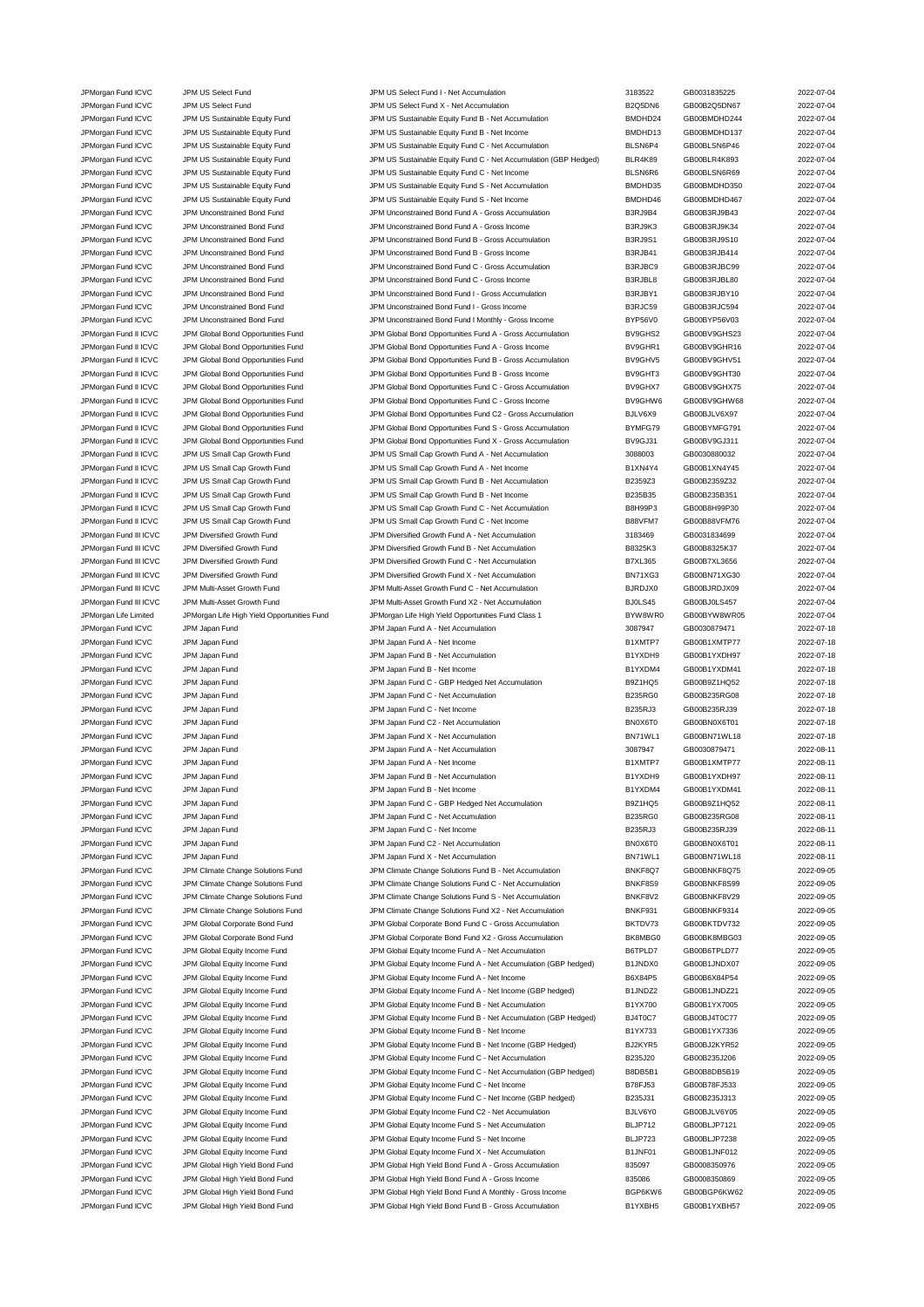| JPMorgan Fund ICVC     | JPM US Select Fund                          | JPM US Select Fund I - Net Accumulation                          | 3183522        | GB0031835225 | 2022-07-04 |
|------------------------|---------------------------------------------|------------------------------------------------------------------|----------------|--------------|------------|
| JPMorgan Fund ICVC     | JPM US Select Fund                          | JPM US Select Fund X - Net Accumulation                          | B2Q5DN6        | GB00B2Q5DN67 | 2022-07-04 |
| JPMorgan Fund ICVC     | JPM US Sustainable Equity Fund              | JPM US Sustainable Equity Fund B - Net Accumulation              | BMDHD24        | GB00BMDHD244 | 2022-07-04 |
|                        |                                             |                                                                  |                |              |            |
| JPMorgan Fund ICVC     | JPM US Sustainable Equity Fund              | JPM US Sustainable Equity Fund B - Net Income                    | BMDHD13        | GB00BMDHD137 | 2022-07-04 |
| JPMorgan Fund ICVC     | JPM US Sustainable Equity Fund              | JPM US Sustainable Equity Fund C - Net Accumulation              | BLSN6P4        | GB00BLSN6P46 | 2022-07-04 |
| JPMorgan Fund ICVC     | JPM US Sustainable Equity Fund              | JPM US Sustainable Equity Fund C - Net Accumulation (GBP Hedged) | BLR4K89        | GB00BLR4K893 | 2022-07-04 |
|                        |                                             |                                                                  |                |              |            |
| JPMorgan Fund ICVC     | JPM US Sustainable Equity Fund              | JPM US Sustainable Equity Fund C - Net Income                    | BLSN6R6        | GB00BLSN6R69 | 2022-07-04 |
| JPMorgan Fund ICVC     | JPM US Sustainable Equity Fund              | JPM US Sustainable Equity Fund S - Net Accumulation              | BMDHD35        | GB00BMDHD350 | 2022-07-04 |
| JPMorgan Fund ICVC     | JPM US Sustainable Equity Fund              | JPM US Sustainable Equity Fund S - Net Income                    | BMDHD46        | GB00BMDHD467 | 2022-07-04 |
|                        |                                             |                                                                  |                |              |            |
| JPMorgan Fund ICVC     | JPM Unconstrained Bond Fund                 | JPM Unconstrained Bond Fund A - Gross Accumulation               | B3RJ9B4        | GB00B3RJ9B43 | 2022-07-04 |
| JPMorgan Fund ICVC     | JPM Unconstrained Bond Fund                 | JPM Unconstrained Bond Fund A - Gross Income                     | B3RJ9K3        | GB00B3RJ9K34 | 2022-07-04 |
| JPMorgan Fund ICVC     | JPM Unconstrained Bond Fund                 | JPM Unconstrained Bond Fund B - Gross Accumulation               | <b>B3RJ9S1</b> | GB00B3RJ9S10 | 2022-07-04 |
|                        |                                             |                                                                  |                |              |            |
| JPMorgan Fund ICVC     | JPM Unconstrained Bond Fund                 | JPM Unconstrained Bond Fund B - Gross Income                     | B3RJB41        | GB00B3RJB414 | 2022-07-04 |
| JPMorgan Fund ICVC     | JPM Unconstrained Bond Fund                 | JPM Unconstrained Bond Fund C - Gross Accumulation               | B3RJBC9        | GB00B3RJBC99 | 2022-07-04 |
| JPMorgan Fund ICVC     | JPM Unconstrained Bond Fund                 | JPM Unconstrained Bond Fund C - Gross Income                     | B3RJBL8        | GB00B3RJBL80 | 2022-07-04 |
|                        |                                             |                                                                  |                |              |            |
| JPMorgan Fund ICVC     | JPM Unconstrained Bond Fund                 | JPM Unconstrained Bond Fund I - Gross Accumulation               | B3RJBY1        | GB00B3RJBY10 | 2022-07-04 |
| JPMorgan Fund ICVC     | JPM Unconstrained Bond Fund                 | JPM Unconstrained Bond Fund I - Gross Income                     | B3RJC59        | GB00B3RJC594 | 2022-07-04 |
|                        | JPM Unconstrained Bond Fund                 |                                                                  | BYP56V0        | GB00BYP56V03 | 2022-07-04 |
| JPMorgan Fund ICVC     |                                             | JPM Unconstrained Bond Fund I Monthly - Gross Income             |                |              |            |
| JPMorgan Fund II ICVC  | JPM Global Bond Opportunities Fund          | JPM Global Bond Opportunities Fund A - Gross Accumulation        | BV9GHS2        | GB00BV9GHS23 | 2022-07-04 |
| JPMorgan Fund II ICVC  | JPM Global Bond Opportunities Fund          | JPM Global Bond Opportunities Fund A - Gross Income              | BV9GHR1        | GB00BV9GHR16 | 2022-07-04 |
|                        |                                             |                                                                  | BV9GHV5        | GB00BV9GHV51 | 2022-07-04 |
| JPMorgan Fund II ICVC  | JPM Global Bond Opportunities Fund          | JPM Global Bond Opportunities Fund B - Gross Accumulation        |                |              |            |
| JPMorgan Fund II ICVC  | JPM Global Bond Opportunities Fund          | JPM Global Bond Opportunities Fund B - Gross Income              | BV9GHT3        | GB00BV9GHT30 | 2022-07-04 |
| JPMorgan Fund II ICVC  | JPM Global Bond Opportunities Fund          | JPM Global Bond Opportunities Fund C - Gross Accumulation        | BV9GHX7        | GB00BV9GHX75 | 2022-07-04 |
| JPMorgan Fund II ICVC  |                                             | JPM Global Bond Opportunities Fund C - Gross Income              |                | GB00BV9GHW68 |            |
|                        | JPM Global Bond Opportunities Fund          |                                                                  | BV9GHW6        |              | 2022-07-04 |
| JPMorgan Fund II ICVC  | JPM Global Bond Opportunities Fund          | JPM Global Bond Opportunities Fund C2 - Gross Accumulation       | BJLV6X9        | GB00BJLV6X97 | 2022-07-04 |
| JPMorgan Fund II ICVC  | JPM Global Bond Opportunities Fund          | JPM Global Bond Opportunities Fund S - Gross Accumulation        | BYMFG79        | GB00BYMFG791 | 2022-07-04 |
|                        |                                             |                                                                  |                |              |            |
| JPMorgan Fund II ICVC  | JPM Global Bond Opportunities Fund          | JPM Global Bond Opportunities Fund X - Gross Accumulation        | BV9GJ31        | GB00BV9GJ311 | 2022-07-04 |
| JPMorgan Fund II ICVC  | JPM US Small Cap Growth Fund                | JPM US Small Cap Growth Fund A - Net Accumulation                | 3088003        | GB0030880032 | 2022-07-04 |
| JPMorgan Fund II ICVC  | JPM US Small Cap Growth Fund                | JPM US Small Cap Growth Fund A - Net Income                      | B1XN4Y4        | GB00B1XN4Y45 | 2022-07-04 |
|                        |                                             |                                                                  |                |              |            |
| JPMorgan Fund II ICVC  | JPM US Small Cap Growth Fund                | JPM US Small Cap Growth Fund B - Net Accumulation                | B2359Z3        | GB00B2359Z32 | 2022-07-04 |
| JPMorgan Fund II ICVC  | JPM US Small Cap Growth Fund                | JPM US Small Cap Growth Fund B - Net Income                      | B235B35        | GB00B235B351 | 2022-07-04 |
| JPMorgan Fund II ICVC  | JPM US Small Cap Growth Fund                | JPM US Small Cap Growth Fund C - Net Accumulation                | <b>B8H99P3</b> | GB00B8H99P30 | 2022-07-04 |
|                        |                                             |                                                                  |                |              |            |
| JPMorgan Fund II ICVC  | JPM US Small Cap Growth Fund                | JPM US Small Cap Growth Fund C - Net Income                      | B88VFM7        | GB00B88VFM76 | 2022-07-04 |
| JPMorgan Fund III ICVC | JPM Diversified Growth Fund                 | JPM Diversified Growth Fund A - Net Accumulation                 | 3183469        | GB0031834699 | 2022-07-04 |
| JPMorgan Fund III ICVC | JPM Diversified Growth Fund                 | JPM Diversified Growth Fund B - Net Accumulation                 | B8325K3        | GB00B8325K37 | 2022-07-04 |
|                        |                                             |                                                                  |                |              |            |
| JPMorgan Fund III ICVC | JPM Diversified Growth Fund                 | JPM Diversified Growth Fund C - Net Accumulation                 | <b>B7XL365</b> | GB00B7XL3656 | 2022-07-04 |
| JPMorgan Fund III ICVC | JPM Diversified Growth Fund                 | JPM Diversified Growth Fund X - Net Accumulation                 | BN71XG3        | GB00BN71XG30 | 2022-07-04 |
|                        |                                             |                                                                  |                |              | 2022-07-04 |
| JPMorgan Fund III ICVC | JPM Multi-Asset Growth Fund                 | JPM Multi-Asset Growth Fund C - Net Accumulation                 | BJRDJX0        | GB00BJRDJX09 |            |
| JPMorgan Fund III ICVC | JPM Multi-Asset Growth Fund                 | JPM Multi-Asset Growth Fund X2 - Net Accumulation                | BJ0LS45        | GB00BJ0LS457 | 2022-07-04 |
| JPMorgan Life Limited  | JPMorgan Life High Yield Opportunities Fund | JPMorgan Life High Yield Opportunities Fund Class 1              | BYW8WR0        | GB00BYW8WR05 | 2022-07-04 |
|                        |                                             |                                                                  |                |              |            |
| JPMorgan Fund ICVC     | JPM Japan Fund                              | JPM Japan Fund A - Net Accumulation                              | 3087947        | GB0030879471 | 2022-07-18 |
| JPMorgan Fund ICVC     | JPM Japan Fund                              | JPM Japan Fund A - Net Income                                    | B1XMTP7        | GB00B1XMTP77 | 2022-07-18 |
| JPMorgan Fund ICVC     | JPM Japan Fund                              | JPM Japan Fund B - Net Accumulation                              | B1YXDH9        | GB00B1YXDH97 | 2022-07-18 |
|                        |                                             |                                                                  |                |              |            |
| JPMorgan Fund ICVC     | JPM Japan Fund                              | JPM Japan Fund B - Net Income                                    | B1YXDM4        | GB00B1YXDM41 | 2022-07-18 |
| JPMorgan Fund ICVC     | JPM Japan Fund                              | JPM Japan Fund C - GBP Hedged Net Accumulation                   | B9Z1HQ5        | GB00B9Z1HQ52 | 2022-07-18 |
| JPMorgan Fund ICVC     | JPM Japan Fund                              | JPM Japan Fund C - Net Accumulation                              | <b>B235RG0</b> | GB00B235RG08 | 2022-07-18 |
|                        |                                             |                                                                  |                |              |            |
| JPMorgan Fund ICVC     | JPM Japan Fund                              | JPM Japan Fund C - Net Income                                    | B235RJ3        | GB00B235RJ39 | 2022-07-18 |
| JPMorgan Fund ICVC     | JPM Japan Fund                              | JPM Japan Fund C2 - Net Accumulation                             | BN0X6T0        | GB00BN0X6T01 | 2022-07-18 |
| JPMorgan Fund ICVC     | JPM Japan Fund                              | JPM Japan Fund X - Net Accumulation                              | BN71WL1        | GB00BN71WL18 | 2022-07-18 |
|                        |                                             |                                                                  |                |              |            |
| JPMorgan Fund ICVC     | JPM Japan Fund                              | JPM Japan Fund A - Net Accumulation                              | 3087947        | GB0030879471 | 2022-08-11 |
| JPMorgan Fund ICVC     | JPM Japan Fund                              | JPM Japan Fund A - Net Income                                    | B1XMTP7        | GB00B1XMTP77 | 2022-08-11 |
|                        |                                             | JPM Japan Fund B - Net Accumulation                              | B1YXDH9        | GB00B1YXDH97 | 2022-08-11 |
| JPMorgan Fund ICVC     | JPM Japan Fund                              |                                                                  |                |              |            |
| JPMorgan Fund ICVC     | JPM Japan Fund                              | JPM Japan Fund B - Net Income                                    | B1YXDM4        | GB00B1YXDM41 | 2022-08-11 |
| JPMorgan Fund ICVC     | JPM Japan Fund                              | JPM Japan Fund C - GBP Hedged Net Accumulation                   | <b>B9Z1HQ5</b> | GB00B9Z1HQ52 | 2022-08-11 |
|                        |                                             |                                                                  |                |              |            |
| JPMorgan Fund ICVC     | JPM Japan Fund                              | JPM Japan Fund C - Net Accumulation                              | B235RG0        | GB00B235RG08 | 2022-08-11 |
| JPMorgan Fund ICVC     | JPM Japan Fund                              | JPM Japan Fund C - Net Income                                    | B235RJ3        | GB00B235RJ39 | 2022-08-11 |
| JPMorgan Fund ICVC     | JPM Japan Fund                              |                                                                  |                |              |            |
|                        |                                             |                                                                  |                |              |            |
| JPMorgan Fund ICVC     |                                             | JPM Japan Fund C2 - Net Accumulation                             | BN0X6T0        | GB00BN0X6T01 | 2022-08-11 |
|                        | JPM Japan Fund                              | JPM Japan Fund X - Net Accumulation                              | BN71WL1        | GB00BN71WL18 | 2022-08-11 |
| JPMorgan Fund ICVC     | JPM Climate Change Solutions Fund           | JPM Climate Change Solutions Fund B - Net Accumulation           | BNKF8Q7        | GB00BNKF8Q75 | 2022-09-05 |
|                        |                                             |                                                                  |                |              |            |
| JPMorgan Fund ICVC     | JPM Climate Change Solutions Fund           | JPM Climate Change Solutions Fund C - Net Accumulation           | BNKF8S9        | GB00BNKF8S99 | 2022-09-05 |
| JPMorgan Fund ICVC     | JPM Climate Change Solutions Fund           | JPM Climate Change Solutions Fund S - Net Accumulation           | BNKF8V2        | GB00BNKF8V29 | 2022-09-05 |
| JPMorgan Fund ICVC     | JPM Climate Change Solutions Fund           | JPM Climate Change Solutions Fund X2 - Net Accumulation          | BNKF931        | GB00BNKF9314 | 2022-09-05 |
|                        |                                             |                                                                  |                |              |            |
| JPMorgan Fund ICVC     | JPM Global Corporate Bond Fund              | JPM Global Corporate Bond Fund C - Gross Accumulation            | BKTDV73        | GB00BKTDV732 | 2022-09-05 |
| JPMorgan Fund ICVC     | JPM Global Corporate Bond Fund              | JPM Global Corporate Bond Fund X2 - Gross Accumulation           | BK8MBG0        | GB00BK8MBG03 | 2022-09-05 |
| JPMorgan Fund ICVC     | JPM Global Equity Income Fund               | JPM Global Equity Income Fund A - Net Accumulation               | B6TPLD7        | GB00B6TPLD77 | 2022-09-05 |
|                        |                                             |                                                                  |                |              |            |
| JPMorgan Fund ICVC     | JPM Global Equity Income Fund               | JPM Global Equity Income Fund A - Net Accumulation (GBP hedged)  | B1JNDX0        | GB00B1JNDX07 | 2022-09-05 |
| JPMorgan Fund ICVC     | JPM Global Equity Income Fund               | JPM Global Equity Income Fund A - Net Income                     | B6X84P5        | GB00B6X84P54 | 2022-09-05 |
| JPMorgan Fund ICVC     | JPM Global Equity Income Fund               | JPM Global Equity Income Fund A - Net Income (GBP hedged)        | B1JNDZ2        | GB00B1JNDZ21 | 2022-09-05 |
|                        |                                             |                                                                  |                |              |            |
| JPMorgan Fund ICVC     | JPM Global Equity Income Fund               | JPM Global Equity Income Fund B - Net Accumulation               | B1YX700        | GB00B1YX7005 | 2022-09-05 |
| JPMorgan Fund ICVC     | JPM Global Equity Income Fund               | JPM Global Equity Income Fund B - Net Accumulation (GBP Hedged)  | BJ4T0C7        | GB00BJ4T0C77 | 2022-09-05 |
| JPMorgan Fund ICVC     | JPM Global Equity Income Fund               | JPM Global Equity Income Fund B - Net Income                     | B1YX733        | GB00B1YX7336 | 2022-09-05 |
|                        |                                             |                                                                  |                |              |            |
| JPMorgan Fund ICVC     | JPM Global Equity Income Fund               | JPM Global Equity Income Fund B - Net Income (GBP Hedged)        | BJ2KYR5        | GB00BJ2KYR52 | 2022-09-05 |
| JPMorgan Fund ICVC     | JPM Global Equity Income Fund               | JPM Global Equity Income Fund C - Net Accumulation               | B235J20        | GB00B235J206 | 2022-09-05 |
|                        |                                             |                                                                  |                |              |            |
| JPMorgan Fund ICVC     | JPM Global Equity Income Fund               | JPM Global Equity Income Fund C - Net Accumulation (GBP hedged)  | B8DB5B1        | GB00B8DB5B19 | 2022-09-05 |
| JPMorgan Fund ICVC     | JPM Global Equity Income Fund               | JPM Global Equity Income Fund C - Net Income                     | B78FJ53        | GB00B78FJ533 | 2022-09-05 |
| JPMorgan Fund ICVC     | JPM Global Equity Income Fund               | JPM Global Equity Income Fund C - Net Income (GBP hedged)        | B235J31        | GB00B235J313 | 2022-09-05 |
|                        |                                             |                                                                  |                |              |            |
| JPMorgan Fund ICVC     | JPM Global Equity Income Fund               | JPM Global Equity Income Fund C2 - Net Accumulation              | BJLV6Y0        | GB00BJLV6Y05 | 2022-09-05 |
| JPMorgan Fund ICVC     | JPM Global Equity Income Fund               | JPM Global Equity Income Fund S - Net Accumulation               | BLJP712        | GB00BLJP7121 | 2022-09-05 |
| JPMorgan Fund ICVC     | JPM Global Equity Income Fund               | JPM Global Equity Income Fund S - Net Income                     | BLJP723        | GB00BLJP7238 | 2022-09-05 |
|                        |                                             |                                                                  |                |              |            |
| JPMorgan Fund ICVC     | JPM Global Equity Income Fund               | JPM Global Equity Income Fund X - Net Accumulation               | B1JNF01        | GB00B1JNF012 | 2022-09-05 |
| JPMorgan Fund ICVC     | JPM Global High Yield Bond Fund             | JPM Global High Yield Bond Fund A - Gross Accumulation           | 835097         | GB0008350976 | 2022-09-05 |
| JPMorgan Fund ICVC     | JPM Global High Yield Bond Fund             | JPM Global High Yield Bond Fund A - Gross Income                 | 835086         | GB0008350869 | 2022-09-05 |
| JPMorgan Fund ICVC     | JPM Global High Yield Bond Fund             | JPM Global High Yield Bond Fund A Monthly - Gross Income         | BGP6KW6        | GB00BGP6KW62 | 2022-09-05 |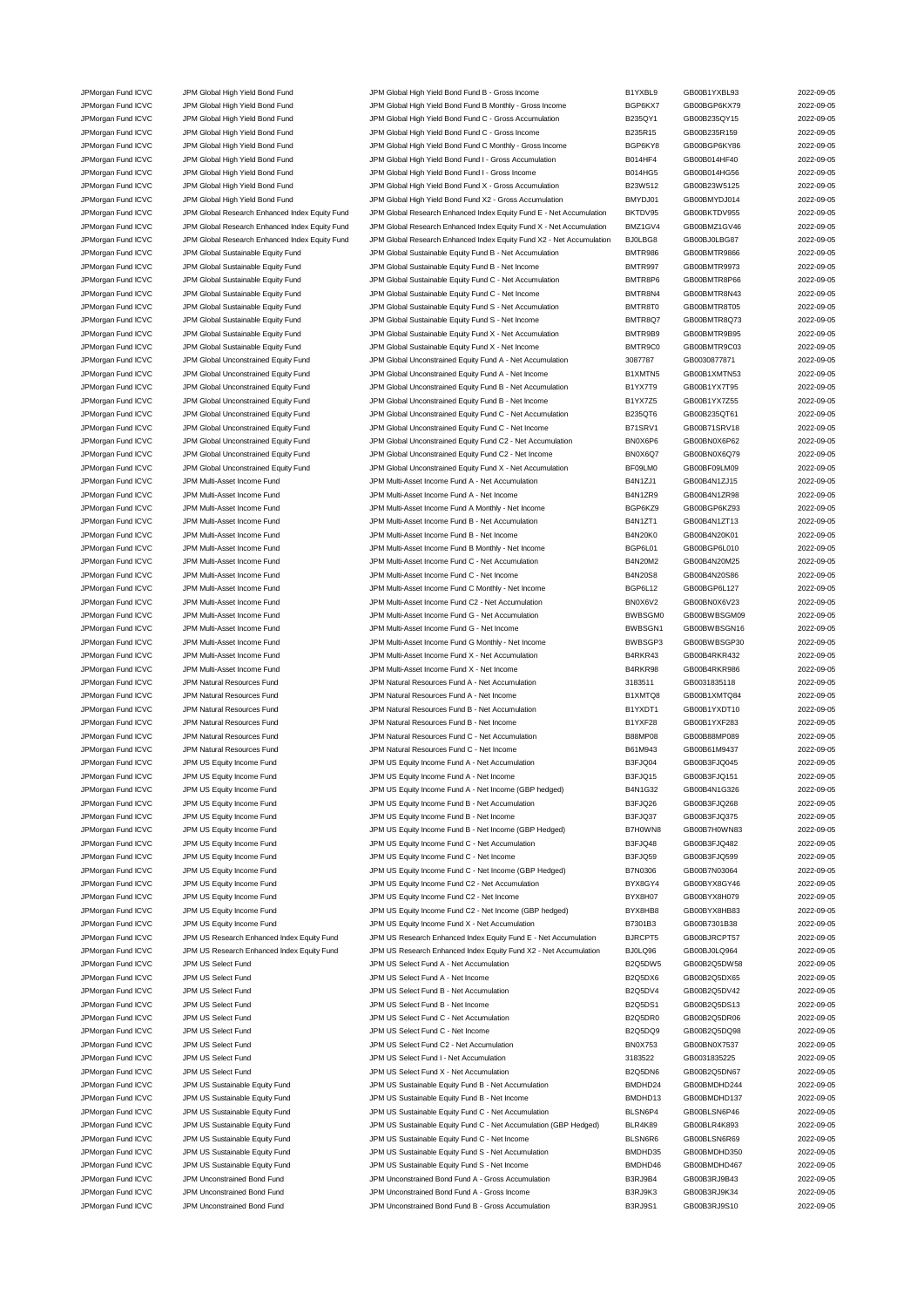| JPMorgan Fund ICVC                       | JPM Global High Yield Bond Fund                | JPM Global High Yield Bond Fund B - Gross Income                     | B1YXBL9            | GB00B1YXBL93                 | 2022-09-05 |
|------------------------------------------|------------------------------------------------|----------------------------------------------------------------------|--------------------|------------------------------|------------|
| JPMorgan Fund ICVC                       | JPM Global High Yield Bond Fund                | JPM Global High Yield Bond Fund B Monthly - Gross Income             | BGP6KX7            | GB00BGP6KX79                 | 2022-09-05 |
| JPMorgan Fund ICVC                       | JPM Global High Yield Bond Fund                | JPM Global High Yield Bond Fund C - Gross Accumulation               | B235QY1            | GB00B235QY15                 | 2022-09-05 |
| JPMorgan Fund ICVC                       | JPM Global High Yield Bond Fund                | JPM Global High Yield Bond Fund C - Gross Income                     | B235R15            | GB00B235R159                 | 2022-09-05 |
| JPMorgan Fund ICVC                       | JPM Global High Yield Bond Fund                | JPM Global High Yield Bond Fund C Monthly - Gross Income             | BGP6KY8            | GB00BGP6KY86                 | 2022-09-05 |
| JPMorgan Fund ICVC                       | JPM Global High Yield Bond Fund                | JPM Global High Yield Bond Fund I - Gross Accumulation               | B014HF4            | GB00B014HF40                 | 2022-09-05 |
| JPMorgan Fund ICVC                       | JPM Global High Yield Bond Fund                | JPM Global High Yield Bond Fund I - Gross Income                     | B014HG5            | GB00B014HG56                 | 2022-09-05 |
| JPMorgan Fund ICVC                       | JPM Global High Yield Bond Fund                | JPM Global High Yield Bond Fund X - Gross Accumulation               | B23W512            | GB00B23W5125                 | 2022-09-05 |
| JPMorgan Fund ICVC                       | JPM Global High Yield Bond Fund                | JPM Global High Yield Bond Fund X2 - Gross Accumulation              | BMYDJ01            | GB00BMYDJ014                 | 2022-09-05 |
|                                          |                                                |                                                                      |                    |                              |            |
| JPMorgan Fund ICVC                       | JPM Global Research Enhanced Index Equity Fund | JPM Global Research Enhanced Index Equity Fund E - Net Accumulation  | BKTDV95            | GB00BKTDV955                 | 2022-09-05 |
| JPMorgan Fund ICVC                       | JPM Global Research Enhanced Index Equity Fund | JPM Global Research Enhanced Index Equity Fund X - Net Accumulation  | BMZ1GV4            | GB00BMZ1GV46                 | 2022-09-05 |
| JPMorgan Fund ICVC                       | JPM Global Research Enhanced Index Equity Fund | JPM Global Research Enhanced Index Equity Fund X2 - Net Accumulation | BJ0LBG8            | GB00BJ0LBG87                 | 2022-09-05 |
| JPMorgan Fund ICVC                       | JPM Global Sustainable Equity Fund             | JPM Global Sustainable Equity Fund B - Net Accumulation              | <b>BMTR986</b>     | GB00BMTR9866                 | 2022-09-05 |
| JPMorgan Fund ICVC                       | JPM Global Sustainable Equity Fund             | JPM Global Sustainable Equity Fund B - Net Income                    | BMTR997            | GB00BMTR9973                 | 2022-09-05 |
| JPMorgan Fund ICVC                       | JPM Global Sustainable Equity Fund             | JPM Global Sustainable Equity Fund C - Net Accumulation              | BMTR8P6            | GB00BMTR8P66                 | 2022-09-05 |
| JPMorgan Fund ICVC                       | JPM Global Sustainable Equity Fund             | JPM Global Sustainable Equity Fund C - Net Income                    | BMTR8N4            | GB00BMTR8N43                 | 2022-09-05 |
| JPMorgan Fund ICVC                       | JPM Global Sustainable Equity Fund             | JPM Global Sustainable Equity Fund S - Net Accumulation              | BMTR8T0            | GB00BMTR8T05                 | 2022-09-05 |
| JPMorgan Fund ICVC                       | JPM Global Sustainable Equity Fund             | JPM Global Sustainable Equity Fund S - Net Income                    | BMTR8Q7            | GB00BMTR8Q73                 | 2022-09-05 |
| JPMorgan Fund ICVC                       | JPM Global Sustainable Equity Fund             | JPM Global Sustainable Equity Fund X - Net Accumulation              | BMTR9B9            | GB00BMTR9B95                 | 2022-09-05 |
| JPMorgan Fund ICVC                       | JPM Global Sustainable Equity Fund             | JPM Global Sustainable Equity Fund X - Net Income                    | BMTR9C0            | GB00BMTR9C03                 | 2022-09-05 |
|                                          |                                                |                                                                      |                    | GB0030877871                 |            |
| JPMorgan Fund ICVC                       | JPM Global Unconstrained Equity Fund           | JPM Global Unconstrained Equity Fund A - Net Accumulation            | 3087787            |                              | 2022-09-05 |
| JPMorgan Fund ICVC                       | JPM Global Unconstrained Equity Fund           | JPM Global Unconstrained Equity Fund A - Net Income                  | B1XMTN5            | GB00B1XMTN53                 | 2022-09-05 |
| JPMorgan Fund ICVC                       | JPM Global Unconstrained Equity Fund           | JPM Global Unconstrained Equity Fund B - Net Accumulation            | B1YX7T9            | GB00B1YX7T95                 | 2022-09-05 |
| JPMorgan Fund ICVC                       | JPM Global Unconstrained Equity Fund           | JPM Global Unconstrained Equity Fund B - Net Income                  | B1YX7Z5            | GB00B1YX7Z55                 | 2022-09-05 |
| JPMorgan Fund ICVC                       | JPM Global Unconstrained Equity Fund           | JPM Global Unconstrained Equity Fund C - Net Accumulation            | B235QT6            | GB00B235QT61                 | 2022-09-05 |
| JPMorgan Fund ICVC                       | JPM Global Unconstrained Equity Fund           | JPM Global Unconstrained Equity Fund C - Net Income                  | B71SRV1            | GB00B71SRV18                 | 2022-09-05 |
| JPMorgan Fund ICVC                       | JPM Global Unconstrained Equity Fund           | JPM Global Unconstrained Equity Fund C2 - Net Accumulation           | BN0X6P6            | GB00BN0X6P62                 | 2022-09-05 |
| JPMorgan Fund ICVC                       | JPM Global Unconstrained Equity Fund           | JPM Global Unconstrained Equity Fund C2 - Net Income                 | BN0X6Q7            | GB00BN0X6Q79                 | 2022-09-05 |
| JPMorgan Fund ICVC                       | JPM Global Unconstrained Equity Fund           | JPM Global Unconstrained Equity Fund X - Net Accumulation            | BF09LM0            | GB00BF09LM09                 | 2022-09-05 |
| JPMorgan Fund ICVC                       | JPM Multi-Asset Income Fund                    | JPM Multi-Asset Income Fund A - Net Accumulation                     | B4N1ZJ1            | GB00B4N1ZJ15                 | 2022-09-05 |
| JPMorgan Fund ICVC                       | JPM Multi-Asset Income Fund                    | JPM Multi-Asset Income Fund A - Net Income                           | B4N1ZR9            | GB00B4N1ZR98                 | 2022-09-05 |
|                                          |                                                |                                                                      |                    |                              | 2022-09-05 |
| JPMorgan Fund ICVC                       | JPM Multi-Asset Income Fund                    | JPM Multi-Asset Income Fund A Monthly - Net Income                   | BGP6KZ9            | GB00BGP6KZ93                 |            |
| JPMorgan Fund ICVC                       | JPM Multi-Asset Income Fund                    | JPM Multi-Asset Income Fund B - Net Accumulation                     | B4N1ZT1            | GB00B4N1ZT13                 | 2022-09-05 |
| JPMorgan Fund ICVC                       | JPM Multi-Asset Income Fund                    | JPM Multi-Asset Income Fund B - Net Income                           | <b>B4N20K0</b>     | GB00B4N20K01                 | 2022-09-05 |
| JPMorgan Fund ICVC                       | JPM Multi-Asset Income Fund                    | JPM Multi-Asset Income Fund B Monthly - Net Income                   | BGP6L01            | GB00BGP6L010                 | 2022-09-05 |
| JPMorgan Fund ICVC                       | JPM Multi-Asset Income Fund                    | JPM Multi-Asset Income Fund C - Net Accumulation                     | B4N20M2            | GB00B4N20M25                 | 2022-09-05 |
| JPMorgan Fund ICVC                       | JPM Multi-Asset Income Fund                    | JPM Multi-Asset Income Fund C - Net Income                           | <b>B4N20S8</b>     | GB00B4N20S86                 | 2022-09-05 |
| JPMorgan Fund ICVC                       | JPM Multi-Asset Income Fund                    | JPM Multi-Asset Income Fund C Monthly - Net Income                   | BGP6L12            | GB00BGP6L127                 | 2022-09-05 |
| JPMorgan Fund ICVC                       | JPM Multi-Asset Income Fund                    | JPM Multi-Asset Income Fund C2 - Net Accumulation                    | BN0X6V2            | GB00BN0X6V23                 | 2022-09-05 |
| JPMorgan Fund ICVC                       | JPM Multi-Asset Income Fund                    | JPM Multi-Asset Income Fund G - Net Accumulation                     | BWBSGM0            | GB00BWBSGM09                 | 2022-09-05 |
| JPMorgan Fund ICVC                       | JPM Multi-Asset Income Fund                    | JPM Multi-Asset Income Fund G - Net Income                           | BWBSGN1            | GB00BWBSGN16                 | 2022-09-05 |
|                                          |                                                |                                                                      |                    |                              |            |
| JPMorgan Fund ICVC                       | JPM Multi-Asset Income Fund                    | JPM Multi-Asset Income Fund G Monthly - Net Income                   | BWBSGP3            | GB00BWBSGP30                 | 2022-09-05 |
| JPMorgan Fund ICVC                       | JPM Multi-Asset Income Fund                    | JPM Multi-Asset Income Fund X - Net Accumulation                     | B4RKR43            | GB00B4RKR432                 | 2022-09-05 |
| JPMorgan Fund ICVC                       | JPM Multi-Asset Income Fund                    | JPM Multi-Asset Income Fund X - Net Income                           | B4RKR98            | GB00B4RKR986                 | 2022-09-05 |
| JPMorgan Fund ICVC                       | JPM Natural Resources Fund                     | JPM Natural Resources Fund A - Net Accumulation                      | 3183511            | GB0031835118                 | 2022-09-05 |
| JPMorgan Fund ICVC                       | JPM Natural Resources Fund                     | JPM Natural Resources Fund A - Net Income                            | B1XMTQ8            | GB00B1XMTQ84                 | 2022-09-05 |
|                                          |                                                | JPM Natural Resources Fund B - Net Accumulation                      | B1YXDT1            | GB00B1YXDT10                 | 2022-09-05 |
| JPMorgan Fund ICVC                       | JPM Natural Resources Fund                     |                                                                      |                    |                              |            |
| JPMorgan Fund ICVC                       | JPM Natural Resources Fund                     | JPM Natural Resources Fund B - Net Income                            | B1YXF28            | GB00B1YXF283                 | 2022-09-05 |
| JPMorgan Fund ICVC                       | JPM Natural Resources Fund                     | JPM Natural Resources Fund C - Net Accumulation                      | <b>B88MP08</b>     | GB00B88MP089                 | 2022-09-05 |
|                                          |                                                |                                                                      |                    |                              |            |
| JPMorgan Fund ICVC                       | JPM Natural Resources Fund                     | JPM Natural Resources Fund C - Net Income                            | B61M943            | GB00B61M9437                 | 2022-09-05 |
| JPMorgan Fund ICVC                       | JPM US Equity Income Fund                      | JPM US Equity Income Fund A - Net Accumulation                       | B3FJQ04            | GB00B3FJQ045                 | 2022-09-05 |
| JPMorgan Fund ICVC                       | JPM US Equity Income Fund                      | JPM US Equity Income Fund A - Net Income                             | B3FJQ15            | GB00B3FJQ151                 | 2022-09-05 |
| JPMorgan Fund ICVC                       | JPM US Equity Income Fund                      | JPM US Equity Income Fund A - Net Income (GBP hedged)                | B4N1G32            | GB00B4N1G326                 | 2022-09-05 |
| JPMorgan Fund ICVC                       | JPM US Equity Income Fund                      | JPM US Equity Income Fund B - Net Accumulation                       | B3FJQ26            | GB00B3FJQ268                 | 2022-09-05 |
| JPMorgan Fund ICVC                       | JPM US Equity Income Fund                      | JPM US Equity Income Fund B - Net Income                             | B3FJQ37            | GB00B3FJQ375                 | 2022-09-05 |
| JPMorgan Fund ICVC                       | JPM US Equity Income Fund                      | JPM US Equity Income Fund B - Net Income (GBP Hedged)                | B7H0WN8            | GB00B7H0WN83                 | 2022-09-05 |
| JPMorgan Fund ICVC                       | JPM US Equity Income Fund                      | JPM US Equity Income Fund C - Net Accumulation                       | B3FJQ48            | GB00B3FJQ482                 | 2022-09-05 |
| JPMorgan Fund ICVC                       | JPM US Equity Income Fund                      | JPM US Equity Income Fund C - Net Income                             | B3FJQ59            | GB00B3FJQ599                 | 2022-09-05 |
| JPMorgan Fund ICVC                       | JPM US Equity Income Fund                      | JPM US Equity Income Fund C - Net Income (GBP Hedged)                | B7N0306            | GB00B7N03064                 | 2022-09-05 |
| JPMorgan Fund ICVC                       | JPM US Equity Income Fund                      | JPM US Equity Income Fund C2 - Net Accumulation                      | BYX8GY4            | GB00BYX8GY46                 | 2022-09-05 |
|                                          |                                                |                                                                      |                    |                              |            |
| JPMorgan Fund ICVC<br>JPMorgan Fund ICVC | JPM US Equity Income Fund                      | JPM US Equity Income Fund C2 - Net Income                            | BYX8H07<br>BYX8HB8 | GB00BYX8H079<br>GB00BYX8HB83 | 2022-09-05 |
|                                          | JPM US Equity Income Fund                      | JPM US Equity Income Fund C2 - Net Income (GBP hedged)               |                    |                              | 2022-09-05 |
| JPMorgan Fund ICVC                       | JPM US Equity Income Fund                      | JPM US Equity Income Fund X - Net Accumulation                       | B7301B3            | GB00B7301B38                 | 2022-09-05 |
| JPMorgan Fund ICVC                       | JPM US Research Enhanced Index Equity Fund     | JPM US Research Enhanced Index Equity Fund E - Net Accumulation      | BJRCPT5            | GB00BJRCPT57                 | 2022-09-05 |
| JPMorgan Fund ICVC                       | JPM US Research Enhanced Index Equity Fund     | JPM US Research Enhanced Index Equity Fund X2 - Net Accumulation     | BJ0LQ96            | GB00BJ0LQ964                 | 2022-09-05 |
| JPMorgan Fund ICVC                       | JPM US Select Fund                             | JPM US Select Fund A - Net Accumulation                              | B2Q5DW5            | GB00B2Q5DW58                 | 2022-09-05 |
| JPMorgan Fund ICVC                       | JPM US Select Fund                             | JPM US Select Fund A - Net Income                                    | B2Q5DX6            | GB00B2Q5DX65                 | 2022-09-05 |
| JPMorgan Fund ICVC                       | JPM US Select Fund                             | JPM US Select Fund B - Net Accumulation                              | B2Q5DV4            | GB00B2Q5DV42                 | 2022-09-05 |
| JPMorgan Fund ICVC                       | JPM US Select Fund                             | JPM US Select Fund B - Net Income                                    | <b>B2Q5DS1</b>     | GB00B2Q5DS13                 | 2022-09-05 |
| JPMorgan Fund ICVC                       | JPM US Select Fund                             | JPM US Select Fund C - Net Accumulation                              | B2Q5DR0            | GB00B2Q5DR06                 | 2022-09-05 |
| JPMorgan Fund ICVC                       | JPM US Select Fund                             | JPM US Select Fund C - Net Income                                    | B2Q5DQ9            | GB00B2Q5DQ98                 | 2022-09-05 |
|                                          | JPM US Select Fund                             | JPM US Select Fund C2 - Net Accumulation                             | <b>BN0X753</b>     | GB00BN0X7537                 | 2022-09-05 |
| JPMorgan Fund ICVC                       |                                                |                                                                      |                    |                              |            |
| JPMorgan Fund ICVC                       | JPM US Select Fund                             | JPM US Select Fund I - Net Accumulation                              | 3183522            | GB0031835225                 | 2022-09-05 |
| JPMorgan Fund ICVC                       | JPM US Select Fund                             | JPM US Select Fund X - Net Accumulation                              | B2Q5DN6            | GB00B2Q5DN67                 | 2022-09-05 |
| JPMorgan Fund ICVC                       | JPM US Sustainable Equity Fund                 | JPM US Sustainable Equity Fund B - Net Accumulation                  | BMDHD24            | GB00BMDHD244                 | 2022-09-05 |
| JPMorgan Fund ICVC                       | JPM US Sustainable Equity Fund                 | JPM US Sustainable Equity Fund B - Net Income                        | BMDHD13            | GB00BMDHD137                 | 2022-09-05 |
| JPMorgan Fund ICVC                       | JPM US Sustainable Equity Fund                 | JPM US Sustainable Equity Fund C - Net Accumulation                  | BLSN6P4            | GB00BLSN6P46                 | 2022-09-05 |
| JPMorgan Fund ICVC                       | JPM US Sustainable Equity Fund                 | JPM US Sustainable Equity Fund C - Net Accumulation (GBP Hedged)     | BLR4K89            | GB00BLR4K893                 | 2022-09-05 |
| JPMorgan Fund ICVC                       | JPM US Sustainable Equity Fund                 | JPM US Sustainable Equity Fund C - Net Income                        | BLSN6R6            | GB00BLSN6R69                 | 2022-09-05 |
| JPMorgan Fund ICVC                       | JPM US Sustainable Equity Fund                 | JPM US Sustainable Equity Fund S - Net Accumulation                  | BMDHD35            | GB00BMDHD350                 | 2022-09-05 |
| JPMorgan Fund ICVC                       | JPM US Sustainable Equity Fund                 | JPM US Sustainable Equity Fund S - Net Income                        | BMDHD46            | GB00BMDHD467                 | 2022-09-05 |
| JPMorgan Fund ICVC                       | JPM Unconstrained Bond Fund                    | JPM Unconstrained Bond Fund A - Gross Accumulation                   | B3RJ9B4            | GB00B3RJ9B43                 | 2022-09-05 |
| JPMorgan Fund ICVC                       | JPM Unconstrained Bond Fund                    | JPM Unconstrained Bond Fund A - Gross Income                         | B3RJ9K3            | GB00B3RJ9K34                 | 2022-09-05 |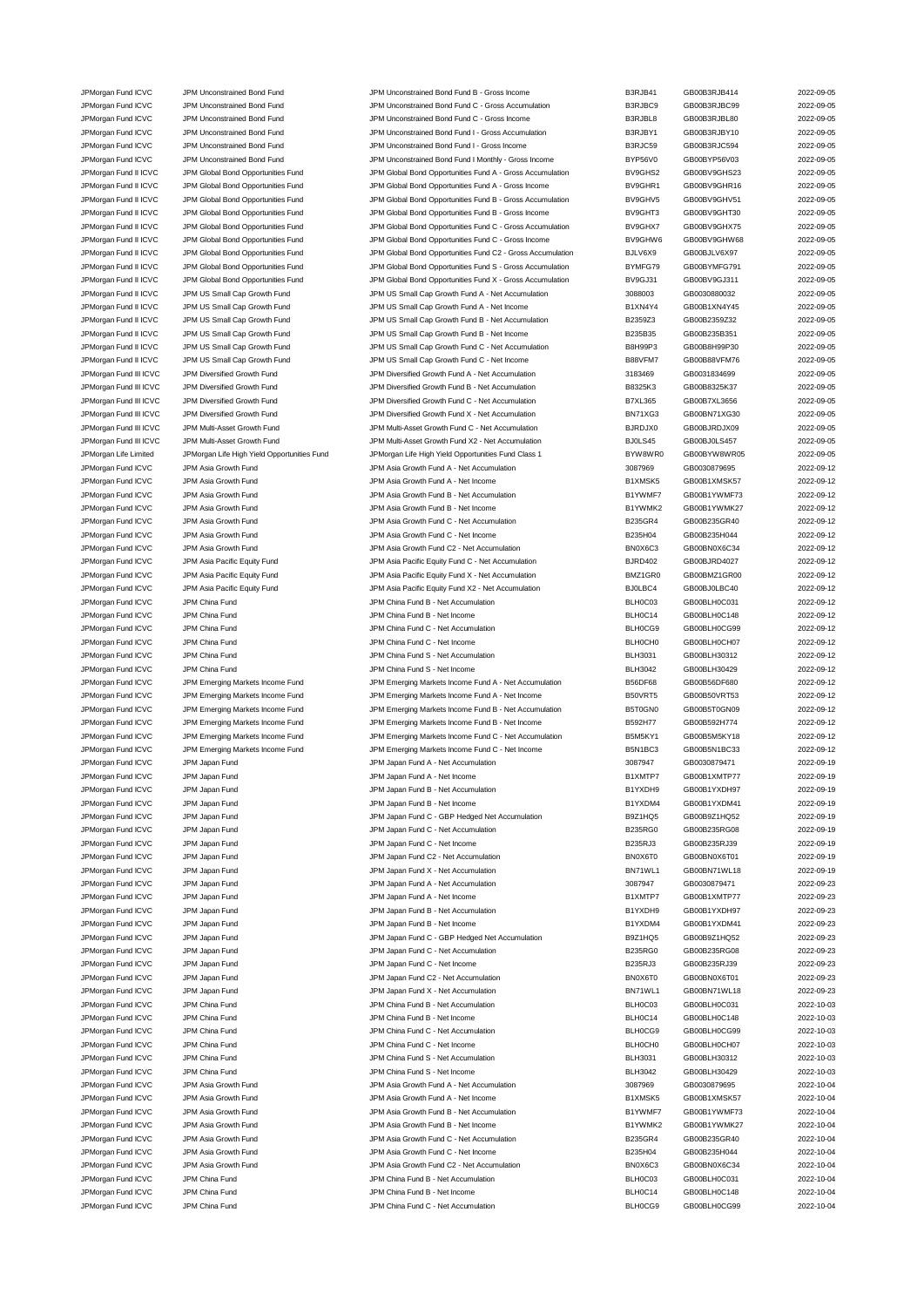| JPMorgan Fund ICVC     | JPM Unconstrained Bond Fund                 | JPM Unconstrained Bond Fund B - Gross Income               | B3RJB41        | GB00B3RJB414 | 2022-09-05 |
|------------------------|---------------------------------------------|------------------------------------------------------------|----------------|--------------|------------|
| JPMorgan Fund ICVC     | JPM Unconstrained Bond Fund                 | JPM Unconstrained Bond Fund C - Gross Accumulation         | B3RJBC9        | GB00B3RJBC99 | 2022-09-05 |
| JPMorgan Fund ICVC     | JPM Unconstrained Bond Fund                 | JPM Unconstrained Bond Fund C - Gross Income               | B3RJBL8        | GB00B3RJBL80 | 2022-09-05 |
| JPMorgan Fund ICVC     | JPM Unconstrained Bond Fund                 | JPM Unconstrained Bond Fund I - Gross Accumulation         | B3RJBY1        | GB00B3RJBY10 | 2022-09-05 |
| JPMorgan Fund ICVC     | JPM Unconstrained Bond Fund                 | JPM Unconstrained Bond Fund I - Gross Income               | B3RJC59        | GB00B3RJC594 | 2022-09-05 |
| JPMorgan Fund ICVC     | JPM Unconstrained Bond Fund                 | JPM Unconstrained Bond Fund I Monthly - Gross Income       | BYP56V0        | GB00BYP56V03 | 2022-09-05 |
| JPMorgan Fund II ICVC  | JPM Global Bond Opportunities Fund          | JPM Global Bond Opportunities Fund A - Gross Accumulation  | BV9GHS2        | GB00BV9GHS23 | 2022-09-05 |
|                        | JPM Global Bond Opportunities Fund          |                                                            |                |              | 2022-09-05 |
| JPMorgan Fund II ICVC  |                                             | JPM Global Bond Opportunities Fund A - Gross Income        | BV9GHR1        | GB00BV9GHR16 |            |
| JPMorgan Fund II ICVC  | JPM Global Bond Opportunities Fund          | JPM Global Bond Opportunities Fund B - Gross Accumulation  | BV9GHV5        | GB00BV9GHV51 | 2022-09-05 |
| JPMorgan Fund II ICVC  | JPM Global Bond Opportunities Fund          | JPM Global Bond Opportunities Fund B - Gross Income        | BV9GHT3        | GB00BV9GHT30 | 2022-09-05 |
| JPMorgan Fund II ICVC  | JPM Global Bond Opportunities Fund          | JPM Global Bond Opportunities Fund C - Gross Accumulation  | BV9GHX7        | GB00BV9GHX75 | 2022-09-05 |
| JPMorgan Fund II ICVC  | JPM Global Bond Opportunities Fund          | JPM Global Bond Opportunities Fund C - Gross Income        | BV9GHW6        | GB00BV9GHW68 | 2022-09-05 |
| JPMorgan Fund II ICVC  | JPM Global Bond Opportunities Fund          | JPM Global Bond Opportunities Fund C2 - Gross Accumulation | BJLV6X9        | GB00BJLV6X97 | 2022-09-05 |
| JPMorgan Fund II ICVC  | JPM Global Bond Opportunities Fund          | JPM Global Bond Opportunities Fund S - Gross Accumulation  | BYMFG79        | GB00BYMFG791 | 2022-09-05 |
| JPMorgan Fund II ICVC  | JPM Global Bond Opportunities Fund          | JPM Global Bond Opportunities Fund X - Gross Accumulation  | BV9GJ31        | GB00BV9GJ311 | 2022-09-05 |
| JPMorgan Fund II ICVC  | JPM US Small Cap Growth Fund                | JPM US Small Cap Growth Fund A - Net Accumulation          | 3088003        | GB0030880032 | 2022-09-05 |
| JPMorgan Fund II ICVC  | JPM US Small Cap Growth Fund                | JPM US Small Cap Growth Fund A - Net Income                | B1XN4Y4        | GB00B1XN4Y45 | 2022-09-05 |
| JPMorgan Fund II ICVC  | JPM US Small Cap Growth Fund                | JPM US Small Cap Growth Fund B - Net Accumulation          | B2359Z3        | GB00B2359Z32 | 2022-09-05 |
|                        |                                             |                                                            | B235B35        |              |            |
| JPMorgan Fund II ICVC  | JPM US Small Cap Growth Fund                | JPM US Small Cap Growth Fund B - Net Income                |                | GB00B235B351 | 2022-09-05 |
| JPMorgan Fund II ICVC  | JPM US Small Cap Growth Fund                | JPM US Small Cap Growth Fund C - Net Accumulation          | <b>B8H99P3</b> | GB00B8H99P30 | 2022-09-05 |
| JPMorgan Fund II ICVC  | JPM US Small Cap Growth Fund                | JPM US Small Cap Growth Fund C - Net Income                | B88VFM7        | GB00B88VFM76 | 2022-09-05 |
| JPMorgan Fund III ICVC | JPM Diversified Growth Fund                 | JPM Diversified Growth Fund A - Net Accumulation           | 3183469        | GB0031834699 | 2022-09-05 |
| JPMorgan Fund III ICVC | JPM Diversified Growth Fund                 | JPM Diversified Growth Fund B - Net Accumulation           | B8325K3        | GB00B8325K37 | 2022-09-05 |
| JPMorgan Fund III ICVC | JPM Diversified Growth Fund                 | JPM Diversified Growth Fund C - Net Accumulation           | <b>B7XL365</b> | GB00B7XL3656 | 2022-09-05 |
| JPMorgan Fund III ICVC | JPM Diversified Growth Fund                 | JPM Diversified Growth Fund X - Net Accumulation           | BN71XG3        | GB00BN71XG30 | 2022-09-05 |
| JPMorgan Fund III ICVC | JPM Multi-Asset Growth Fund                 | JPM Multi-Asset Growth Fund C - Net Accumulation           | BJRDJX0        | GB00BJRDJX09 | 2022-09-05 |
| JPMorgan Fund III ICVC | JPM Multi-Asset Growth Fund                 | JPM Multi-Asset Growth Fund X2 - Net Accumulation          | BJ0LS45        | GB00BJ0LS457 | 2022-09-05 |
| JPMorgan Life Limited  | JPMorgan Life High Yield Opportunities Fund | JPMorgan Life High Yield Opportunities Fund Class 1        | BYW8WR0        | GB00BYW8WR05 | 2022-09-05 |
|                        |                                             |                                                            |                |              |            |
| JPMorgan Fund ICVC     | JPM Asia Growth Fund                        | JPM Asia Growth Fund A - Net Accumulation                  | 3087969        | GB0030879695 | 2022-09-12 |
| JPMorgan Fund ICVC     | JPM Asia Growth Fund                        | JPM Asia Growth Fund A - Net Income                        | B1XMSK5        | GB00B1XMSK57 | 2022-09-12 |
| JPMorgan Fund ICVC     | JPM Asia Growth Fund                        | JPM Asia Growth Fund B - Net Accumulation                  | B1YWMF7        | GB00B1YWMF73 | 2022-09-12 |
| JPMorgan Fund ICVC     | JPM Asia Growth Fund                        | JPM Asia Growth Fund B - Net Income                        | B1YWMK2        | GB00B1YWMK27 | 2022-09-12 |
| JPMorgan Fund ICVC     | JPM Asia Growth Fund                        | JPM Asia Growth Fund C - Net Accumulation                  | <b>B235GR4</b> | GB00B235GR40 | 2022-09-12 |
| JPMorgan Fund ICVC     | JPM Asia Growth Fund                        | JPM Asia Growth Fund C - Net Income                        | B235H04        | GB00B235H044 | 2022-09-12 |
| JPMorgan Fund ICVC     | JPM Asia Growth Fund                        | JPM Asia Growth Fund C2 - Net Accumulation                 | BN0X6C3        | GB00BN0X6C34 | 2022-09-12 |
| JPMorgan Fund ICVC     | JPM Asia Pacific Equity Fund                | JPM Asia Pacific Equity Fund C - Net Accumulation          | <b>BJRD402</b> | GB00BJRD4027 | 2022-09-12 |
| JPMorgan Fund ICVC     | JPM Asia Pacific Equity Fund                | JPM Asia Pacific Equity Fund X - Net Accumulation          | BMZ1GR0        | GB00BMZ1GR00 | 2022-09-12 |
|                        |                                             |                                                            | BJ0LBC4        |              | 2022-09-12 |
| JPMorgan Fund ICVC     | JPM Asia Pacific Equity Fund                | JPM Asia Pacific Equity Fund X2 - Net Accumulation         |                | GB00BJ0LBC40 |            |
| JPMorgan Fund ICVC     | JPM China Fund                              | JPM China Fund B - Net Accumulation                        | BLH0C03        | GB00BLH0C031 | 2022-09-12 |
| JPMorgan Fund ICVC     | JPM China Fund                              | JPM China Fund B - Net Income                              | BLH0C14        | GB00BLH0C148 | 2022-09-12 |
| JPMorgan Fund ICVC     | JPM China Fund                              | JPM China Fund C - Net Accumulation                        | BLH0CG9        | GB00BLH0CG99 | 2022-09-12 |
| JPMorgan Fund ICVC     | JPM China Fund                              | JPM China Fund C - Net Income                              | BLH0CH0        | GB00BLH0CH07 | 2022-09-12 |
| JPMorgan Fund ICVC     | JPM China Fund                              | JPM China Fund S - Net Accumulation                        | <b>BLH3031</b> | GB00BLH30312 | 2022-09-12 |
| JPMorgan Fund ICVC     | JPM China Fund                              | JPM China Fund S - Net Income                              | <b>BLH3042</b> | GB00BLH30429 | 2022-09-12 |
| JPMorgan Fund ICVC     | JPM Emerging Markets Income Fund            | JPM Emerging Markets Income Fund A - Net Accumulation      | <b>B56DF68</b> | GB00B56DF680 | 2022-09-12 |
| JPMorgan Fund ICVC     | JPM Emerging Markets Income Fund            | JPM Emerging Markets Income Fund A - Net Income            | B50VRT5        | GB00B50VRT53 | 2022-09-12 |
|                        | JPM Emerging Markets Income Fund            | JPM Emerging Markets Income Fund B - Net Accumulation      | B5T0GN0        | GB00B5T0GN09 | 2022-09-12 |
| JPMorgan Fund ICVC     |                                             |                                                            |                |              |            |
| JPMorgan Fund ICVC     | JPM Emerging Markets Income Fund            | JPM Emerging Markets Income Fund B - Net Income            | B592H77        | GB00B592H774 | 2022-09-12 |
| JPMorgan Fund ICVC     | JPM Emerging Markets Income Fund            | JPM Emerging Markets Income Fund C - Net Accumulation      | B5M5KY1        | GB00B5M5KY18 | 2022-09-12 |
| JPMorgan Fund ICVC     | JPM Emerging Markets Income Fund            | JPM Emerging Markets Income Fund C - Net Income            | B5N1BC3        | GB00B5N1BC33 | 2022-09-12 |
| JPMorgan Fund ICVC     | JPM Japan Fund                              | JPM Japan Fund A - Net Accumulation                        | 3087947        | GB0030879471 | 2022-09-19 |
| JPMorgan Fund ICVC     | JPM Japan Fund                              | IPM Janan Fund A - Net Income                              | B1XMTP7        | GB00B1XMTP77 | 2022-09-19 |
| JPMorgan Fund ICVC     | JPM Japan Fund                              | JPM Japan Fund B - Net Accumulation                        | B1YXDH9        | GB00B1YXDH97 | 2022-09-19 |
| JPMorgan Fund ICVC     | JPM Japan Fund                              | JPM Japan Fund B - Net Income                              | B1YXDM4        | GB00B1YXDM41 | 2022-09-19 |
| JPMorgan Fund ICVC     | JPM Japan Fund                              | JPM Japan Fund C - GBP Hedged Net Accumulation             |                |              |            |
| JPMorgan Fund ICVC     |                                             |                                                            |                |              |            |
|                        |                                             |                                                            | B9Z1HQ5        | GB00B9Z1HQ52 | 2022-09-19 |
|                        | JPM Japan Fund                              | JPM Japan Fund C - Net Accumulation                        | B235RG0        | GB00B235RG08 | 2022-09-19 |
| JPMorgan Fund ICVC     | JPM Japan Fund                              | JPM Japan Fund C - Net Income                              | B235RJ3        | GB00B235RJ39 | 2022-09-19 |
| JPMorgan Fund ICVC     | JPM Japan Fund                              | JPM Japan Fund C2 - Net Accumulation                       | BN0X6T0        | GB00BN0X6T01 | 2022-09-19 |
| JPMorgan Fund ICVC     | JPM Japan Fund                              | JPM Japan Fund X - Net Accumulation                        | BN71WL1        | GB00BN71WL18 | 2022-09-19 |
| JPMorgan Fund ICVC     | JPM Japan Fund                              | JPM Japan Fund A - Net Accumulation                        | 3087947        | GB0030879471 | 2022-09-23 |
| JPMorgan Fund ICVC     | JPM Japan Fund                              | JPM Japan Fund A - Net Income                              | B1XMTP7        | GB00B1XMTP77 | 2022-09-23 |
| JPMorgan Fund ICVC     | JPM Japan Fund                              | JPM Japan Fund B - Net Accumulation                        | B1YXDH9        | GB00B1YXDH97 | 2022-09-23 |
| JPMorgan Fund ICVC     | JPM Japan Fund                              | JPM Japan Fund B - Net Income                              | B1YXDM4        | GB00B1YXDM41 | 2022-09-23 |
| JPMorgan Fund ICVC     | JPM Japan Fund                              | JPM Japan Fund C - GBP Hedged Net Accumulation             | B9Z1HQ5        | GB00B9Z1HQ52 | 2022-09-23 |
|                        |                                             |                                                            |                |              |            |
| JPMorgan Fund ICVC     | JPM Japan Fund                              | JPM Japan Fund C - Net Accumulation                        | <b>B235RG0</b> | GB00B235RG08 | 2022-09-23 |
| JPMorgan Fund ICVC     | JPM Japan Fund                              | JPM Japan Fund C - Net Income                              | B235RJ3        | GB00B235RJ39 | 2022-09-23 |
| JPMorgan Fund ICVC     | JPM Japan Fund                              | JPM Japan Fund C2 - Net Accumulation                       | BN0X6T0        | GB00BN0X6T01 | 2022-09-23 |
| JPMorgan Fund ICVC     | JPM Japan Fund                              | JPM Japan Fund X - Net Accumulation                        | BN71WL1        | GB00BN71WL18 | 2022-09-23 |
| JPMorgan Fund ICVC     | JPM China Fund                              | JPM China Fund B - Net Accumulation                        | BLH0C03        | GB00BLH0C031 | 2022-10-03 |
| JPMorgan Fund ICVC     | JPM China Fund                              | JPM China Fund B - Net Income                              | BLH0C14        | GB00BLH0C148 | 2022-10-03 |
| JPMorgan Fund ICVC     | JPM China Fund                              | JPM China Fund C - Net Accumulation                        | BLH0CG9        | GB00BLH0CG99 | 2022-10-03 |
| JPMorgan Fund ICVC     | JPM China Fund                              | JPM China Fund C - Net Income                              | BLH0CH0        | GB00BLH0CH07 | 2022-10-03 |
| JPMorgan Fund ICVC     | JPM China Fund                              | JPM China Fund S - Net Accumulation                        | <b>BLH3031</b> | GB00BLH30312 | 2022-10-03 |
| JPMorgan Fund ICVC     | JPM China Fund                              | JPM China Fund S - Net Income                              | <b>BLH3042</b> | GB00BLH30429 | 2022-10-03 |
|                        |                                             |                                                            |                |              |            |
| JPMorgan Fund ICVC     | JPM Asia Growth Fund                        | JPM Asia Growth Fund A - Net Accumulation                  | 3087969        | GB0030879695 | 2022-10-04 |
| JPMorgan Fund ICVC     | JPM Asia Growth Fund                        | JPM Asia Growth Fund A - Net Income                        | B1XMSK5        | GB00B1XMSK57 | 2022-10-04 |
| JPMorgan Fund ICVC     | JPM Asia Growth Fund                        | JPM Asia Growth Fund B - Net Accumulation                  | B1YWMF7        | GB00B1YWMF73 | 2022-10-04 |
| JPMorgan Fund ICVC     | JPM Asia Growth Fund                        | JPM Asia Growth Fund B - Net Income                        | B1YWMK2        | GB00B1YWMK27 | 2022-10-04 |
| JPMorgan Fund ICVC     | JPM Asia Growth Fund                        | JPM Asia Growth Fund C - Net Accumulation                  | B235GR4        | GB00B235GR40 | 2022-10-04 |
| JPMorgan Fund ICVC     | JPM Asia Growth Fund                        | JPM Asia Growth Fund C - Net Income                        | B235H04        | GB00B235H044 | 2022-10-04 |
| JPMorgan Fund ICVC     | JPM Asia Growth Fund                        | JPM Asia Growth Fund C2 - Net Accumulation                 | BN0X6C3        | GB00BN0X6C34 | 2022-10-04 |
| JPMorgan Fund ICVC     | JPM China Fund                              | JPM China Fund B - Net Accumulation                        | BLH0C03        | GB00BLH0C031 | 2022-10-04 |
| JPMorgan Fund ICVC     | JPM China Fund                              | JPM China Fund B - Net Income                              | BLH0C14        | GB00BLH0C148 | 2022-10-04 |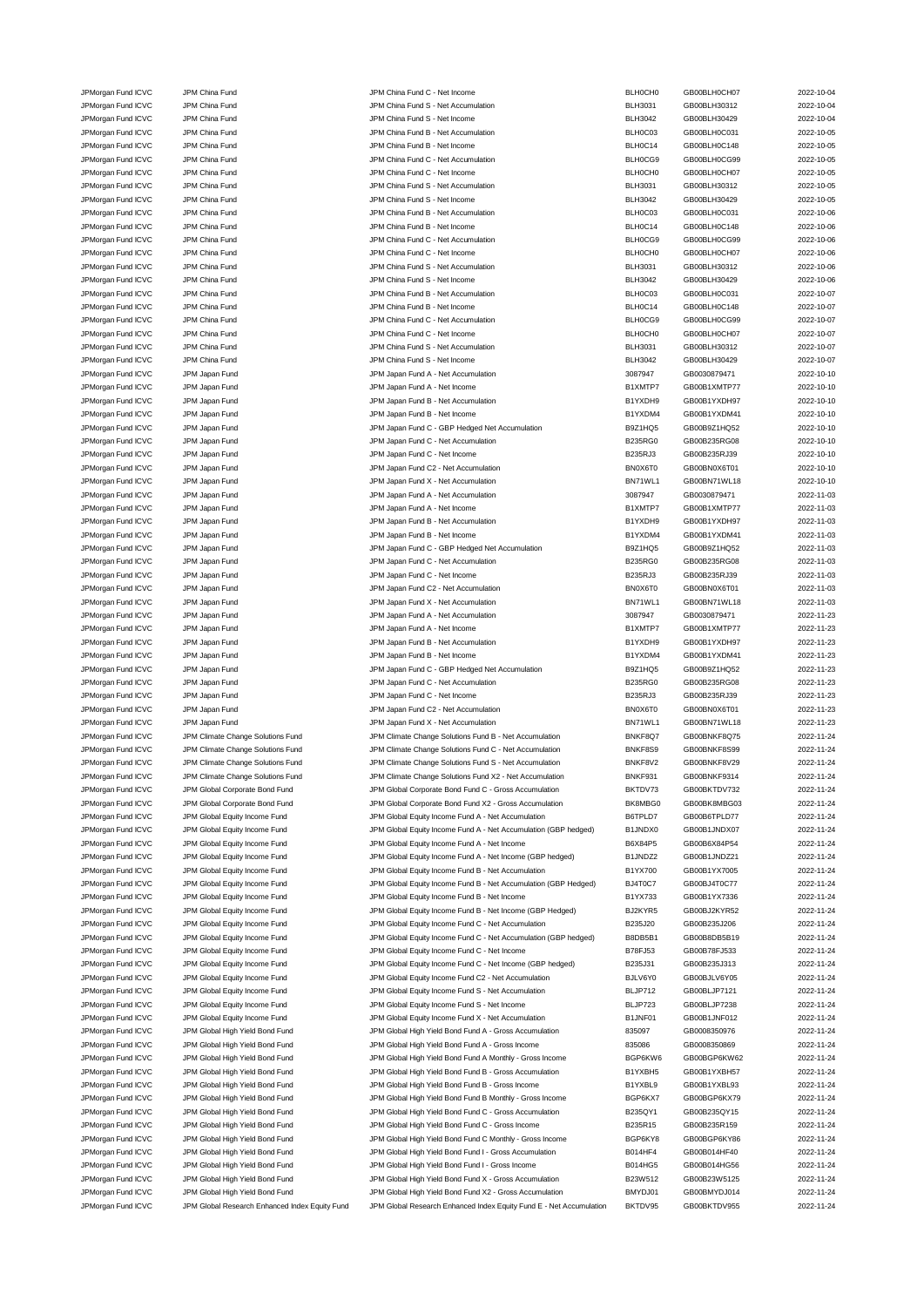JPMorgan Fund ICVC JPM China Fund JPM China Fund S - Net Accumulation BLH3031 GB00BLH30312 2022-10-04 JPMorgan Fund ICVC JPM China Fund China Fund JPM China Fund S - Net Income China Fund BLH3042 GB00BLH30429 2022-10-05<br>JPMorgan Fund ICVC JPM China Fund State of Description JPM China Fund B - Net Accumulation China But BLH JPMorgan Fund ICVC JPM China Fund JPM China Fund B - Net Accumulation BLH0C03 GB00BLH0C031 2022-10-05 JPMorgan Fund ICVC JPM China Fund Studies of the Superior China Fund B - Net Income BLH0C14 BLH0C14 GB00BLH0C148 2022-10-05 JPMorgan Fund ICVC JPM China Fund Studies of the Superior C - Net Accumulation C - Net Accumulation C - Net Accumulation BLH0CG9 GB00BLH0CG99 2022-10-05 JPMorgan Fund ICVC JPM China Fund JPM China Fund C - Net Income BLH0CH0 GB00BLH0CH07 2022-10-05 JPMorgan Fund ICVC JPM China Fund JPM China Fund S - Net Accumulation BLH3031 GB00BLH30312 2022-10-05 JPMorgan Fund ICVC JPM China Fund China Fund S - Net Income BLH3042 GB00BLH30429 2022-10-05 JPMorgan Fund ICVC JPM China Fund China Fund JPM China Fund B - Net Accumulation BLH0C03 GB00BLH0C031 2022-10-06 JPMorgan Fund ICVC JPM China Fund States of the State of the UNCOME STATES of the UNITY OF A GROUBLHOC148 2022-10-06 JPMorgan Fund ICVC JPM China Fund JPM China Fund C - Net Accumulation BLH0CG9 GB00BLH0CG99 2022-10-06 JPMorgan Fund ICVC JPM China Fund China Fund C - Net Income BLH0CH0 GB00BLH0CH07 2022-10-06 JPMorgan Fund ICVC JPM China Fund JPM China Fund S - Net Accumulation BLH3031 GB00BLH30312 2022-10-06 JPMorgan Fund ICVC JPM China Fund JPM China Fund S - Net Income BLH3042 GB00BLH30429 2022-10-06 JPMorgan Fund ICVC JPM China Fund Studies of the Secure JPM China Fund B - Net Accumulation BLH0C03 GB00BLH0C031 2022-10-07 JPMorgan Fund ICVC JPM China Fund JPM China Fund B - Net Income BLH0C14 GB00BLH0C148 2022-10-07 JPMorgan Fund ICVC JPM China Fund C - Net Accumulation C - Net Accumulation BLH0CG9 GB00BLH0CG99 2022-10-07 JPMorgan Fund ICVC JPM China Fund Company of the United States of the United States of the United States of the United States of the United States of the United States of the 2022-10-07 JPMorgan Fund ICVC JPM China Fund JPM China Fund S - Net Accumulation BLH3031 GB00BLH30312 2022-10-07 JPM China Fund China Fund JPM China Fund S - Net Income BLH3042 GB00BLH30429 2022-10-07 JPMorgan Fund ICVC JPM Japan Fund JPM Japan Fund A - Net Accumulation 3087947 GB0030879471 2022-10-10 JPMorgan Fund ICVC JPM Japan Fund 

JPM Japan Fund A - Net Income

JPM Jet and COC JPM Japan Fund A - Net Income

JPM Jet and COC JPM Japan Fund A - Net Income

JPM Jet and COC JPM Japan Fund A - Net Income

JPM Jet and C JPMorgan Fund ICVC JPM Japan Fund JPM Japan Fund B - Net Accumulation B1YXDH9 GB00B1YXDH97 2022-10-10 JPMorgan Fund ICVC JPM Japan Fund 

JPM Japan And B1YNDM Japan Fund B - Net Income B1YXDM4 GB00B1YXDM41 2022-10-10 JPMorgan Fund ICVC JPM Japan Fund JPM Japan Fund C - GBP Hedged Net Accumulation B9Z1HQ5 GB00B9Z1HQ52 2022-10-10 JPMorgan Fund ICVC JPM Japan Fund JPM Japan Fund C - Net Accumulation B235RG0 GB00B235RG08 2022-10-10 JPMorgan Fund ICVC JPM Japan Fund States of the States of the UPM Japan Fund C - Net Income C - Net Income C - Net Income B235RJ3 GB00B235RJ39 2022-10-10 JPMorgan Fund ICVC JPM Japan Fund JPM Japan Fund C2 - Net Accumulation BN0X6T0 GB00BN0X6T01 2022-10-10 JPMorgan Fund ICVC JPM Japan Fund JPM Japan Fund X - Net Accumulation BN71WL1 GB00BN71WL18 2022-10-10 JPMorgan Fund ICVC JPM Japan Fund JPM Japan Fund A - Net Accumulation 3087947 GB0030879471 2022-11-03 JPMorgan Fund ICVC JPM Japan Fund States and A - Net Income CHO CHO A - Net Income B1XMTP7 GB00B1XMTP77 2022-11-03 JPMorgan Fund ICVC JPM Japan Fund JPM Japan Fund B - Net Accumulation B1YXDH9 GB00B1YXDH97 2022-11-03 JPMorgan Fund ICVC JPM Japan Fund ICV JPM Japan Fund B - Net Income B1YXDM4 GB00B1YXDM41 2022-11-03 JPMorgan Fund ICVC JPM Japan Fund JPM Japan Fund C - GBP Hedged Net Accumulation B9Z1HQ5 GB00B9Z1HQ52 2022-11-03 JPMorgan Fund ICVC JPM Japan Fund 10022-11-03 JPM Japan Fund C - Net Accumulation C - Net Accumulation B235RG0 GB00B235RG08 2022-11-03 JPMorgan Fund ICVC JPM Japan Fund States of the States of Lates and C - Net Income C - Net Income C - Net Income B235RJ3 GB00B235RJ39 2022-11-03 JPMorgan Fund ICVC JPM Japan Fund JPM Japan Fund C2 - Net Accumulation BN0X6T0 GB00BN0X6T01 2022-11-03 JPMorgan Fund ICVC JPM Japan Fund JPM Japan Fund X - Net Accumulation BN71WL1 GB00BN71WL18 2022-11-03 JPMorgan Fund ICVC JPM Japan Fund JPM Japan Fund A - Net Accumulation 3087947 GB0030879471 2022-11-23 JPMorgan Fund ICVC JPM Japan Fund **ICVC** JPM Japan Fund A - Net Income **B1XMTP7** GB00B1XMTP77 2022-11-23 JPMorgan Fund ICVC JPM Japan Fund JPM Japan Fund B - Net Accumulation B1YXDH9 GB00B1YXDH97 2022-11-23 JPMorgan Fund ICVC JPM Japan Fund Same JPM Japan Fund B - Net Income CHO CHO B1YXDM4 GB00B1YXDM41 2022-11-23 JPMorgan Fund ICVC JPM Japan Fund JPM Japan Fund C - GBP Hedged Net Accumulation B9Z1HQ5 GB00B9Z1HQ52 2022-11-23 JPMorgan Fund ICVC JPM Japan Fund 12022-11-23 JPM Japan Fund C - Net Accumulation B235RG0 GB00B235RG08 2022-11-23 JPMorgan Fund ICVC JPM Japan Fund JPM Japan Fund C - Net Income B235RJ3 GB00B235RJ39 2022-11-23 JPMorgan Fund ICVC JPM Japan Fund JPM Japan Fund C2 - Net Accumulation BN0X6T0 GB00BN0X6T01 2022-11-23 JPMorgan Fund ICVC JPM Japan Fund JPM Japan Fund X - Net Accumulation BN71WL1 GB00BN71WL18 2022-11-23 JPMorgan Fund ICVC JPM Climate Change Solutions Fund JPM Climate Change Solutions Fund B - Net Accumulation BNKF8Q7 GB00BNKF8Q75 2022-11-24 JPMorgan Fund ICVC JPM Climate Change Solutions Fund JPM Climate Change Solutions Fund C - Net Accumulation BNKF8S9 GB00BNKF8S99 2022-11-24 JPMorgan Fund ICVC JPM Climate Change Solutions Fund JPM Climate Change Solutions Fund S - Net Accumulation BNKF8V2 GB00BNKF8V29 2022-11-24 JPMorgan Fund ICVC JPM Climate Change Solutions Fund JPM Climate Change Solutions Fund X2 - Net Accumulation<br>JPMorgan Fund ICVC JPM Global Corporate Bond Fund JPM Global Corporate Bond Fund C - Gross Accumulation BKTDV73 G JPMorgan Fund ICVC JPM Global Corporate Bond Fund JPM Global Corporate Bond Fund C - Gross Accumulation BKTDV73 GB00BKTDV732 JPMorgan Fund ICVC JPM Global Corporate Bond Fund JPM Global Corporate Bond Fund X2 - Gross Accumulation BK8MBG0 GB00BK8MBG03 2022-11-24 JPMorgan Fund ICVC JPM Global Equity Income Fund JPM Global Equity Income Fund A - Net Accumulation B6TPLD7 GB00B6TPLD77 2022-11-24 JPMorgan Fund ICVC JPM Global Equity Income Fund JPM Global Equity Income Fund A - Net Accumulation (GBP hedged) B1JNDX0 GB00B1JNDX07 2022-11-24 JPMorgan Fund ICVC JPM Global Equity Income Fund JPM Global Equity Income Fund A - Net Income Bind A - Net Income B6X84P5 GB00B6X84P54 2022-11-24 JPMorgan Fund ICVC JPM Global Equity Income Fund JPM Global Equity Income Fund A - Net Income (GBP hedged) B1JNDZ2 GB00B1JNDZ21 2022-11-24 JPMorgan Fund ICVC JPM Global Equity Income Fund JPM Global Equity Income Fund B - Net Accumulation B1YX700 GB00B1YX7005 2022-11-24 JPMorgan Fund ICVC JPM Global Equity Income Fund JPM Global Equity Income Fund B - Net Accumulation (GBP Hedged) BJ4T0C7 GB00BJ4T0C77 2022-11-24 JPMorgan Fund ICVC JPM Global Equity Income Fund JPM Global Equity Income Fund B - Net Income B1YX733 GB00B1YX7336 2022-11-24 JPMorgan Fund ICVC JPM Global Equity Income Fund JPM Global Equity Income Fund B - Net Income (GBP Hedged) BJ2KYR5 GB00BJ2KYR52 2022-11-24 JPMorgan Fund ICVC JPM Global Equity Income Fund JPM Global Equity Income Fund C - Net Accumulation B235J20 GB00B235J206 2022-11-24 JPMorgan Fund ICVC JPM Global Equity Income Fund JPM Global Equity Income Fund C - Net Accumulation (GBP hedged) B8DB5B1 GB00B8DB5B19 2022-11-24 JPMorgan Fund ICVC JPM Global Equity Income Fund JPM Global Equity Income Fund C - Net Income B78FJ53 GB00B78FJ533 2022-11-24 JPMorgan Fund ICVC JPM Global Equity Income Fund JPM Global Equity Income Fund C - Net Income (GBP hedged) B235J31 GB00B235J313 2022-11-24 JPMorgan Fund ICVC JPM Global Equity Income Fund JPM Global Equity Income Fund C2 - Net Accumulation BJLV6Y0 GB00BJLV6Y05 2022-11-24 JPMorgan Fund ICVC JPM Global Equity Income Fund JPM Global Equity Income Fund S - Net Accumulation BLJP712 GB00BLJP7121 2022-11-24 JPMorgan Fund ICVC JPM Global Equity Income Fund JPM Global Equity Income Fund S - Net Income Bund S - BLJP723 GB00BLJP7238 2022-11-24 JPMorgan Fund ICVC JPM Global Equity Income Fund JPM Global Equity Income Fund X - Net Accumulation B1JNF01 GB00B1JNF012 2022-11-24 JPMorgan Fund ICVC JPM Global High Yield Bond Fund JPM Global High Yield Bond Fund A - Gross Accumulation 835097 GB0008350976 2022-11-24 JPMorgan Fund ICVC JPM Global High Yield Bond Fund JPM Global High Yield Bond Fund A - Gross Income 835086 GB0008350869 2022-11-24 JPMorgan Fund ICVC JPM Global High Yield Bond Fund JPM Global High Yield Bond Fund A Monthly - Gross Income BGP6KW6 GB00BGP6KW62 2022-11-24 JPMorgan Fund ICVC JPM Global High Yield Bond Fund JPM Global High Yield Bond Fund B - Gross Accumulation B1YXBH5 GB00B1YXBH57 2022-11-24 JPMorgan Fund ICVC JPM Global High Yield Bond Fund JPM Global High Yield Bond Fund B - Gross Income B1YXBL9 GB00B1YXBL93 2022-11-24 JPMorgan Fund ICVC JPM Global High Yield Bond Fund JPM Global High Yield Bond Fund B Monthly - Gross Income BGP6KX7 GB00BGP6KX79 2022-11-24 JPMorgan Fund ICVC JPM Global High Yield Bond Fund JPM Global High Yield Bond Fund C - Gross Accumulation B235QY1 GB00B235QY15 2022-11-24 JPMorgan Fund ICVC JPM Global High Yield Bond Fund JPM Global High Yield Bond Fund C - Gross Income B235R15 GB00B235R159 2022-11-24 JPMorgan Fund ICVC JPM Global High Yield Bond Fund JPM Global High Yield Bond Fund C Monthly - Gross Income BGP6KY8 GB00BGP6KY86 2022-11-24<br>IPMorgan Fund ICVC JPM Global High Yield Bond Fund JPM Global High Yield Bond Fund JPMorgan Fund ICVC JPM Global High Yield Bond Fund JPM Global High Yield Bond Fund I - Gross Accumulation B014HF4 GB00B014HF40 2022-11-24 JPMorgan Fund ICVC JPM Global High Yield Bond Fund JPM Global High Yield Bond Fund I - Gross Income B014HG5 GB00B014HG56 2022-11-24 JPMorgan Fund ICVC JPM Global High Yield Bond Fund JPM Global High Yield Bond Fund X - Gross Accumulation B23W512 GB00B23W5125 2022-11-24 JPMorgan Fund ICVC JPM Global High Yield Bond Fund JPM Global High Yield Bond Fund X2 - Gross Accumulation BMYDJ01 GB00BMYDJ014 2022-11-24 JPMorgan Fund ICVC JPM Global Research Enhanced Index Equity Fund JPM Global Research Enhanced Index Equity Fund E - Net Accumulation BKTDV95 GB00BKTDV955 2022-11-24

JPMorgan Fund ICVC JPM China Fund CHO JPM China Fund C - Net Income BLH0CH0 GB00BLH0CH07 2022-10-04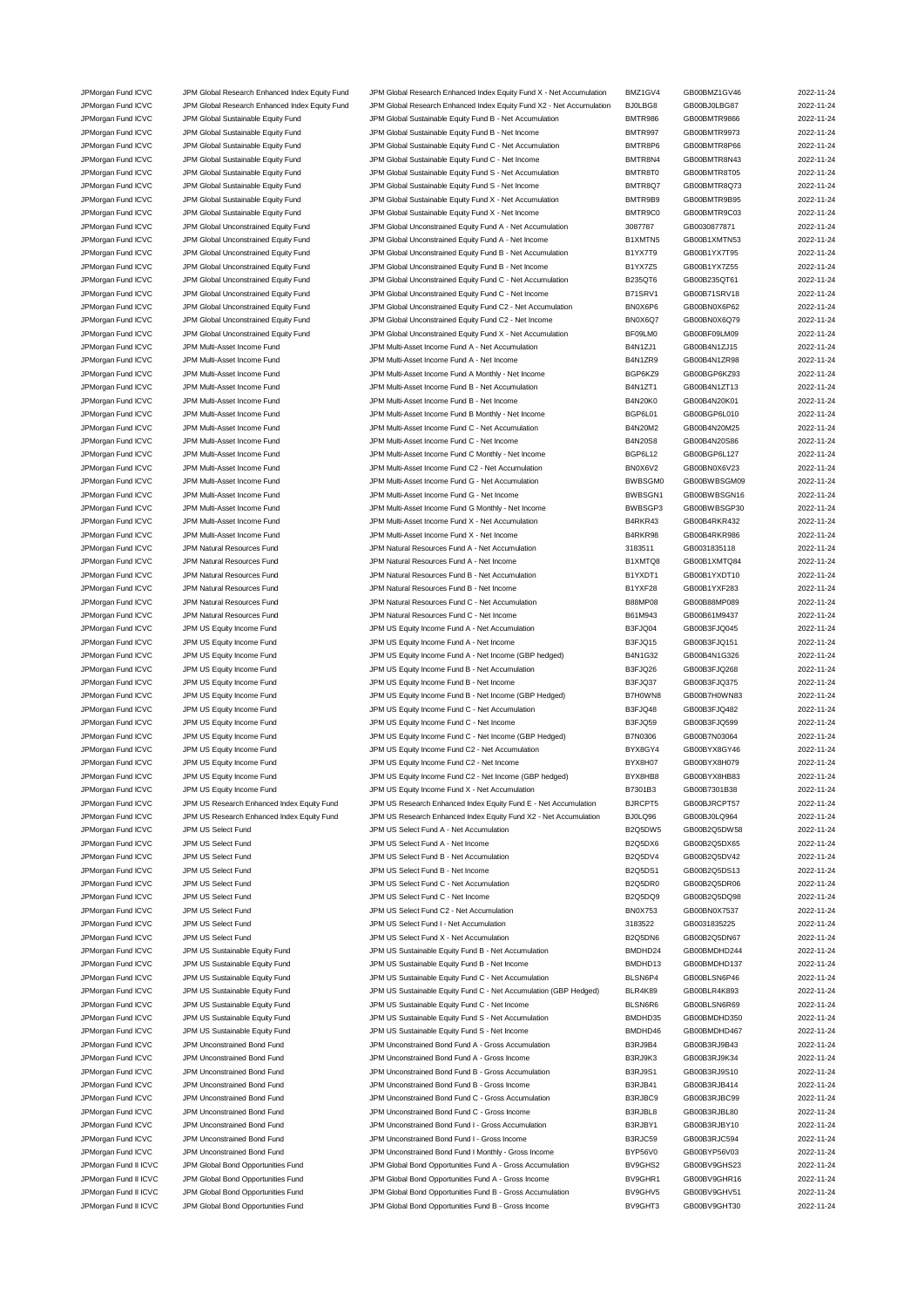JPMorgan Fund ICVC JPM Global Research Enhanced Index Equity Fund JPM Global Research Enhanced Index Equity Fund X - Net Accumulation BMZ1GV4 GB00BMZ1GV46 2022-11-24 JPMorgan Fund ICVC JPM Global Research Enhanced Index Equity Fund JPM Global Research Enhanced Index Equity Fund X2 - Net Accumulation BJ0LBG8 GB00BJ0LBG87 2022-11-24 JPMorgan Fund ICVC JPM Global Sustainable Equity Fund JPM Global Sustainable Equity Fund B - Net Accumulation<br>JPMorgan Fund ICVC JPM Global Sustainable Fouity Fund JPM Global Sustainable Fouity Fund B - Net Income BMTR997 JPMorgan Fund ICVC JPM Global Sustainable Equity Fund JPM Global Sustainable Equity Fund B - Net Income BMTR997 GB00BMTR9973 2022-11-24 JPMorgan Fund ICVC JPM Global Sustainable Equity Fund JPM Global Sustainable Equity Fund C - Net Accumulation BMTR8P6 GB00BMTR8P66 2022-11-24 JPMorgan Fund ICVC JPM Global Sustainable Equity Fund JPM Global Sustainable Equity Fund C - Net Income BMTR8N4 GB00BMTR8N43 2022-11-24 JPMorgan Fund ICVC JPM Global Sustainable Equity Fund JPM Global Sustainable Equity Fund S - Net Accumulation BMTR8T0 GB00BMTR8T05 2022-11-24 JPMorgan Fund ICVC JPM Global Sustainable Equity Fund JPM Global Sustainable Equity Fund S - Net Income BMTR8Q7 GB00BMTR8Q73 2022-11-24<br>- IPMorgan Fund ICVC JPM Global Sustainable Fund JPM Global Sustainable Equity Fund X JPMorgan Fund ICVC JPM Global Sustainable Equity Fund JPM Global Sustainable Equity Fund X - Net Accumulation<br>IDMorgan Fund ICVC JPM Global Sustainable Funity Fund JPM Global Sustainable Funity Fund X - Net Income SMTR9C0 JPMorgan Fund ICVC JPM Global Sustainable Equity Fund JPM Global Sustainable Equity Fund X - Net Income BMTR9C0 GB00BMTR9C03 2022-11-24 JPMorgan Fund ICVC JPM Global Unconstrained Equity Fund JPM Global Unconstrained Equity Fund A - Net Accumulation 3087787 GB0030877871 2022-11-24 JPMorgan Fund ICVC JPM Global Unconstrained Equity Fund JPM Global Unconstrained Equity Fund A - Net Income B1XMTN5 GB00B1XMTN53 2022-11-24 JPMorgan Fund ICVC JPM Global Unconstrained Equity Fund JPM Global Unconstrained Equity Fund B - Net Accumulation B1YX7T9 GB00B1YX7T95 2022-11-24<br>JPMorgan Fund ICVC JPM Global Unconstrained Equity Fund JPM Global Unconstra JPMorgan Fund ICVC JPM Global Unconstrained Equity Fund JPM Global Unconstrained Equity Fund B - Net Income B1YX7Z5 GB00B1YX7Z55 2022-11-24 JPMorgan Fund ICVC JPM Global Unconstrained Equity Fund JPM Global Unconstrained Equity Fund C - Net Accumulation B235QT6 GB00B235QT61 2022-11-24 JPMorgan Fund ICVC JPM Global Unconstrained Equity Fund JPM Global Unconstrained Equity Fund C - Net Income B71SRV1 GB00B71SRV18 2022-11-24 JPMorgan Fund ICVC JPM Global Unconstrained Equity Fund JPM Global Unconstrained Equity Fund C2 - Net Accumulation BN0X6P6 GB00BN0X6P62 2022-11-24 JPMorgan Fund ICVC JPM Global Unconstrained Equity Fund JPM Global Unconstrained Equity Fund C2 - Net Income BN0X6Q7 GB00BN0X6Q79 2022-11-24 JPMorgan Fund ICVC JPM Global Unconstrained Equity Fund JPM Global Unconstrained Equity Fund X - Net Accumulation BF09LM0 GB00BF09LM09 2022-11-24 JPMorgan Fund ICVC JPM Multi-Asset Income Fund JPM Multi-Asset Income Fund A - Net Accumulation B4N1ZJ1 GB00B4N1ZJ15 2022-11-24 JPMorgan Fund ICVC JPM Multi-Asset Income Fund JPM Multi-Asset Income Fund A - Net Income B4N1ZR9 GB00B4N1ZR98 2022-11-24 JPMorgan Fund ICVC JPM Multi-Asset Income Fund JPM Multi-Asset Income Fund A Monthly - Net Income BGP6KZ9 GB00BGP6KZ93 2022-11-24 JPMorgan Fund ICVC JPM Multi-Asset Income Fund JPM Multi-Asset Income Fund B - Net Accumulation B4N1ZT1 GB00B4N1ZT13 2022-11-24 JPMorgan Fund ICVC JPM Multi-Asset Income Fund JPM Multi-Asset Income Fund B - Net Income B4N20K0 GB00B4N20K01 2022-11-24 JPMorgan Fund ICVC JPM Multi-Asset Income Fund JPM Multi-Asset Income Fund B Monthly - Net Income BGP6L01 GB00BGP6L010 2022-11-24 JPMorgan Fund ICVC JPM Multi-Asset Income Fund JPM Multi-Asset Income Fund C - Net Accumulation B4N20M2 GB00B4N20M25 2022-11-24 JPMorgan Fund ICVC JPM Multi-Asset Income Fund JPM Multi-Asset Income Fund C - Net Income B4N20S8 GB00B4N20S86 2022-11-24 JPMorgan Fund ICVC JPM Multi-Asset Income Fund<br>JPMorgan Fund ICVC JPM Multi-Asset Income Fund JPM Multi-Asset Income Fund C2 - Net Accumulation BNOX6V2 GB00BN0X6V23 2022-11-24 JPMorgan Fund ICVC JPM Multi-Asset Income Fund JPM Multi-Asset Income Fund C2 - Net Accumulation BN0X6V2 GB00BN0X6V23 JPMorgan Fund ICVC JPM Multi-Asset Income Fund JPM Multi-Asset Income Fund G - Net Accumulation BWBSGM0 GB00BWBSGM09 2022-11-24 JPMorgan Fund ICVC JPM Multi-Asset Income Fund JPM Multi-Asset Income Fund G - Net Income BWBSGN1 GB00BWBSGN16 2022-11-24 JPMorgan Fund ICVC JPM Multi-Asset Income Fund JPM Multi-Asset Income Fund G Monthly - Net Income BWBSGP3 GB00BWBSGP30 2022-11-24 JPMorgan Fund ICVC JPM Multi-Asset Income Fund JPM Multi-Asset Income Fund X - Net Accumulation B4RKR43 GB00B4RKR432 2022-11-24 JPMorgan Fund ICVC JPM Multi-Asset Income Fund JPM Multi-Asset Income Fund X - Net Income B4RKR98 GB00B4RKR986 2022-11-24 JPMorgan Fund ICVC JPM Natural Resources Fund JPM Natural Resources Fund A - Net Accumulation 3183511 GB0031835118 2022-11-24 JPMorgan Fund ICVC JPM Natural Resources Fund JPM Natural Resources Fund A - Net Income B1XMTQ8 GB00B1XMTQ84 2022-11-24 JPMorgan Fund ICVC JPM Natural Resources Fund JPM Natural Resources Fund B - Net Accumulation B1YXDT1 GB00B1YXDT10 2022-11-24 JPMorgan Fund ICVC JPM Natural Resources Fund JPM Natural Resources Fund B - Net Income B1YXF28 GB00B1YXF283 2022-11-24 JPMorgan Fund ICVC JPM Natural Resources Fund JPM Natural Resources Fund C - Net Accumulation B88MP08 GB00B88MP089 2022-11-24 JPMorgan Fund ICVC JPM Natural Resources Fund JPM Natural Resources Fund C - Net Income B61M943 GB00B61M9437 2022-11-24 JPMorgan Fund ICVC JPM US Equity Income Fund JPM US Equity Income Fund A - Net Accumulation B3FJQ04 GB00B3FJQ045 2022-11-24 JPMorgan Fund ICVC JPM US Equity Income Fund JPM US Equity Income Fund A - Net Income B3FJQ15 GB00B3FJQ151 2022-11-24 JPMorgan Fund ICVC JPM US Equity Income Fund JPM US Equity Income Fund A - Net Income (GBP hedged) B4N1G32 GB00B4N1G326 2022-11-24 JPMorgan Fund ICVC JPM US Equity Income Fund JPM US Equity Income Fund B - Net Accumulation B3FJQ26 GB00B3FJQ268 2022-11-24 JPMorgan Fund ICVC JPM US Equity Income Fund JPM US Equity Income Fund B - Net Income B3FJQ37 GB00B3FJQ375 2022-11-24 JPMorgan Fund ICVC JPM US Equity Income Fund JPM US Equity Income Fund B - Net Income (GBP Hedged) B7H0WN8 GB00B7H0WN83 2022-11-24 JPMorgan Fund ICVC JPM US Equity Income Fund JPM US Equity Income Fund C - Net Accumulation B3FJQ48 GB00B3FJQ482 2022-11-24 JPMorgan Fund ICVC JPM US Equity Income Fund JPM US Equity Income Fund C - Net Income Based and B3FJQ59 GB00B3FJQ599 2022-11-24 JPMorgan Fund ICVC JPM US Equity Income Fund JPM US Equity Income Fund C - Net Income (GBP Hedged) B7N0306 GB00B7N03064 2022-11-24 JPMorgan Fund ICVC JPM US Equity Income Fund JPM US Equity Income Fund C2 - Net Accumulation BYX8GY4 GB00BYX8GY46 2022-11-24 JPMorgan Fund ICVC JPM US Equity Income Fund JPM US Equity Income Fund C2 - Net Income BYX8H07 GB00BYX8H079 2022-11-24 JPMorgan Fund ICVC JPM US Equity Income Fund JPM US Equity Income Fund C2 - Net Income (GBP hedged) BYX8HB8 GB00BYX8HB83 2022-11-24 JPMorgan Fund ICVC JPM US Equity Income Fund JPM US Equity Income Fund X - Net Accumulation B7301B3 GB00B7301B38 2022-11-24 JPMorgan Fund ICVC JPM US Research Enhanced Index Equity Fund JPM US Research Enhanced Index Equity Fund E - Net Accumulation BJRCPT5 GB00BJRCPT57 2022-11-24 JPMorgan Fund ICVC JPM US Research Enhanced Index Equity Fund JPM US Research Enhanced Index Equity Fund X2 - Net Accumulation BJ0LQ96 GB00BJ0LQ964 2022-11-24 JPMorgan Fund ICVC JPM US Select Fund JPM US Select Fund A - Net Accumulation B2Q5DW5 GB00B2Q5DW58 2022-11-24 JPMorgan Fund ICVC JPM US Select Fund **JPM US Select Fund A - Net Income** B2Q5DX6 BB00B2Q5DX65 2022-11-24 JPMorgan Fund ICVC JPM US Select Fund JPM US Select Fund B - Net Accumulation B2Q5DV4 GB00B2Q5DV42 2022-11-24 JPMorgan Fund ICVC JPM US Select Fund JPM US Select Fund B - Net Income B2Q5DS1 GB00B2Q5DS13 2022-11-24 JPMorgan Fund ICVC JPM US Select Fund JPM US Select Fund C - Net Accumulation B2Q5DR0 GB00B2Q5DR06 2022-11-24 JPMorgan Fund ICVC JPM US Select Fund JPM US Select Fund C - Net Income B2Q5DQ9 GB00B2Q5DQ98 2022-11-24 JPMorgan Fund ICVC JPM US Select Fund JPM US Select Fund C2 - Net Accumulation BN0X753 GB00BN0X7537 2022-11-24 JPMorgan Fund ICVC JPM US Select Fund JPM US Select Fund I - Net Accumulation 3183522 GB0031835225 2022-11-24 JPMorgan Fund ICVC JPM US Select Fund JPM US Select Fund X - Net Accumulation B2Q5DN6 GB00B2Q5DN67 2022-11-24<br>JPMorgan Fund ICVC JPM US Sustainable Equity Fund JPM US Sustainable Equity Fund B - Net Accumulation BMDHD24 GB JPMorgan Fund ICVC JPM US Sustainable Equity Fund JPM US Sustainable Equity Fund B - Net Accumulation BMDHD24 GB00BMDHD244 2022-11-24 JPMorgan Fund ICVC JPM US Sustainable Equity Fund JPM US Sustainable Equity Fund B - Net Income BMDHD13 GB00BMDHD137 2022-11-24 JPMorgan Fund ICVC JPM US Sustainable Equity Fund JPM US Sustainable Equity Fund C - Net Accumulation BLSN6P4 GB00BLSN6P46 2022-11-24 JPMorgan Fund ICVC JPM US Sustainable Equity Fund JPM US Sustainable Equity Fund C - Net Accumulation (GBP Hedged) BLR4K89 GB00BLR4K893 2022-11-24 JPMorgan Fund ICVC JPM US Sustainable Equity Fund JPM US Sustainable Equity Fund C - Net Income BLSN6R6 GB00BLSN6R69 2022-11-24 JPMorgan Fund ICVC JPM US Sustainable Equity Fund JPM US Sustainable Equity Fund S - Net Accumulation BMDHD35 GB00BMDHD350 2022-11-24 JPMorgan Fund ICVC JPM US Sustainable Equity Fund JPM US Sustainable Equity Fund S - Net Income BMDHD46 GB00BMDHD467 2022-11-24 JPMorgan Fund ICVC JPM Unconstrained Bond Fund JPM Unconstrained Bond Fund A - Gross Accumulation B3RJ9B4 GB00B3RJ9B43 2022-11-24 JPMorgan Fund ICVC JPM Unconstrained Bond Fund JPM Unconstrained Bond Fund A - Gross Income B3RJ9K3 GB00B3RJ9K34 2022-11-24 JPMorgan Fund ICVC JPM Unconstrained Bond Fund JPM Unconstrained Bond Fund B - Gross Accumulation B3RJ9S1 GB00B3RJ9S10 2022-11-24 JPMorgan Fund ICVC JPM Unconstrained Bond Fund JPM Unconstrained Bond Fund B - Gross Income B3RJB41 GB00B3RJB414 2022-11-24 JPMorgan Fund ICVC JPM Unconstrained Bond Fund JPM Unconstrained Bond Fund C - Gross Accumulation B3RJBC9 GB00B3RJBC99 2022-11-24 JPMorgan Fund ICVC JPM Unconstrained Bond Fund JPM Unconstrained Bond Fund C - Gross Income B3RJBL8 GB00B3RJBL80 2022-11-24 JPMorgan Fund ICVC JPM Unconstrained Bond Fund JPM Unconstrained Bond Fund I - Gross Accumulation B3RJBY1 GB00B3RJBY10 2022-11-24 JPMorgan Fund ICVC JPM Unconstrained Bond Fund JPM Unconstrained Bond Fund I - Gross Income B3RJC59 GB00B3RJC594 2022-11-24 JPMorgan Fund ICVC JPM Unconstrained Bond Fund JPM Unconstrained Bond Fund I Monthly - Gross Income BYP56V0 GB00BYP56V03 2022-11-24 JPMorgan Fund II ICVC JPM Global Bond Opportunities Fund JPM Global Bond Opportunities Fund A - Gross Accumulation BV9GHS2 GB00BV9GHS23 2022-11-24 JPMorgan Fund II ICVC JPM Global Bond Opportunities Fund JPM Global Bond Opportunities Fund A - Gross Income BV9GHR1 GB00BV9GHR16 2022-11-24 JPMorgan Fund II ICVC JPM Global Bond Opportunities Fund JPM Global Bond Opportunities Fund B - Gross Accumulation BV9GHV5 GB00BV9GHV51 2022-11-24 JPMorgan Fund II ICVC JPM Global Bond Opportunities Fund JPM Global Bond Opportunities Fund B - Gross Income BV9GHT3 GB00BV9GHT30 2022-11-24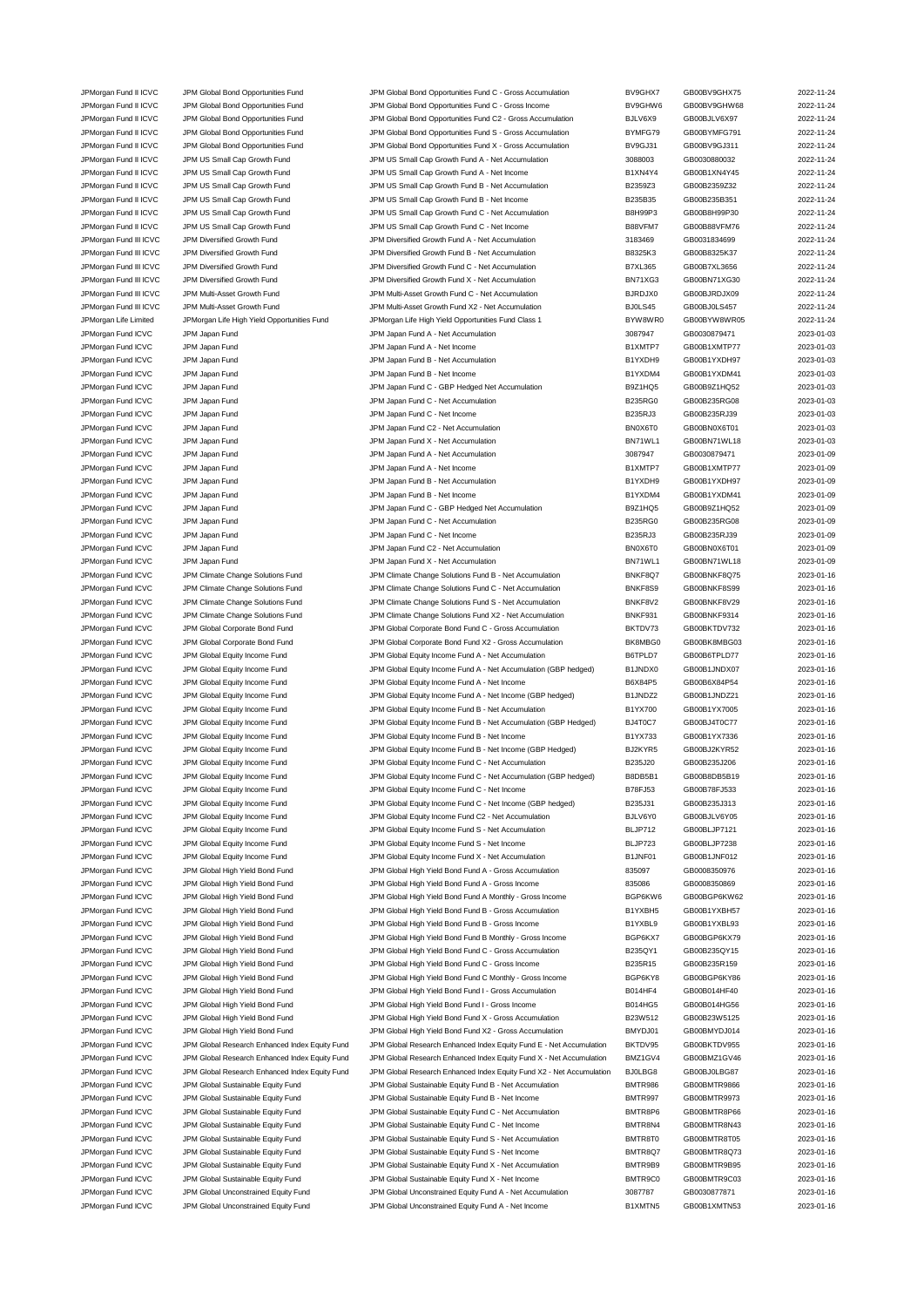JPMorgan Fund II ICVC JPM Global Bond Opportunities Fund JPM Global Bond Opportunities Fund C - Gross Accumulation BV9GHX7 GB00BV9GHX75 2022-11-24 JPMorgan Fund II ICVC JPM Global Bond Opportunities Fund JPM Global Bond Opportunities Fund C - Gross Income BV9GHW6 BO0BV9GHW68 2022-11-24 JPMorgan Fund II ICVC JPM Global Bond Opportunities Fund JPM Global Bond Opportunities Fund C2 - Gross Accumulation BJLV6X9 GB00BJLV6X97 2022-11-24 JPMorgan Fund II ICVC JPM Global Bond Opportunities Fund JPM Global Bond Opportunities Fund S - Gross Accumulation BYMFG79 GB00BYMFG791 2022-11-24 JPMorgan Fund II ICVC JPM Global Bond Opportunities Fund JPM Global Bond Opportunities Fund X - Gross Accumulation BV9GJ31 GB00BV9GJ311 2022-11-24 JPMorgan Fund II ICVC JPM US Small Cap Growth Fund JPM US Small Cap Growth Fund A - Net Accumulation 3088003 GB0030880032 2022-11-24 JPMorgan Fund II ICVC JPM US Small Cap Growth Fund JPM US Small Cap Growth Fund A - Net Income B1XN4Y4 GB00B1XN4Y45 2022-11-24 JPMorgan Fund II ICVC JPM US Small Cap Growth Fund JPM US Small Cap Growth Fund B - Net Accumulation B2359Z3 GB00B2359Z32 2022-11-24 JPMorgan Fund II ICVC JPM US Small Cap Growth Fund JPM US Small Cap Growth Fund B - Net Income B235B35 GB00B235B351 2022-11-24<br>JPMorgan Fund II ICVC JPM US Small Cap Growth Fund JPM US Small Cap Growth Fund C - Net Accumul JPM US Small Cap Growth Fund **IDM US Small Cap Growth Fund C** - Net Accumulation B8H99P3 GB00B8H99P30 2022-11-24 JPMorgan Fund II ICVC JPM US Small Cap Growth Fund JPM US Small Cap Growth Fund C - Net Income B88VFM7 GB00B88VFM76 2022-11-24 JPMorgan Fund III ICVC JPM Diversified Growth Fund JPM Diversified Growth Fund A - Net Accumulation 3183469 GB0031834699 2022-11-24 JPMorgan Fund III ICVC JPM Diversified Growth Fund JPM Diversified Growth Fund B - Net Accumulation B8325K3 GB00B8325K37 2022-11-24 JPMorgan Fund III ICVC JPM Diversified Growth Fund JPM Diversified Growth Fund C - Net Accumulation B7XL365 GB00B7XL3656 2022-11-24 JPMorgan Fund III ICVC JPM Diversified Growth Fund JPM Diversified Growth Fund X - Net Accumulation BN71XG3 GB00BN71XG30 2022-11-24 JPMorgan Fund III ICVC JPM Multi-Asset Growth Fund JPM Multi-Asset Growth Fund C - Net Accumulation BJRDJX0 GB00BJRDJX09 2022-11-24 JPMorgan Fund III ICVC JPM Multi-Asset Growth Fund JPM Multi-Asset Growth Fund X2 - Net Accumulation BJ0LS45 GB00BJ0LS457 2022-11-24 JPMorgan Life Limited JPMorgan Life High Yield Opportunities Fund JPMorgan Life High Yield Opportunities Fund Class 1 BYW8WR0 GB00BYW8WR05 2022-11-24 JPMorgan Fund ICVC JPM Japan Fund JPM Japan Fund A - Net Accumulation 3087947 GB0030879471 2023-01-03 JPMorgan Fund ICVC JPM Japan Fund ICV JPM Japan Fund A - Net Income and A - Net Income B1XMTP7 GB00B1XMTP77 2023-01-03<br>JPMorgan Fund ICVC JPM Japan Fund ICV JPM Japan Fund B - Net Accumulation ICV Strategy B1YXDH9 GB00B1YX JPM Japan Fund ICV JPM Japan Fund B - Net Accumulation B1YXDH9 GB00B1YXDH97 2023-01-03 JPMorgan Fund ICVC JPM Japan Fund Same JPM Japan Fund B - Net Income CHO CHO B1YXDM4 GB00B1YXDM41 2023-01-03 JPMorgan Fund ICVC JPM Japan Fund JPM Japan Fund C - GBP Hedged Net Accumulation B9Z1HQ5 GB00B9Z1HQ52 2023-01-03 JPMorgan Fund ICVC JPM Japan Fund JPM Japan Fund C - Net Accumulation B235RG0 GB00B235RG08 2023-01-03 JPMorgan Fund ICVC JPM Japan Fund States of the United States JPM Japan Fund C - Net Income B235RJ3 GB00B235RJ39 2023-01-03 JPMorgan Fund ICVC JPM Japan Fund 

JPM Japan Fund ICVC JPM Japan Fund C2 - Net Accumulation 

JPMorgan Fund ICVC JPM Japan Fund 2023-01-03 JPMorgan Fund ICVC JPM Japan Fund JPM Japan Fund X - Net Accumulation BN71WL1 GB00BN71WL18 2023-01-03 JPMorgan Fund ICVC JPM Japan Fund JPM Japan Fund A - Net Accumulation 3087947 GB0030879471 2023-01-09 JPMorgan Fund ICVC JPM Japan Fund JPM Japan Fund A - Net Income B1XMTP7 GB00B1XMTP77 2023-01-09 JPMorgan Fund ICVC JPM Japan Fund JPM Japan Fund B - Net Accumulation B1YXDH9 GB00B1YXDH97 2023-01-09 JPMorgan Fund ICVC JPM Japan Fund JPM Japan Fund B - Net Income B1YXDM4 GB00B1YXDM41 2023-01-09 JPMorgan Fund ICVC JPM Japan Fund JPM Japan Fund C - GBP Hedged Net Accumulation B9Z1HQ5 GB00B9Z1HQ52 2023-01-09 JPMorgan Fund ICVC JPM Japan Fund JPM Japan Fund C - Net Accumulation B235RG0 GB00B235RG08 2023-01-09 JPMorgan Fund ICVC JPM Japan Fund C - JPM Japan Fund C - Net Income B235RJ3 B235RJ3 GB00B235RJ39 2023-01-09 JPMorgan Fund ICVC JPM Japan Fund 

JPM Japan Fund ICVC JPM Japan Fund C2 - Net Accumulation 

JPM Japan Fund CC JPM Japan Fund C23-01-09 JPMorgan Fund ICVC JPM Japan Fund 1000 JPM Japan Fund X - Net Accumulation CHO BN71WL1 GB00BN71WL18 2023-01-09 JPMorgan Fund ICVC JPM Climate Change Solutions Fund JPM Climate Change Solutions Fund B - Net Accumulation BNKF8Q7 GB00BNKF8Q75 2023-01-16 JPMorgan Fund ICVC JPM Climate Change Solutions Fund JPM Climate Change Solutions Fund C - Net Accumulation BNKF8S9 GB00BNKF8S99 2023-01-16 JPMorgan Fund ICVC JPM Climate Change Solutions Fund JPM Climate Change Solutions Fund S - Net Accumulation BNKF8V2 GB00BNKF8V29 2023-01-16 JPMorgan Fund ICVC JPM Climate Change Solutions Fund JPM Climate Change Solutions Fund X2 - Net Accumulation BNKF931 GB00BNKF9314 2023-01-16 JPMorgan Fund ICVC JPM Global Corporate Bond Fund JPM Global Corporate Bond Fund C - Gross Accumulation BKTDV73 GB00BKTDV732 2023-01-16 JPMorgan Fund ICVC JPM Global Corporate Bond Fund JPM Global Corporate Bond Fund X2 - Gross Accumulation BK8MBG0 GB00BK8MBG03 2023-01-16 JPMorgan Fund ICVC JPM Global Equity Income Fund JPM Global Equity Income Fund A - Net Accumulation B6TPLD7 GB00B6TPLD77 2023-01-16 JPMorgan Fund ICVC JPM Global Equity Income Fund JPM Global Equity Income Fund A - Net Accumulation (GBP hedged) B1JNDX0 GB00B1JNDX07 2023-01-16 JPMorgan Fund ICVC JPM Global Equity Income Fund JPM Global Equity Income Fund A - Net Income Bind A - Net Income B6X84P5 GB00B6X84P54 2023-01-16 JPMorgan Fund ICVC JPM Global Equity Income Fund JPM Global Equity Income Fund A - Net Income (GBP hedged) B1JNDZ2 GB00B1JNDZ21 2023-01-16 JPMorgan Fund ICVC JPM Global Equity Income Fund JPM Global Equity Income Fund B - Net Accumulation B1YX700 GB00B1YX7005 2023-01-16 JPMorgan Fund ICVC JPM Global Equity Income Fund JPM Global Equity Income Fund B - Net Accumulation (GBP Hedged) BJ4T0C7 GB00BJ4T0C77 2023-01-16 JPMorgan Fund ICVC JPM Global Equity Income Fund JPM Global Equity Income Fund B - Net Income B1YX733 GB00B1YX7336 2023-01-16 JPMorgan Fund ICVC JPM Global Equity Income Fund JPM Global Equity Income Fund B - Net Income (GBP Hedged) BJ2KYR5 GB00BJ2KYR52 2023-01-16 JPMorgan Fund ICVC JPM Global Equity Income Fund JPM Global Equity Income Fund C - Net Accumulation B235J20 GB00B235J206 2023-01-16 JPMorgan Fund ICVC JPM Global Equity Income Fund JPM Global Equity Income Fund C - Net Accumulation (GBP hedged) B8DB5B1 GB00B8DB5B19 2023-01-16 JPMorgan Fund ICVC JPM Global Equity Income Fund JPM Global Equity Income Fund C - Net Income B78FJ53 GB00B78FJ533 2023-01-16 JPMorgan Fund ICVC JPM Global Equity Income Fund JPM Global Equity Income Fund C - Net Income (GBP hedged) B235J31 GB00B235J313 2023-01-16 JPMorgan Fund ICVC JPM Global Equity Income Fund JPM Global Equity Income Fund C2 - Net Accumulation BJLV6Y0 GB00BJLV6Y05 2023-01-16 JPMorgan Fund ICVC JPM Global Equity Income Fund JPM Global Equity Income Fund S - Net Accumulation BLJP712 GB00BLJP7121 2023-01-16 JPMorgan Fund ICVC JPM Global Equity Income Fund JPM Global Equity Income Fund S - Net Income Bund S - BLJP723 GB00BLJP7238 2023-01-16 JPMorgan Fund ICVC JPM Global Equity Income Fund JPM Global Equity Income Fund X - Net Accumulation B1JNF01 GB00B1JNF012 2023-01-16<br>JPMorgan Fund ICVC JPM Global High Yield Bond Fund JPM Global High Yield Bond Fund A - Gro JPM Global High Yield Bond Fund JPM Global High Yield Bond Fund A - Gross Accumulation 835097 GB0008350976 2023-01-16 JPMorgan Fund ICVC JPM Global High Yield Bond Fund JPM Global High Yield Bond Fund A - Gross Income 835086 GB0008350869 2023-01-16 JPMorgan Fund ICVC JPM Global High Yield Bond Fund JPM Global High Yield Bond Fund A Monthly - Gross Income BGP6KW6 GB00BGP6KW62 2023-01-16 JPMorgan Fund ICVC JPM Global High Yield Bond Fund JPM Global High Yield Bond Fund B - Gross Accumulation B1YXBH5 GB00B1YXBH57 2023-01-16 JPMorgan Fund ICVC JPM Global High Yield Bond Fund JPM Global High Yield Bond Fund B - Gross Income B1YXBL9 GB00B1YXBL93 2023-01-16 JPMorgan Fund ICVC JPM Global High Yield Bond Fund JPM Global High Yield Bond Fund B Monthly - Gross Income BGP6KX7 GB00BGP6KX79 2023-01-16 JPMorgan Fund ICVC JPM Global High Yield Bond Fund JPM Global High Yield Bond Fund C - Gross Accumulation B235QY1 GB00B235QY15 2023-01-16 JPMorgan Fund ICVC JPM Global High Yield Bond Fund JPM Global High Yield Bond Fund C - Gross Income B235R15 GB00B235R159 2023-01-16 JPMorgan Fund ICVC JPM Global High Yield Bond Fund JPM Global High Yield Bond Fund C Monthly - Gross Income BGP6KY8 GB00BGP6KY86 2023-01-16 JPMorgan Fund ICVC JPM Global High Yield Bond Fund JPM Global High Yield Bond Fund I - Gross Accumulation B014HF4 GB00B014HF40 2023-01-16 JPMorgan Fund ICVC JPM Global High Yield Bond Fund JPM Global High Yield Bond Fund I - Gross Income B014HG5 GB00B014HG56 2023-01-16 JPMorgan Fund ICVC JPM Global High Yield Bond Fund JPM Global High Yield Bond Fund X - Gross Accumulation B23W512 GB00B23W5125 2023-01-16 JPMorgan Fund ICVC JPM Global High Yield Bond Fund JPM Global High Yield Bond Fund X2 - Gross Accumulation BMYDJ01 GB00BMYDJ014 2023-01-16 JPMorgan Fund ICVC JPM Global Research Enhanced Index Equity Fund JPM Global Research Enhanced Index Equity Fund E - Net Accumulation BKTDV95 GB00BKTDV955 2023-01-16 JPMorgan Fund ICVC JPM Global Research Enhanced Index Equity Fund JPM Global Research Enhanced Index Equity Fund X - Net Accumulation BMZ1GV4 GB00BMZ1GV46 2023-01-16 JPMorgan Fund ICVC JPM Global Research Enhanced Index Equity Fund JPM Global Research Enhanced Index Equity Fund X2 - Net Accumulation BJ0LBG8 GB00BJ0LBG87 2023-01-16 JPMorgan Fund ICVC JPM Global Sustainable Equity Fund JPM Global Sustainable Equity Fund B - Net Accumulation BMTR986 GB00BMTR9866 2023-01-16 JPMorgan Fund ICVC JPM Global Sustainable Equity Fund JPM Global Sustainable Equity Fund B - Net Income BMTR997 GB00BMTR9973 2023-01-16 JPMorgan Fund ICVC JPM Global Sustainable Equity Fund JPM Global Sustainable Equity Fund C - Net Accumulation BMTR8P6 GB00BMTR8P66 2023-01-16 JPMorgan Fund ICVC JPM Global Sustainable Equity Fund JPM Global Sustainable Equity Fund C - Net Income BMTR8N4 GB00BMTR8N43 2023-01-16 JPMorgan Fund ICVC JPM Global Sustainable Equity Fund JPM Global Sustainable Equity Fund S - Net Accumulation BMTR8T0 GB00BMTR8T05 2023-01-16 JPMorgan Fund ICVC JPM Global Sustainable Equity Fund JPM Global Sustainable Equity Fund S - Net Income BMTR8Q7 GB00BMTR8Q73 2023-01-16 JPMorgan Fund ICVC JPM Global Sustainable Equity Fund JPM Global Sustainable Equity Fund X - Net Accumulation BMTR9B9 GB00BMTR9B95 2023-01-16 JPMorgan Fund ICVC JPM Global Sustainable Equity Fund JPM Global Sustainable Equity Fund X - Net Income BMTR9C0 GB00BMTR9C03 2023-01-16 JPMorgan Fund ICVC JPM Global Unconstrained Equity Fund JPM Global Unconstrained Equity Fund A - Net Accumulation 3087787 GB0030877871 2023-01-16 JPMorgan Fund ICVC JPM Global Unconstrained Equity Fund JPM Global Unconstrained Equity Fund A - Net Income B1XMTN5 GB00B1XMTN53 2023-01-16

| GHX7             | GB00BV9GHX75 | 2022-11- |
|------------------|--------------|----------|
| GHW6             | GB00BV9GHW68 | 2022-11- |
| /6X9             | GB00BJLV6X97 | 2022-11- |
| IFG79            | GB00BYMFG791 | 2022-11- |
| GJ31             | GB00BV9GJ311 | 2022-11- |
| 3003             | GB0030880032 | 2022-11- |
| N4Y4             | GB00B1XN4Y45 | 2022-11- |
| 59Z3             | GB00B2359Z32 | 2022-11- |
| 5B35             | GB00B235B351 | 2022-11- |
| 99P3             | GB00B8H99P30 | 2022-11- |
| VFM7             | GB00B88VFM76 | 2022-11- |
| 3469             | GB0031834699 | 2022-11- |
| 25K3             | GB00B8325K37 | 2022-11- |
| L365             | GB00B7XL3656 | 2022-11- |
| 1XG3             | GB00BN71XG30 | 2022-11- |
| DJX0             | GB00BJRDJX09 | 2022-11- |
| S45              | GB00BJ0LS457 | 2022-11- |
| /8WR0            | GB00BYW8WR05 | 2022-11- |
| 7947             | GB0030879471 | 2023-01- |
| MTP7             | GB00B1XMTP77 | 2023-01- |
| XDH9             | GB00B1YXDH97 | 2023-01- |
| XDM4             | GB00B1YXDM41 | 2023-01- |
| 1HQ5             | GB00B9Z1HQ52 | 2023-01- |
| 5RG0             | GB00B235RG08 | 2023-01- |
| 5RJ3             | GB00B235RJ39 | 2023-01- |
| OT6X             | GB00BN0X6T01 | 2023-01- |
| 1WL1             | GB00BN71WL18 | 2023-01- |
| '947             | GB0030879471 | 2023-01- |
| MTP7             | GB00B1XMTP77 | 2023-01- |
| RHQX             | GB00B1YXDH97 | 2023-01- |
| XDM4             | GB00B1YXDM41 | 2023-01- |
| 1HQ5             | GB00B9Z1HQ52 | 2023-01- |
| 5RG0             | GB00B235RG08 | 2023-01- |
| 5RJ3             | GB00B235RJ39 | 2023-01- |
| OT6X             | GB00BN0X6T01 | 2023-01- |
| 1WL1             | GB00BN71WL18 | 2023-01- |
| F8Q7             | GB00BNKF8Q75 | 2023-01- |
| F8S9             | GB00BNKF8S99 | 2023-01- |
| F8V2             | GB00BNKF8V29 | 2023-01- |
| F931             | GB00BNKF9314 | 2023-01- |
| DV73             | GB00BKTDV732 | 2023-01- |
| MBG0             | GB00BK8MBG03 | 2023-01- |
| PLD7             | GB00B6TPLD77 | 2023-01- |
| <b>NDX0</b>      | GB00B1JNDX07 | 2023-01- |
| 84P5             | GB00B6X84P54 | 2023-01- |
| <b>NDZ2</b>      | GB00B1JNDZ21 | 2023-01- |
| X700             | GB00B1YX7005 | 2023-01- |
| T0C7             | GB00BJ4T0C77 | 2023-01- |
| X733             | GB00B1YX7336 | 2023-01- |
| <b>YR5</b>       | GB00BJ2KYR52 | 2023-01- |
| 5J20             | GB00B235J206 | 2023-01- |
|                  |              |          |
| B5B1             | GB00B8DB5B19 | 2023-01- |
| FJ53             | GB00B78FJ533 | 2023-01- |
| 5J31             | GB00B235J313 | 2023-01- |
| /6Y0             | GB00BJLV6Y05 | 2023-01- |
| P712             | GB00BLJP7121 | 2023-01- |
| P723             | GB00BLJP7238 | 2023-01- |
| NF <sub>01</sub> | GB00B1JNF012 | 2023-01- |
| )97              | GB0008350976 | 2023-01- |
| 86               | GB0008350869 | 2023-01- |
| 6KW6             | GB00BGP6KW62 | 2023-01- |
| XBH5             | GB00B1YXBH57 | 2023-01- |
| XBL9             | GB00B1YXBL93 | 2023-01- |
| '6KX7            | GB00BGP6KX79 | 2023-01- |
| 5QY1             | GB00B235QY15 | 2023-01- |
| 5R15             | GB00B235R159 | 2023-01- |
| 6KY8             | GB00BGP6KY86 | 2023-01- |
| 4HF4             | GB00B014HF40 | 2023-01- |
| 4HG5             | GB00B014HG56 | 2023-01- |
| W512             | GB00B23W5125 | 2023-01- |
| DJ01             | GB00BMYDJ014 | 2023-01- |
| DV95             | GB00BKTDV955 | 2023-01- |
| 1GV4             | GB00BMZ1GV46 | 2023-01- |
| BG8              | GB00BJ0LBG87 | 2023-01- |
| R986             | GB00BMTR9866 | 2023-01- |
| R997             | GB00BMTR9973 | 2023-01- |
| R8P6             | GB00BMTR8P66 | 2023-01- |
| R8N4             | GB00BMTR8N43 | 2023-01- |
| R8T0             | GB00BMTR8T05 | 2023-01- |
| R8Q7             | GB00BMTR8Q73 | 2023-01- |
| R9B9             | GB00BMTR9B95 | 2023-01- |
| R9C0             | GB00BMTR9C03 | 2023-01- |
| 787              | GB0030877871 | 2023-01- |
|                  |              |          |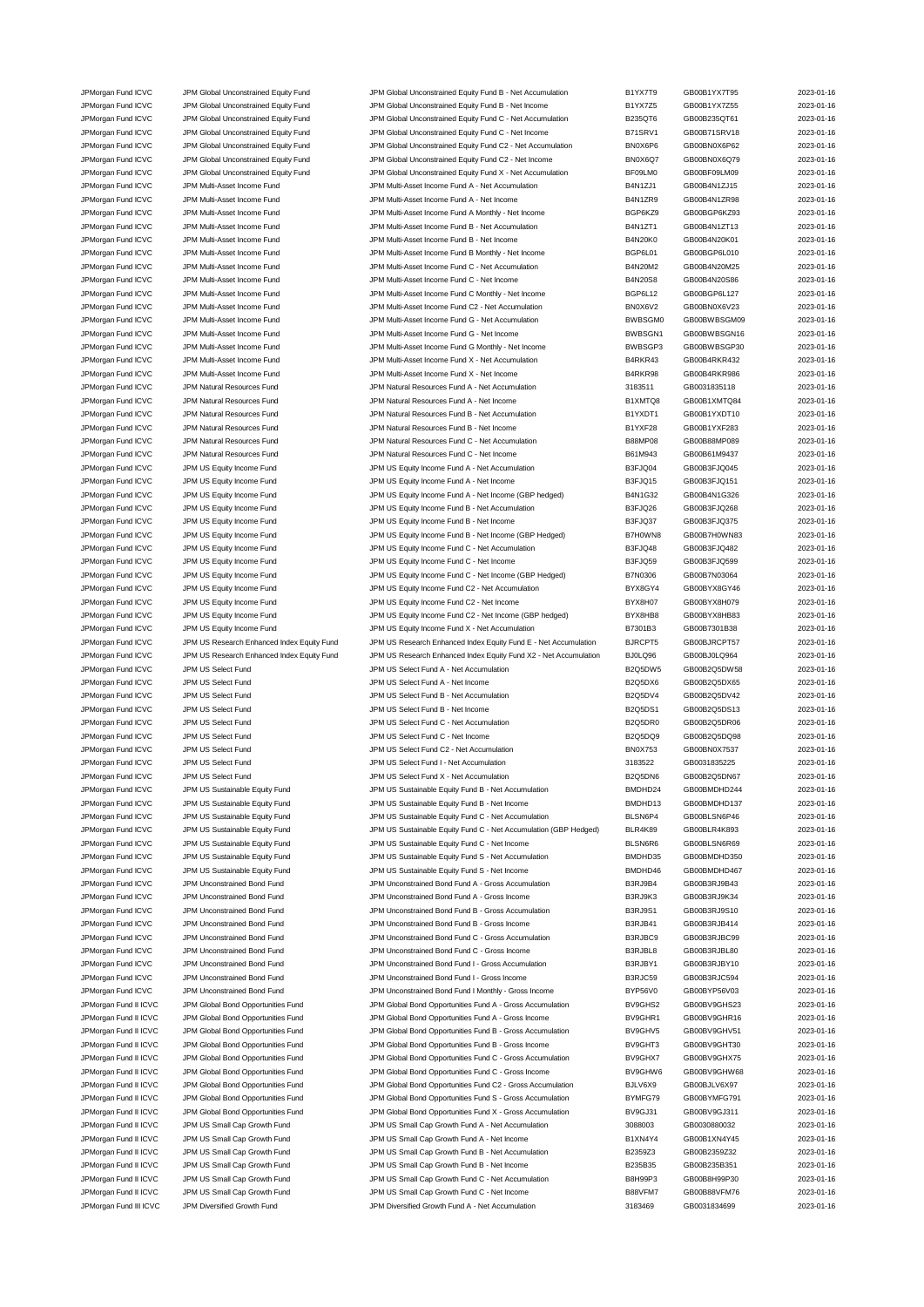JPMorgan Fund ICVC JPM Global Unconstrained Equity Fund JPM Global Unconstrained Equity Fund B - Net Accumulation B1YX7T9 GB00B1YX7T95 2023-01-16 JPMorgan Fund ICVC JPM Global Unconstrained Equity Fund JPM Global Unconstrained Equity Fund B - Net Income B1YX7Z5 GB00B1YX7Z55 2023-01-16 JPMorgan Fund ICVC JPM Global Unconstrained Equity Fund JPM Global Unconstrained Equity Fund C - Net Accumulation B235QT6 GB00B235QT61 2023-01-16 JPMorgan Fund ICVC JPM Global Unconstrained Equity Fund JPM Global Unconstrained Equity Fund C - Net Income B71SRV1 GB00B71SRV18 2023-01-16 JPMorgan Fund ICVC JPM Global Unconstrained Equity Fund JPM Global Unconstrained Equity Fund C2 - Net Accumulation BN0X6P6 GB00BN0X6P62 2023-01-16 JPMorgan Fund ICVC JPM Global Unconstrained Equity Fund JPM Global Unconstrained Equity Fund C2 - Net Income BN0X6Q7 GB00BN0X6Q79 2023-01-16 JPMorgan Fund ICVC JPM Global Unconstrained Equity Fund JPM Global Unconstrained Equity Fund X - Net Accumulation BF09LM0 GB00BF09LM09 2023-01-16 JPMorgan Fund ICVC JPM Multi-Asset Income Fund JPM Multi-Asset Income Fund A - Net Accumulation B4N1ZJ1 GB00B4N1ZJ15 2023-01-16 JPMorgan Fund ICVC JPM Multi-Asset Income Fund JPM Multi-Asset Income Fund A - Net Income B4N1ZR9 GB00B4N1ZR98 2023-01-16 JPMorgan Fund ICVC JPM Multi-Asset Income Fund JPM Multi-Asset Income Fund A Monthly - Net Income BGP6KZ9 GB00BGP6KZ93 2023-01-16 JPMorgan Fund ICVC JPM Multi-Asset Income Fund JPM Multi-Asset Income Fund B - Net Accumulation B4N1ZT1 GB00B4N1ZT13 2023-01-16<br>JPMorgan Fund ICVC JPM Multi-Asset Income Fund JPM Multi-Asset Income Fund B - Net Income B4N2 JPMorgan Fund ICVC JPM Multi-Asset Income Fund JPM Multi-Asset Income Fund B - Net Income B4N20K0 GB00B4N20K01 2023-01-16 JPMorgan Fund ICVC JPM Multi-Asset Income Fund JPM Multi-Asset Income Fund B Monthly - Net Income BGP6L01 GB00BGP6L010 2023-01-16 JPMorgan Fund ICVC JPM Multi-Asset Income Fund JPM Multi-Asset Income Fund C - Net Accumulation B4N20M2 GB00B4N20M25 2023-01-16 JPMorgan Fund ICVC JPM Multi-Asset Income Fund JPM Multi-Asset Income Fund C - Net Income B4N20S8 GB00B4N20S86 2023-01-16 JPMorgan Fund ICVC JPM Multi-Asset Income Fund JPM Multi-Asset Income Fund C Monthly - Net Income BGP6L12 GB00BGP6L127 2023-01-16 JPMorgan Fund ICVC JPM Multi-Asset Income Fund JPM Multi-Asset Income Fund C2 - Net Accumulation BN0X6V2 GB00BN0X6V23 2023-01-16 JPMorgan Fund ICVC JPM Multi-Asset Income Fund JPM Multi-Asset Income Fund G - Net Accumulation BWBSGM0 GB00BWBSGM09 2023-01-16 JPMorgan Fund ICVC JPM Multi-Asset Income Fund South Asset Income Fund G - Net Income BWBSGN1 GB00BWBSGN16 2023-01-16 JPMorgan Fund ICVC JPM Multi-Asset Income Fund JPM Multi-Asset Income Fund G Monthly - Net Income BWBSGP3 GB00BWBSGP30 2023-01-16<br>JPMorgan Fund ICVC JPM Multi-Asset Income Fund JPM Multi-Asset Income Fund X - Net Accumulat JPMorgan Fund ICVC JPM Multi-Asset Income Fund JPM Multi-Asset Income Fund X - Net Accumulation B4RKR43 GB00B4RKR432 2023-01-16 JPMorgan Fund ICVC JPM Multi-Asset Income Fund JPM Multi-Asset Income Fund X - Net Income B4RKR98 GB00B4RKR986 2023-01-16 JPMorgan Fund ICVC JPM Natural Resources Fund JPM Natural Resources Fund A - Net Accumulation 3183511 GB0031835118 2023-01-16 JPMorgan Fund ICVC JPM Natural Resources Fund JPM Natural Resources Fund A - Net Income B1XMTQ8 GB00B1XMTQ84 2023-01-16 JPMorgan Fund ICVC JPM Natural Resources Fund JPM Natural Resources Fund B - Net Accumulation B1YXDT1 GB00B1YXDT10 2023-01-16 JPMorgan Fund ICVC JPM Natural Resources Fund JPM Natural Resources Fund B - Net Income B1YXF28 GB00B1YXF283 2023-01-16 JPMorgan Fund ICVC JPM Natural Resources Fund JPM Natural Resources Fund C - Net Accumulation B88MP08 GB00B88MP089 2023-01-16 JPMorgan Fund ICVC JPM Natural Resources Fund JPM Natural Resources Fund C - Net Income B61M943 GB00B61M9437 2023-01-16 JPMorgan Fund ICVC JPM US Equity Income Fund JPM US Equity Income Fund A - Net Accumulation B3FJQ04 GB00B3FJQ045 2023-01-16 JPMorgan Fund ICVC JPM US Equity Income Fund JPM US Equity Income Fund A - Net Income B3FJQ15 GB00B3FJQ151 2023-01-16 JPMorgan Fund ICVC JPM US Equity Income Fund JPM US Equity Income Fund A - Net Income (GBP hedged) B4N1G32 GB00B4N1G326 2023-01-16 JPMorgan Fund ICVC JPM US Equity Income Fund JPM US Equity Income Fund B - Net Accumulation B3FJQ26 GB00B3FJQ268 2023-01-16 JPMorgan Fund ICVC JPM US Equity Income Fund JPM US Equity Income Fund B - Net Income B3FJQ37 GB00B3FJQ375 2023-01-16 JPMorgan Fund ICVC JPM US Equity Income Fund JPM US Equity Income Fund B - Net Income (GBP Hedged) B7H0WN8 GB00B7H0WN83 2023-01-16 JPMorgan Fund ICVC JPM US Equity Income Fund JPM US Equity Income Fund C - Net Accumulation B3FJQ48 GB00B3FJQ482 2023-01-16 JPMorgan Fund ICVC JPM US Equity Income Fund JPM US Equity Income Fund C - Net Income COME B3FJQ59 GB00B3FJQ599 2023-01-16 JPMorgan Fund ICVC JPM US Equity Income Fund JPM US Equity Income Fund C - Net Income (GBP Hedged) B7N0306 GB00B7N03064 2023-01-16 JPMorgan Fund ICVC JPM US Equity Income Fund JPM US Equity Income Fund C2 - Net Accumulation BYX8GY4 GB00BYX8GY46 2023-01-16 JPMorgan Fund ICVC JPM US Equity Income Fund JPM US Equity Income Fund C2 - Net Income<br>JPMorgan Fund ICVC JPM US Equity Income Fund JPM US Equity Income Fund C2 - Net Income (GBP hedged) BYX8HB8 GB00BYX8HB83 2023-01-16 JPMorgan Fund ICVC JPM US Equity Income Fund JPM US Equity Income Fund C2 - Net Income (GBP hedged) BYX8HB8 GB00BYX8HB83 2023-01-16 JPMorgan Fund ICVC JPM US Equity Income Fund JPM US Equity Income Fund X - Net Accumulation B7301B3 GB00B7301B38 2023-01-16 JPMorgan Fund ICVC JPM US Research Enhanced Index Equity Fund JPM US Research Enhanced Index Equity Fund E - Net Accumulation BJRCPT5 GB00BJRCPT57 2023-01-16 JPMorgan Fund ICVC JPM US Research Enhanced Index Equity Fund JPM US Research Enhanced Index Equity Fund X2 - Net Accumulation BJ0LQ96 GB00BJ0LQ964 2023-01-16 JPMorgan Fund ICVC JPM US Select Fund JPM US Select Fund A - Net Accumulation B2Q5DW5 GB00B2Q5DW58 2023-01-16 JPMorgan Fund ICVC JPM US Select Fund COVID TO A - Net Income COVID-16 B2Q5DX6 GB00B2Q5DX65 2023-01-16 JPMorgan Fund ICVC JPM US Select Fund 3000 JPM US Select Fund B - Net Accumulation B2Q5DV4 GB00B2Q5DV42 2023-01-16 JPMorgan Fund ICVC JPM US Select Fund JPM US Select Fund B - Net Income B2Q5DS1 GB00B2Q5DS13 2023-01-16 JPMorgan Fund ICVC JPM US Select Fund JPM US Select Fund C - Net Accumulation B2Q5DR0 GB00B2Q5DR06 2023-01-16 JPMorgan Fund ICVC JPM US Select Fund COVER JPM US Select Fund C - Net Income B2Q5DQ9 GB00B2Q5DQ98 2023-01-16 JPMorgan Fund ICVC JPM US Select Fund JPM US Select Fund C2 - Net Accumulation BN0X753 GB00BN0X7537 2023-01-16 JPMorgan Fund ICVC JPM US Select Fund JPM US Select Fund I - Net Accumulation 3183522 GB0031835225 2023-01-16 JPMorgan Fund ICVC JPM US Select Fund JPM US Select Fund X - Net Accumulation B2Q5DN6 GB00B2Q5DN67 2023-01-16 JPMorgan Fund ICVC JPM US Sustainable Equity Fund JPM US Sustainable Equity Fund B - Net Accumulation BMDHD24 GB00BMDHD244 2023-01-16 JPMorgan Fund ICVC JPM US Sustainable Equity Fund JPM US Sustainable Equity Fund B - Net Income BMDHD13 GB00BMDHD137 2023-01-16 JPMorgan Fund ICVC JPM US Sustainable Equity Fund JPM US Sustainable Equity Fund C - Net Accumulation BLSN6P4 GB00BLSN6P46 2023-01-16 JPMorgan Fund ICVC JPM US Sustainable Equity Fund JPM US Sustainable Equity Fund C - Net Accumulation (GBP Hedged) BLR4K89 GB00BLR4K893 2023-01-16 JPMorgan Fund ICVC JPM US Sustainable Equity Fund JPM US Sustainable Equity Fund C - Net Income BLSN6R6 GB00BLSN6R69 2023-01-16<br>- IPMorgan Fund ICVC JPM US Sustainable Equity Fund JPM US Sustainable Equity Fund S - Net Acc JPMorgan Fund ICVC JPM US Sustainable Equity Fund JPM US Sustainable Equity Fund S - Net Accumulation BMDHD35 GB00BMDHD350 2023-01-16 JPMorgan Fund ICVC JPM US Sustainable Equity Fund JPM US Sustainable Equity Fund S - Net Income BMDHD46 GB00BMDHD467 2023-01-16 JPMorgan Fund ICVC JPM Unconstrained Bond Fund JPM Unconstrained Bond Fund A - Gross Accumulation B3RJ9B4 GB00B3RJ9B43 2023-01-16 JPMorgan Fund ICVC JPM Unconstrained Bond Fund JPM Unconstrained Bond Fund A - Gross Income B3RJ9K3 GB00B3RJ9K34 2023-01-16 JPMorgan Fund ICVC JPM Unconstrained Bond Fund JPM Unconstrained Bond Fund B - Gross Accumulation B3RJ9S1 GB00B3RJ9S10 2023-01-16 JPMorgan Fund ICVC JPM Unconstrained Bond Fund JPM Unconstrained Bond Fund B - Gross Income B3RJB41 GB00B3RJB414 2023-01-16 JPMorgan Fund ICVC JPM Unconstrained Bond Fund JPM Unconstrained Bond Fund C - Gross Accumulation B3RJBC9 GB00B3RJBC99 2023-01-16 JPMorgan Fund ICVC JPM Unconstrained Bond Fund JPM Unconstrained Bond Fund C - Gross Income B3RJBL8 GB00B3RJBL80 2023-01-16 JPMorgan Fund ICVC JPM Unconstrained Bond Fund JPM Unconstrained Bond Fund I - Gross Accumulation B3RJBY1 GB00B3RJBY10 2023-01-16 JPMorgan Fund ICVC JPM Unconstrained Bond Fund JPM Unconstrained Bond Fund I - Gross Income B3RJC59 GB00B3RJC594 2023-01-16 JPMorgan Fund ICVC JPM Unconstrained Bond Fund JPM Unconstrained Bond Fund I Monthly - Gross Income BYP56V0 GB00BYP56V03 2023-01-16 JPMorgan Fund II ICVC JPM Global Bond Opportunities Fund JPM Global Bond Opportunities Fund A - Gross Accumulation BV9GHS2 GB00BV9GHS23 2023-01-16 JPMorgan Fund II ICVC JPM Global Bond Opportunities Fund JPM Global Bond Opportunities Fund A - Gross Income BV9GHR1 GB00BV9GHR16 2023-01-16 JPMorgan Fund II ICVC JPM Global Bond Opportunities Fund JPM Global Bond Opportunities Fund B - Gross Accumulation BV9GHV5 GB00BV9GHV51 2023-01-16 JPMorgan Fund II ICVC JPM Global Bond Opportunities Fund JPM Global Bond Opportunities Fund B - Gross Income BV9GHT3 GB00BV9GHT30 2023-01-16 JPMorgan Fund II ICVC JPM Global Bond Opportunities Fund JPM Global Bond Opportunities Fund C - Gross Accumulation BV9GHX7 GB00BV9GHX75 2023-01-16 JPMorgan Fund II ICVC JPM Global Bond Opportunities Fund JPM Global Bond Opportunities Fund C - Gross Income BV9GHW6 GB00BV9GHW68 2023-01-16 JPMorgan Fund II ICVC JPM Global Bond Opportunities Fund JPM Global Bond Opportunities Fund C2 - Gross Accumulation BJLV6X9 GB00BJLV6X97 2023-01-16 JPMorgan Fund II ICVC JPM Global Bond Opportunities Fund JPM Global Bond Opportunities Fund S - Gross Accumulation BYMFG79 GB00BYMFG791 2023-01-16 JPMorgan Fund II ICVC JPM Global Bond Opportunities Fund JPM Global Bond Opportunities Fund X - Gross Accumulation BV9GJ31 GB00BV9GJ311 2023-01-16 JPMorgan Fund II ICVC JPM US Small Cap Growth Fund JPM US Small Cap Growth Fund A - Net Accumulation 3088003 GB0030880032 2023-01-16 JPMorgan Fund II ICVC JPM US Small Cap Growth Fund JPM US Small Cap Growth Fund A - Net Income B1XN4Y4 GB00B1XN4Y45 2023-01-16 JPMorgan Fund II ICVC JPM US Small Cap Growth Fund JPM US Small Cap Growth Fund B - Net Accumulation B2359Z3 GB00B2359Z32 2023-01-16 JPMorgan Fund II ICVC JPM US Small Cap Growth Fund JPM US Small Cap Growth Fund B - Net Income B235B35 GB00B235B351 2023-01-16 JPMorgan Fund II ICVC JPM US Small Cap Growth Fund JPM US Small Cap Growth Fund C - Net Accumulation B8H99P3 GB00B8H99P30 2023-01-16 JPMorgan Fund II ICVC JPM US Small Cap Growth Fund JPM US Small Cap Growth Fund C - Net Income B88VFM7 GB00B88VFM76 2023-01-16 JPMorgan Fund III ICVC JPM Diversified Growth Fund JPM Diversified Growth Fund A - Net Accumulation 3183469 GB0031834699 2023-01-16

| K7T9                                 | GB00B1YX7T95                 | 2023-01-             |
|--------------------------------------|------------------------------|----------------------|
| K7Z5                                 | GB00B1YX7Z55                 | 2023-01-             |
| GTG                                  | GB00B235QT61                 | 2023-01-             |
| SRV1                                 | GB00B71SRV18                 | 2023-01-             |
| X6P6                                 | GB00BN0X6P62                 | 2023-01-             |
| <b>X6Q7</b><br>LM <sub>0</sub>       | GB00BN0X6Q79<br>GB00BF09LM09 | 2023-01-             |
| 1ZJ1                                 | GB00B4N1ZJ15                 | 2023-01-<br>2023-01- |
| 1ZR9                                 | GB00B4N1ZR98                 | 2023-01-             |
| 6KZ9                                 | GB00BGP6KZ93                 | 2023-01-             |
| 1ZT1                                 | GB00B4N1ZT13                 | 2023-01-             |
| 20K0                                 | GB00B4N20K01                 | 2023-01-             |
| 6L01                                 | GB00BGP6L010                 | 2023-01-             |
| 20M2                                 | GB00B4N20M25                 | 2023-01-             |
| 20S8                                 | GB00B4N20S86                 | 2023-01-             |
| 6L12                                 | GB00BGP6L127                 | 2023-01-             |
| X6V2                                 | GB00BN0X6V23                 | 2023-01-             |
| SGM0                                 | GB00BWBSGM09                 | 2023-01-             |
| SGN1                                 | GB00BWBSGN16                 | 2023-01-             |
| SGP3                                 | GB00BWBSGP30                 | 2023-01-             |
| KR43                                 | GB00B4RKR432                 | 2023-01-             |
| <b>KR98</b><br>511                   | GB00B4RKR986<br>GB0031835118 | 2023-01-<br>2023-01- |
| 8OTM                                 | GB00B1XMTQ84                 | 2023-01-             |
| KDT1                                 | GB00B1YXDT10                 | 2023-01-             |
| KF28                                 | GB00B1YXF283                 | 2023-01-             |
| AP08                                 | GB00B88MP089                 | 2023-01-             |
| 1943                                 | GB00B61M9437                 | 2023-01-             |
| IQ04                                 | GB00B3FJQ045                 | 2023-01-             |
| IQ15                                 | GB00B3FJQ151                 | 2023-01-             |
| 1G32                                 | GB00B4N1G326                 | 2023-01-             |
| IQ26                                 | GB00B3FJQ268                 | 2023-01-             |
| IQ37                                 | GB00B3FJQ375                 | 2023-01-             |
| 8V WC                                | GB00B7H0WN83                 | 2023-01-             |
| IQ48                                 | GB00B3FJQ482                 | 2023-01-             |
| IQ59                                 | GB00B3FJQ599                 | 2023-01-             |
| 0306                                 | GB00B7N03064                 | 2023-01-             |
| BGY4<br>8H07                         | GB00BYX8GY46<br>GB00BYX8H079 | 2023-01-<br>2023-01- |
| BHB8                                 | GB00BYX8HB83                 | 2023-01-             |
| )1B3                                 | GB00B7301B38                 | 2023-01-             |
| CPT5                                 | GB00BJRCPT57                 | 2023-01-             |
| Q96.                                 | GB00BJ0LQ964                 | 2023-01-             |
| 5DW5                                 | GB00B2Q5DW58                 | 2023-01-             |
| 5DX6                                 | GB00B2Q5DX65                 | 2023-01-             |
| 5DV4                                 | GB00B2Q5DV42                 | 2023-01-             |
| 5DS1                                 | GB00B2Q5DS13                 | 2023-01-             |
| 5DR0                                 | GB00B2Q5DR06                 | 2023-01-             |
| 5DQ9                                 | GB00B2Q5DQ98                 | 2023-01-             |
| X753                                 | GB00BN0X7537                 | 2023-01-             |
| 522                                  | GB0031835225                 | 2023-01-             |
| 5DN6                                 | GB00B2Q5DN67                 | 2023-01-             |
| HD <sub>24</sub><br>HD <sub>13</sub> | GB00BMDHD244<br>GB00BMDHD137 | 2023-01-<br>2023-01- |
| <b>N6P4</b>                          | GB00BLSN6P46                 | 2023-01-             |
| 4K89                                 | GB00BLR4K893                 | 2023-01-             |
| <b>N6R6</b>                          | GB00BLSN6R69                 | 2023-01-             |
| HD35                                 | GB00BMDHD350                 | 2023-01-             |
| HD46                                 | GB00BMDHD467                 | 2023-01-             |
| J9B4                                 | GB00B3RJ9B43                 | 2023-01-             |
| J9K3                                 | GB00B3RJ9K34                 | 2023-01-             |
| J9S1                                 | GB00B3RJ9S10                 | 2023-01-             |
| JB41                                 | GB00B3RJB414                 | 2023-01-             |
| JBC9                                 | GB00B3RJBC99                 | 2023-01-             |
| JBL8                                 | GB00B3RJBL80                 | 2023-01-             |
| JBY1                                 | GB00B3RJBY10                 | 2023-01-             |
| JC59                                 | GB00B3RJC594                 | 2023-01-             |
| 56V0                                 | GB00BYP56V03                 | 2023-01-             |
| <b>GHS2</b><br>GHR1                  | GB00BV9GHS23<br>GB00BV9GHR16 | 2023-01-<br>2023-01- |
| <b>GHV5</b>                          | GB00BV9GHV51                 | 2023-01-             |
| ЗНТЗ                                 | GB00BV9GHT30                 | 2023-01-             |
| GHX7                                 | GB00BV9GHX75                 | 2023-01-             |
| GHW6                                 | GB00BV9GHW68                 | 2023-01-             |
| /6X9                                 | GB00BJLV6X97                 | 2023-01-             |
| FG79                                 | GB00BYMFG791                 | 2023-01-             |
| 3J31                                 | GB00BV9GJ311                 | 2023-01-             |
| 003                                  | GB0030880032                 | 2023-01-             |
| 4Y4 V                                | GB00B1XN4Y45                 | 2023-01-             |
| 59Z3                                 | GB00B2359Z32                 | 2023-01-             |
| 5B35                                 | GB00B235B351                 | 2023-01-             |
| 99P3                                 | GB00B8H99P30                 | 2023-01-             |
| /FM7                                 | GB00B88VFM76                 | 2023-01-             |
| 469                                  | GB0031834699                 | 2023-01-             |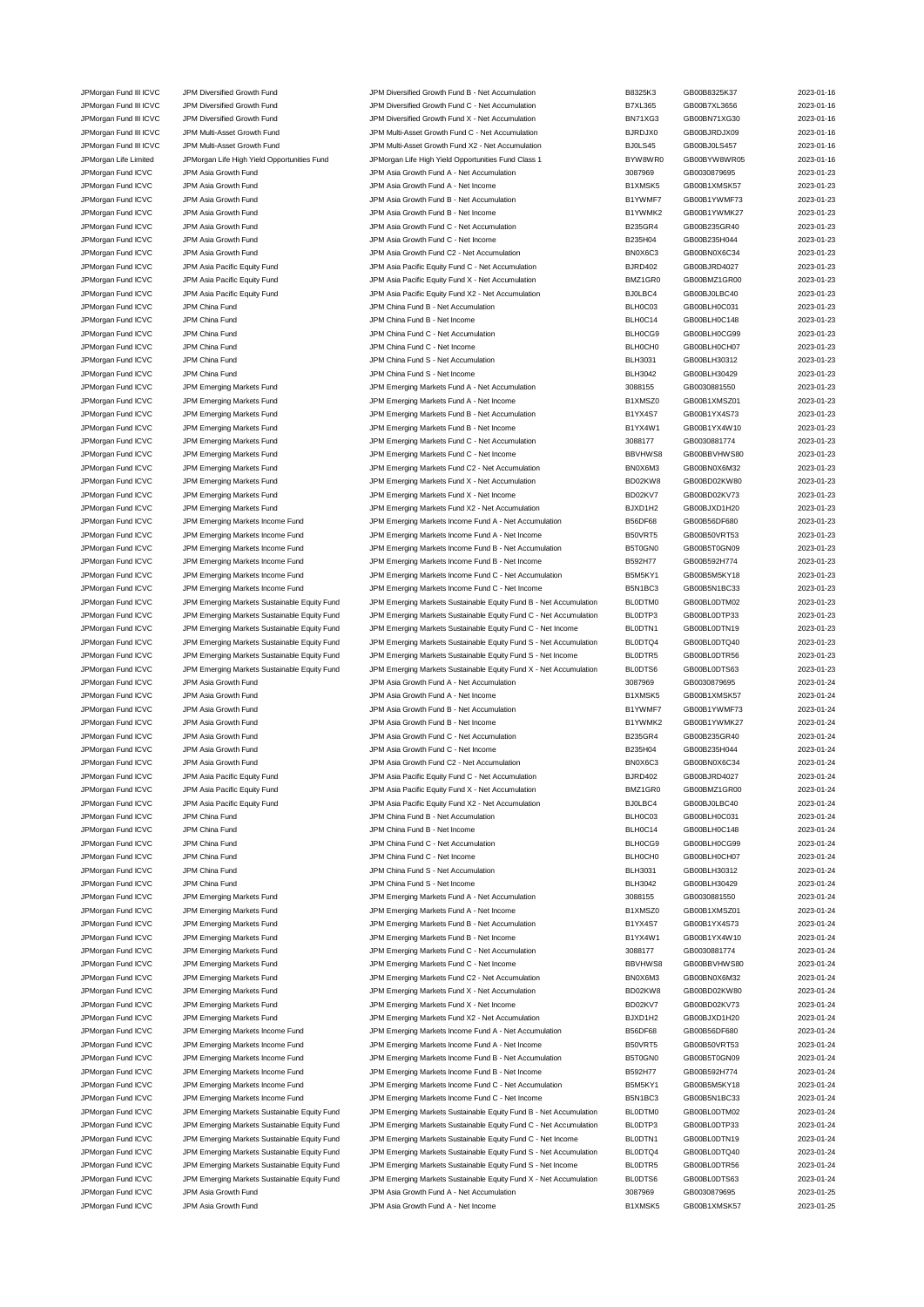JPMorgan Fund III ICVC JPM Diversified Growth Fund JPM Diversified Growth Fund C - Net Accumulation B7XL365 GB00B7XL3656 2023-01-16 JPMorgan Fund III ICVC JPM Diversified Growth Fund JPM Diversified Growth Fund X - Net Accumulation BN71XG3 GB00BN71XG30 2023-01-16<br>JPM Multi-Asset Growth Fund JPM Multi-Asset Growth Fund C - Net Accumulation Bure BJRDJX0 JPMorgan Fund III ICVC JPM Multi-Asset Growth Fund JPM Multi-Asset Growth Fund C - Net Accumulation BJRDJX0 GB00BJRDJX09 2023-01-16 JPMorgan Fund III ICVC JPM Multi-Asset Growth Fund JPM Multi-Asset Growth Fund X2 - Net Accumulation BJ0LS45 GB00BJ0LS457 2023-01-16 JPMorgan Life Limited JPMorgan Life High Yield Opportunities Fund JPMorgan Life High Yield Opportunities Fund Class 1 BYW8WR0 GB00BYW8WR05 2023-01-16 JPMorgan Fund ICVC JPM Asia Growth Fund JPM Asia Growth Fund A - Net Accumulation 3087969 GB0030879695 2023-01-23 JPMorgan Fund ICVC JPM Asia Growth Fund JPM Asia Growth Fund A - Net Income B1XMSK5 GB00B1XMSK57 2023-01-23 JPMorgan Fund ICVC JPM Asia Growth Fund JPM Asia Growth Fund B - Net Accumulation B1YWMF7 GB00B1YWMF73 2023-01-23 JPMorgan Fund ICVC JPM Asia Growth Fund JPM Asia Growth Fund B - Net Income B1YWMK2 GB00B1YWMK27 2023-01-23 JPMorgan Fund ICVC JPM Asia Growth Fund JPM Asia Growth Fund C - Net Accumulation B235GR4 GB00B235GR40 2023-01-23 JPMorgan Fund ICVC JPM Asia Growth Fund JPM Asia Growth Fund C - Net Income **B235H04** GB00B235H044 CH00B235H044 2023-01-23 JPMorgan Fund ICVC JPM Asia Growth Fund JPM Asia Growth Fund C2 - Net Accumulation BN0X6C3 GB00BN0X6C34 2023-01-23 JPMorgan Fund ICVC JPM Asia Pacific Equity Fund JPM Asia Pacific Equity Fund C - Net Accumulation BJRD402 GB00BJRD4027 2023-01-23 JPMorgan Fund ICVC JPM Asia Pacific Equity Fund JPM Asia Pacific Equity Fund X - Net Accumulation BMZ1GR0 GB00BMZ1GR00 2023-01-23 JPMorgan Fund ICVC JPM Asia Pacific Equity Fund JPM Asia Pacific Equity Fund X2 - Net Accumulation BJ0LBC4 GB00BJ0LBC40 2023-01-23 JPMorgan Fund ICVC JPM China Fund JPM China Fund B - Net Accumulation BLH0C03 GB00BLH0C031 2023-01-23 JPMorgan Fund ICVC JPM China Fund JPM China Fund B - Net Income BLH0C14 GB00BLH0C148 2023-01-23 JPMorgan Fund ICVC JPM China Fund Studies of the Superior C - Net Accumulation C - Net Accumulation C - Net Accumulation BLH0CG9 GB00BLH0CG99 2023-01-23 JPMorgan Fund ICVC JPM China Fund JPM China Fund C - Net Income BLH0CH0 GB00BLH0CH07 2023-01-23 JPMorgan Fund ICVC JPM China Fund Server China Fund S - Net Accumulation CHE SERVER BLH3031 GB00BLH30312 2023-01-23 JPMorgan Fund ICVC JPM China Fund Class of the UPM China Fund S - Net Income Class of BLH3042 GB00BLH30429 2023-01-23<br>JPMorgan Fund ICVC JPM Emerging Markets Fund JPM Emerging Markets Fund A - Net Accumulation 3088155 3088 JPM Emerging Markets Fund A - Net Accumulation 3088155 GB0030881550 30881550 30881550 JPMorgan Fund ICVC JPM Emerging Markets Fund JPM Emerging Markets Fund A - Net Income B1XMSZ0 GB00B1XMSZ01 2023-01-23 JPMorgan Fund ICVC JPM Emerging Markets Fund JPM Emerging Markets Fund B - Net Accumulation B1YX4S7 GB00B1YX4S73 2023-01-23 JPMorgan Fund ICVC JPM Emerging Markets Fund JPM Emerging Markets Fund B - Net Income B1YX4W1 GB00B1YX4W10 2023-01-23 JPMorgan Fund ICVC JPM Emerging Markets Fund JPM Emerging Markets Fund C - Net Accumulation 3088177 GB0030881774 2023-01-23 JPMorgan Fund ICVC JPM Emerging Markets Fund JPM Emerging Markets Fund C - Net Income BBVHWS8 GB00BBVHWS80 2023-01-23<br>JPMorgan Fund ICVC JPM Emerging Markets Fund JPM Emerging Markets Fund C2 - Net Accumulation BNOX6M3 GB0 JPMorgan Fund ICVC JPM Emerging Markets Fund JPM Emerging Markets Fund C2 - Net Accumulation JPMorgan Fund ICVC JPM Emerging Markets Fund JPM Emerging Markets Fund X - Net Accumulation BD02KW8 GB00BD02KW80 2023-01-23 JPMorgan Fund ICVC JPM Emerging Markets Fund JPM Emerging Markets Fund X - Net Income BD02KV7 GB00BD02KV73 2023-01-23 JPMorgan Fund ICVC JPM Emerging Markets Fund JPM Emerging Markets Fund X2 - Net Accumulation BJXD1H2 GB00BJXD1H20 2023-01-23 JPMorgan Fund ICVC JPM Emerging Markets Income Fund JPM Emerging Markets Income Fund A - Net Accumulation B56DF68 GB00B56DF680 2023-01-23 JPMorgan Fund ICVC JPM Emerging Markets Income Fund JPM Emerging Markets Income Fund A - Net Income B50VRT5 GB00B50VRT53 2023-01-23 JPMorgan Fund ICVC JPM Emerging Markets Income Fund JPM Emerging Markets Income Fund B - Net Accumulation B5T0GN0 GB00B5T0GN09 2023-01-23 JPMorgan Fund ICVC JPM Emerging Markets Income Fund JPM Emerging Markets Income Fund B - Net Income B592H77 GB00B592H774 2023-01-23 JPMorgan Fund ICVC JPM Emerging Markets Income Fund JPM Emerging Markets Income Fund C - Net Accumulation B5M5KY1 GB00B5M5KY18 2023-01-23 JPMorgan Fund ICVC JPM Emerging Markets Income Fund JPM Emerging Markets Income Fund C - Net Income B5N1BC3 GB00B5N1BC33 2023-01-23 JPMorgan Fund ICVC JPM Emerging Markets Sustainable Equity Fund JPM Emerging Markets Sustainable Equity Fund B - Net Accumulation BL0DTM0 GB00BL0DTM02 2023-01-23 JPMorgan Fund ICVC JPM Emerging Markets Sustainable Equity Fund JPM Emerging Markets Sustainable Equity Fund C - Net Accumulation BL0DTP3 GB00BL0DTP33 2023-01-23 JPMorgan Fund ICVC JPM Emerging Markets Sustainable Equity Fund JPM Emerging Markets Sustainable Equity Fund C - Net Income BL0DTN1 GB00BL0DTN19 2023-01-23 JPMorgan Fund ICVC JPM Emerging Markets Sustainable Equity Fund JPM Emerging Markets Sustainable Equity Fund S - Net Accumulation BL0DTQ4 GB00BL0DTQ40 2023-01-23 JPMorgan Fund ICVC JPM Emerging Markets Sustainable Equity Fund JPM Emerging Markets Sustainable Equity Fund S - Net Income BL0DTR5 GB00BL0DTR56 2023-01-23 JPMorgan Fund ICVC JPM Emerging Markets Sustainable Equity Fund JPM Emerging Markets Sustainable Equity Fund X - Net Accumulation BL0DTS6 GB00BL0DTS63 2023-01-23 JPMorgan Fund ICVC JPM Asia Growth Fund JPM Asia Growth Fund A - Net Accumulation 3087969 GB0030879695 2023-01-24 JPMorgan Fund ICVC JPM Asia Growth Fund JPM Asia Growth Fund A - Net Income B1XMSK5 GB00B1XMSK57 2023-01-24 JPMorgan Fund ICVC JPM Asia Growth Fund JPM Asia Growth Fund B - Net Accumulation B1YWMF7 GB00B1YWMF73 2023-01-24 JPMorgan Fund ICVC JPM Asia Growth Fund JPM Asia Growth Fund B - Net Income B1YWMK2 GB00B1YWMK27 2023-01-24 JPMorgan Fund ICVC JPM Asia Growth Fund JPM Asia Growth Fund C - Net Accumulation B235GR4 GB00B235GR40 2023-01-24 JPMorgan Fund ICVC JPM Asia Growth Fund C CHO CHO Asia Growth Fund C - Net Income C - Net Income B235H04 GB00B235H044 2023-01-24 JPMorgan Fund ICVC JPM Asia Growth Fund JPM Asia Growth Fund C2 - Net Accumulation BN0X6C3 GB00BN0X6C34 2023-01-24 JPMorgan Fund ICVC JPM Asia Pacific Equity Fund JPM Asia Pacific Equity Fund C - Net Accumulation BJRD402 GB00BJRD4027 2023-01-24 JPMorgan Fund ICVC JPM Asia Pacific Equity Fund JPM Asia Pacific Equity Fund X - Net Accumulation BMZ1GR0 GB00BMZ1GR00 2023-01-24 JPMorgan Fund ICVC JPM Asia Pacific Equity Fund JPM Asia Pacific Equity Fund X2 - Net Accumulation BJ0LBC4 GB00BJ0LBC40 2023-01-24 JPMorgan Fund ICVC JPM China Fund JPM China Fund B - Net Accumulation BLH0C03 GB00BLH0C031 2023-01-24 JPMorgan Fund ICVC JPM China Fund JPM China Fund B - Net Income BLH0C14 GB00BLH0C148 2023-01-24 JPMorgan Fund ICVC JPM China Fund Studies of the Superior C - Net Accumulation C - Net Accumulation C - Net Accumulation BLH0CG9 GB00BLH0CG99 2023-01-24 JPMorgan Fund ICVC JPM China Fund Company of the United States of the United States of the United States of the United States of the United States of the DV23-01-24 JPMorgan Fund ICVC JPM China Fund Server China Fund S - Net Accumulation CHINA COMBLE BLH3031 GB00BLH30312 2023-01-24 JPMorgan Fund ICVC JPM China Fund Class of the UPM China Fund S - Net Income Class of BLH3042 GB00BLH30429 2023-01-24<br>JPMorgan Fund ICVC JPM Emerging Markets Fund JPM Emerging Markets Fund A - Net Accumulation 3088155 3088 JPMorgan Fund ICVC JPM Emerging Markets Fund JPM Emerging Markets Fund A - Net Accumulation 3088155 GB0030881550 2023-01-24 JPMorgan Fund ICVC JPM Emerging Markets Fund JPM Emerging Markets Fund A - Net Income B1XMSZ0 GB00B1XMSZ01 2023-01-24 JPMorgan Fund ICVC JPM Emerging Markets Fund JPM Emerging Markets Fund B - Net Accumulation B1YX4S7 GB00B1YX4S73 2023-01-24 JPMorgan Fund ICVC JPM Emerging Markets Fund JPM Emerging Markets Fund B - Net Income B1YX4W1 GB00B1YX4W10 2023-01-24 JPMorgan Fund ICVC JPM Emerging Markets Fund JPM Emerging Markets Fund C - Net Accumulation 3088177 GB0030881774 2023-01-24 JPMorgan Fund ICVC JPM Emerging Markets Fund JPM Emerging Markets Fund C - Net Income BBVHWS8 GB00BBVHWS80 2023-01-24 JPMorgan Fund ICVC JPM Emerging Markets Fund JPM Emerging Markets Fund C2 - Net Accumulation BN0X6M3 GB00BN0X6M32 2023-01-24 JPMorgan Fund ICVC JPM Emerging Markets Fund JPM Emerging Markets Fund X - Net Accumulation BD02KW8 GB00BD02KW80 2023-01-24 JPMorgan Fund ICVC JPM Emerging Markets Fund 3003-01-24 JPM Emerging Markets Fund X - Net Income BD02KV7 GB00BD02KV73 2023-01-24 JPMorgan Fund ICVC JPM Emerging Markets Fund JPM Emerging Markets Fund X2 - Net Accumulation BJXD1H2 GB00BJXD1H20 2023-01-24 JPMorgan Fund ICVC JPM Emerging Markets Income Fund JPM Emerging Markets Income Fund A - Net Accumulation B56DF68 GB00B56DF680 2023-01-24 JPMorgan Fund ICVC JPM Emerging Markets Income Fund JPM Emerging Markets Income Fund A - Net Income B50VRT5 GB00B50VRT53 2023-01-24 JPMorgan Fund ICVC JPM Emerging Markets Income Fund JPM Emerging Markets Income Fund B - Net Accumulation B5T0GN0 GB00B5T0GN09 2023-01-24 JPMorgan Fund ICVC JPM Emerging Markets Income Fund JPM Emerging Markets Income Fund B - Net Income B592H77 GB00B592H774 2023-01-24 JPMorgan Fund ICVC JPM Emerging Markets Income Fund JPM Emerging Markets Income Fund C - Net Accumulation B5M5KY1 GB00B5M5KY18 2023-01-24 JPMorgan Fund ICVC JPM Emerging Markets Income Fund JPM Emerging Markets Income Fund C - Net Income B5N1BC3 GB00B5N1BC33 2023-01-24 JPMorgan Fund ICVC JPM Emerging Markets Sustainable Equity Fund JPM Emerging Markets Sustainable Equity Fund B - Net Accumulation BL0DTM0 GB00BL0DTM02 2023-01-24 JPMorgan Fund ICVC JPM Emerging Markets Sustainable Equity Fund JPM Emerging Markets Sustainable Equity Fund C - Net Accumulation BL0DTP3 GB00BL0DTP33 2023-01-24 JPMorgan Fund ICVC JPM Emerging Markets Sustainable Equity Fund JPM Emerging Markets Sustainable Equity Fund C - Net Income BL0DTN1 GB00BL0DTN19 2023-01-24<br>JPMorgan Fund ICVC JPM Emerging Markets Sustainable Equity Fund JP JPMorgan Fund ICVC JPM Emerging Markets Sustainable Equity Fund JPM Emerging Markets Sustainable Equity Fund S - Net Accumulation BL0DTQ4 GB00BL0DTQ40 2023-01-24 JPMorgan Fund ICVC JPM Emerging Markets Sustainable Equity Fund JPM Emerging Markets Sustainable Equity Fund S - Net Income BL0DTR5 GB00BL0DTR56 2023-01-24<br>JPMorgan Fund ICVC JPM Emerging Markets Sustainable Equity Fund JP JPMorgan Fund ICVC JPM Emerging Markets Sustainable Equity Fund JPM Emerging Markets Sustainable Equity Fund X - Net Accumulation BL0DTS6 GB00BL0DTS63 2023-01-24 JPMorgan Fund ICVC JPM Asia Growth Fund JPM Asia Growth Fund A - Net Accumulation 3087969 GB0030879695 2023-01-25 JPMorgan Fund ICVC JPM Asia Growth Fund JPM Asia Growth Fund A - Net Income B1XMSK5 GB00B1XMSK57 2023-01-25

JPMorgan Fund III ICVC JPM Diversified Growth Fund JPM Diversified Growth Fund B - Net Accumulation B - Net Accumulation B8325K3 GB00B8325K37 2023-01-16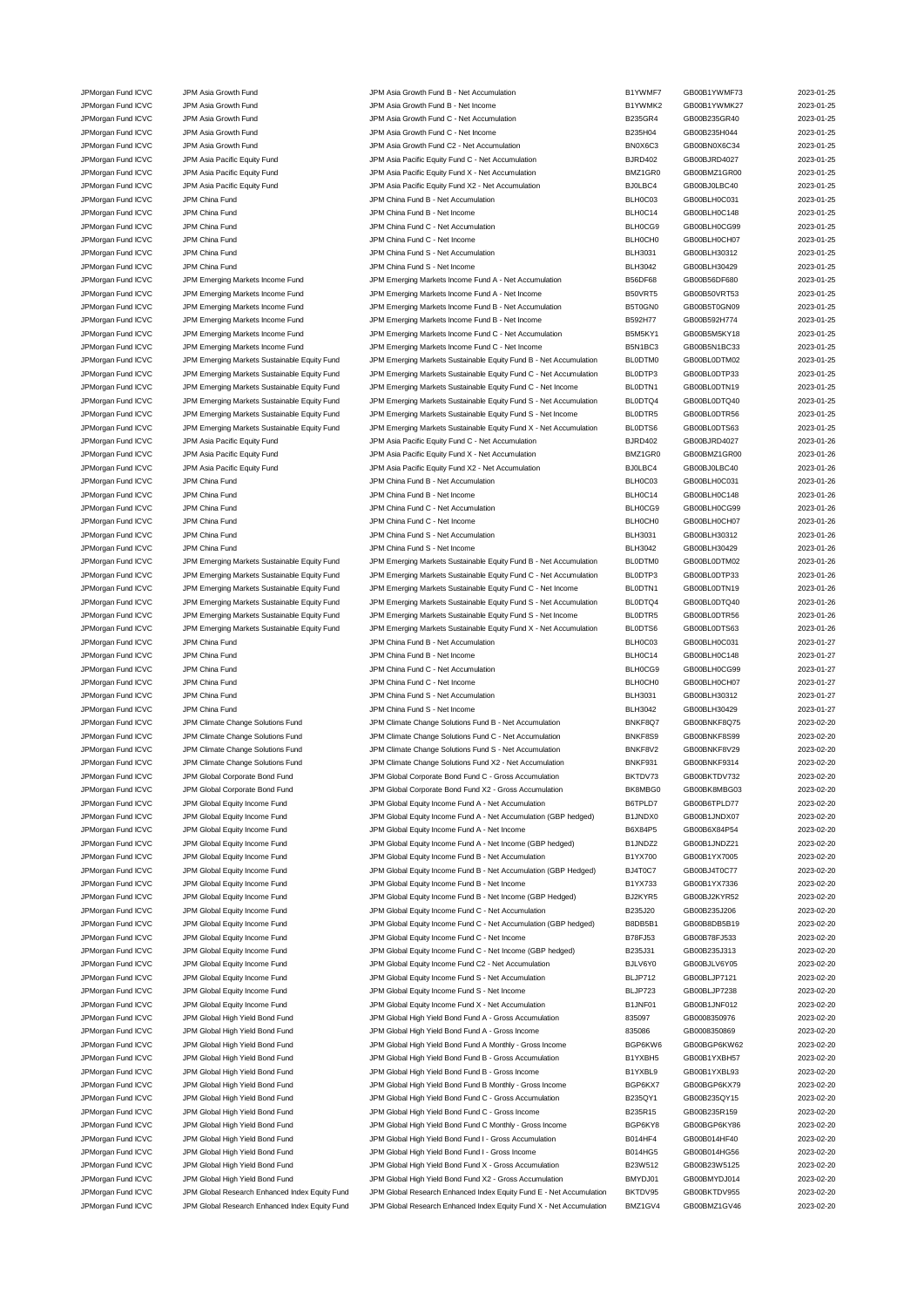| JPMorgan Fund ICVC   | JPM Asia Growth Fund                           | JPM Asia Growth Fund B - Net Accumulation                           | B1YWMF7        | GB00B1YWMF73   | 2023-01-25 |
|----------------------|------------------------------------------------|---------------------------------------------------------------------|----------------|----------------|------------|
|                      |                                                |                                                                     |                |                |            |
| JPMorgan Fund ICVC   | JPM Asia Growth Fund                           | JPM Asia Growth Fund B - Net Income                                 | B1YWMK2        | GB00B1YWMK27   | 2023-01-25 |
| JPMorgan Fund ICVC   | JPM Asia Growth Fund                           | JPM Asia Growth Fund C - Net Accumulation                           | <b>B235GR4</b> | GB00B235GR40   | 2023-01-25 |
| JPMorgan Fund ICVC   | JPM Asia Growth Fund                           | JPM Asia Growth Fund C - Net Income                                 | B235H04        | GB00B235H044   | 2023-01-25 |
| JPMorgan Fund ICVC   | JPM Asia Growth Fund                           | JPM Asia Growth Fund C2 - Net Accumulation                          | BN0X6C3        | GB00BN0X6C34   | 2023-01-25 |
|                      | JPM Asia Pacific Equity Fund                   | JPM Asia Pacific Equity Fund C - Net Accumulation                   | <b>BJRD402</b> | GB00BJRD4027   | 2023-01-25 |
| JPMorgan Fund ICVC   |                                                |                                                                     |                |                |            |
| JPMorgan Fund ICVC   | JPM Asia Pacific Equity Fund                   | JPM Asia Pacific Equity Fund X - Net Accumulation                   | BMZ1GR0        | GB00BMZ1GR00   | 2023-01-25 |
| JPMorgan Fund ICVC   | JPM Asia Pacific Equity Fund                   | JPM Asia Pacific Equity Fund X2 - Net Accumulation                  | BJ0LBC4        | GB00BJ0LBC40   | 2023-01-25 |
| JPMorgan Fund ICVC   | JPM China Fund                                 | JPM China Fund B - Net Accumulation                                 | BLH0C03        | GB00BLH0C031   | 2023-01-25 |
| JPMorgan Fund ICVC   | JPM China Fund                                 | JPM China Fund B - Net Income                                       | BLH0C14        | GB00BLH0C148   | 2023-01-25 |
|                      |                                                |                                                                     |                |                |            |
| JPMorgan Fund ICVC   | JPM China Fund                                 | JPM China Fund C - Net Accumulation                                 | BLH0CG9        | GB00BLH0CG99   | 2023-01-25 |
| JPMorgan Fund ICVC   | JPM China Fund                                 | JPM China Fund C - Net Income                                       | <b>BLHOCHO</b> | GB00BLH0CH07   | 2023-01-25 |
| JPMorgan Fund ICVC   | JPM China Fund                                 | JPM China Fund S - Net Accumulation                                 | <b>BLH3031</b> | GB00BLH30312   | 2023-01-25 |
| JPMorgan Fund ICVC   | JPM China Fund                                 | JPM China Fund S - Net Income                                       | <b>BLH3042</b> | GB00BLH30429   | 2023-01-25 |
| JPMorgan Fund ICVC   | JPM Emerging Markets Income Fund               | JPM Emerging Markets Income Fund A - Net Accumulation               | <b>B56DF68</b> | GB00B56DF680   | 2023-01-25 |
|                      |                                                |                                                                     |                |                |            |
| JPMorgan Fund ICVC   | JPM Emerging Markets Income Fund               | JPM Emerging Markets Income Fund A - Net Income                     | B50VRT5        | GB00B50VRT53   | 2023-01-25 |
| JPMorgan Fund ICVC   | JPM Emerging Markets Income Fund               | JPM Emerging Markets Income Fund B - Net Accumulation               | B5T0GN0        | GB00B5T0GN09   | 2023-01-25 |
| JPMorgan Fund ICVC   | JPM Emerging Markets Income Fund               | JPM Emerging Markets Income Fund B - Net Income                     | B592H77        | GB00B592H774   | 2023-01-25 |
| JPMorgan Fund ICVC   | JPM Emerging Markets Income Fund               | JPM Emerging Markets Income Fund C - Net Accumulation               | B5M5KY1        | GB00B5M5KY18   | 2023-01-25 |
|                      |                                                |                                                                     | B5N1BC3        |                | 2023-01-25 |
| JPMorgan Fund ICVC   | JPM Emerging Markets Income Fund               | JPM Emerging Markets Income Fund C - Net Income                     |                | GB00B5N1BC33   |            |
| JPMorgan Fund ICVC   | JPM Emerging Markets Sustainable Equity Fund   | JPM Emerging Markets Sustainable Equity Fund B - Net Accumulation   | BL0DTM0        | GB00BL0DTM02   | 2023-01-25 |
| JPMorgan Fund ICVC   | JPM Emerging Markets Sustainable Equity Fund   | JPM Emerging Markets Sustainable Equity Fund C - Net Accumulation   | BL0DTP3        | GB00BL0DTP33   | 2023-01-25 |
| JPMorgan Fund ICVC   | JPM Emerging Markets Sustainable Equity Fund   | JPM Emerging Markets Sustainable Equity Fund C - Net Income         | BLODTN1        | GB00BL0DTN19   | 2023-01-25 |
| JPMorgan Fund ICVC   | JPM Emerging Markets Sustainable Equity Fund   | JPM Emerging Markets Sustainable Equity Fund S - Net Accumulation   | BL0DTQ4        | GB00BL0DTQ40   | 2023-01-25 |
|                      |                                                |                                                                     |                |                |            |
| JPMorgan Fund ICVC   | JPM Emerging Markets Sustainable Equity Fund   | JPM Emerging Markets Sustainable Equity Fund S - Net Income         | BL0DTR5        | GB00BL0DTR56   | 2023-01-25 |
| JPMorgan Fund ICVC   | JPM Emerging Markets Sustainable Equity Fund   | JPM Emerging Markets Sustainable Equity Fund X - Net Accumulation   | BL0DTS6        | GB00BL0DTS63   | 2023-01-25 |
| JPMorgan Fund ICVC   | JPM Asia Pacific Equity Fund                   | JPM Asia Pacific Equity Fund C - Net Accumulation                   | <b>BJRD402</b> | GB00BJRD4027   | 2023-01-26 |
| JPMorgan Fund ICVC   | JPM Asia Pacific Equity Fund                   | JPM Asia Pacific Equity Fund X - Net Accumulation                   | BMZ1GR0        | GB00BMZ1GR00   | 2023-01-26 |
|                      |                                                |                                                                     |                |                |            |
| JPMorgan Fund ICVC   | JPM Asia Pacific Equity Fund                   | JPM Asia Pacific Equity Fund X2 - Net Accumulation                  | BJ0LBC4        | GB00BJ0LBC40   | 2023-01-26 |
| JPMorgan Fund ICVC   | JPM China Fund                                 | JPM China Fund B - Net Accumulation                                 | BLH0C03        | GB00BLH0C031   | 2023-01-26 |
| JPMorgan Fund ICVC   | JPM China Fund                                 | JPM China Fund B - Net Income                                       | BLH0C14        | GB00BLH0C148   | 2023-01-26 |
| JPMorgan Fund ICVC   | JPM China Fund                                 | JPM China Fund C - Net Accumulation                                 | BLH0CG9        | GB00BLH0CG99   | 2023-01-26 |
|                      |                                                |                                                                     |                |                |            |
| JPMorgan Fund ICVC   | JPM China Fund                                 | JPM China Fund C - Net Income                                       | <b>BLHOCHO</b> | GB00BLH0CH07   | 2023-01-26 |
| JPMorgan Fund ICVC   | JPM China Fund                                 | JPM China Fund S - Net Accumulation                                 | <b>BLH3031</b> | GB00BLH30312   | 2023-01-26 |
| JPMorgan Fund ICVC   | JPM China Fund                                 | JPM China Fund S - Net Income                                       | <b>BLH3042</b> | GB00BLH30429   | 2023-01-26 |
| JPMorgan Fund ICVC   | JPM Emerging Markets Sustainable Equity Fund   | JPM Emerging Markets Sustainable Equity Fund B - Net Accumulation   | BL0DTM0        | GB00BL0DTM02   | 2023-01-26 |
|                      |                                                |                                                                     | BLODTP3        | GB00BL0DTP33   | 2023-01-26 |
| JPMorgan Fund ICVC   | JPM Emerging Markets Sustainable Equity Fund   | JPM Emerging Markets Sustainable Equity Fund C - Net Accumulation   |                |                |            |
| JPMorgan Fund ICVC   | JPM Emerging Markets Sustainable Equity Fund   | JPM Emerging Markets Sustainable Equity Fund C - Net Income         | BL0DTN1        | GB00BL0DTN19   | 2023-01-26 |
| JPMorgan Fund ICVC   | JPM Emerging Markets Sustainable Equity Fund   | JPM Emerging Markets Sustainable Equity Fund S - Net Accumulation   | BL0DTQ4        | GB00BL0DTQ40   | 2023-01-26 |
| JPMorgan Fund ICVC   | JPM Emerging Markets Sustainable Equity Fund   | JPM Emerging Markets Sustainable Equity Fund S - Net Income         | BL0DTR5        | GB00BL0DTR56   | 2023-01-26 |
| JPMorgan Fund ICVC   | JPM Emerging Markets Sustainable Equity Fund   | JPM Emerging Markets Sustainable Equity Fund X - Net Accumulation   | BL0DTS6        | GB00BL0DTS63   | 2023-01-26 |
|                      |                                                |                                                                     |                |                |            |
| JPMorgan Fund ICVC   | JPM China Fund                                 | JPM China Fund B - Net Accumulation                                 | BLH0C03        | GB00BLH0C031   | 2023-01-27 |
| JPMorgan Fund ICVC   | JPM China Fund                                 | JPM China Fund B - Net Income                                       | BLH0C14        | GB00BLH0C148   | 2023-01-27 |
| JPMorgan Fund ICVC   | JPM China Fund                                 | JPM China Fund C - Net Accumulation                                 | BLH0CG9        | GB00BLH0CG99   | 2023-01-27 |
| JPMorgan Fund ICVC   | JPM China Fund                                 | JPM China Fund C - Net Income                                       | <b>BLHOCHO</b> | GB00BLH0CH07   | 2023-01-27 |
|                      |                                                |                                                                     |                |                |            |
| JPMorgan Fund ICVC   | JPM China Fund                                 | JPM China Fund S - Net Accumulation                                 | <b>BLH3031</b> | GB00BLH30312   | 2023-01-27 |
| JPMorgan Fund ICVC   | JPM China Fund                                 | JPM China Fund S - Net Income                                       | <b>BLH3042</b> | GB00BLH30429   | 2023-01-27 |
| JPMorgan Fund ICVC   | JPM Climate Change Solutions Fund              | JPM Climate Change Solutions Fund B - Net Accumulation              | BNKF8Q7        | GB00BNKF8Q75   | 2023-02-20 |
| JPMorgan Fund ICVC   | JPM Climate Change Solutions Fund              | JPM Climate Change Solutions Fund C - Net Accumulation              | BNKF8S9        | GB00BNKF8S99   | 2023-02-20 |
| JPMorgan Fund ICVC   | JPM Climate Change Solutions Fund              | JPM Climate Change Solutions Fund S - Net Accumulation              | BNKF8V2        | GB00BNKF8V29   | 2023-02-20 |
|                      |                                                |                                                                     |                |                |            |
| JPMorgan Fund ICVC   | JPM Climate Change Solutions Fund              | JPM Climate Change Solutions Fund X2 - Net Accumulation             | BNKF931        | GB00BNKF9314   | 2023-02-20 |
| JPMorgan Fund ICVC   | JPM Global Corporate Bond Fund                 | JPM Global Corporate Bond Fund C - Gross Accumulation               | BKTDV73        | GB00BKTDV732   | 2023-02-20 |
| JPMorgan Fund ICVC   | JPM Global Corporate Bond Fund                 | JPM Global Corporate Bond Fund X2 - Gross Accumulation              | BK8MBG0        | GB00BK8MBG03   | 2023-02-20 |
| JPMorgan Fund ICVC   | JPM Global Equity Income Fund                  | JPM Global Equity Income Fund A - Net Accumulation                  | B6TPLD7        | GB00B6TPLD77   | 2023-02-20 |
|                      |                                                |                                                                     |                |                |            |
| JPMorgan Fund ICVC   | JPM Global Equity Income Fund                  | JPM Global Equity Income Fund A - Net Accumulation (GBP hedged)     | B1JNDX0        | GB00B1JNDX07   | 2023-02-20 |
| JPMorgan Fund ICVC   | JPM Global Equity Income Fund                  | JPM Global Equity Income Fund A - Net Income                        | B6X84P5        | GB00B6X84P54   | 2023-02-20 |
| JPMorgan Fund ICVC   | JPM Global Equity Income Fund                  | JPM Global Equity Income Fund A - Net Income (GBP hedged)           | B1JNDZ2        | GB00B1JNDZ21   | 2023-02-20 |
| JPMorgan Fund ICVC   | JPM Global Equity Income Fund                  | JPM Global Equity Income Fund B - Net Accumulation                  | B1YX700        | GB00B1YX7005   | 2023-02-20 |
| JPMorgan Fund ICVC   | JPM Global Equity Income Fund                  | JPM Global Equity Income Fund B - Net Accumulation (GBP Hedged)     | BJ4T0C7        | GB00BJ4T0C77   | 2023-02-20 |
|                      |                                                |                                                                     |                |                |            |
| JPMorgan Fund ICVC   | JPM Global Equity Income Fund                  | JPM Global Equity Income Fund B - Net Income                        | B1YX733        | GB00B1YX7336   | 2023-02-20 |
| JPMorgan Fund ICVC   | JPM Global Equity Income Fund                  | JPM Global Equity Income Fund B - Net Income (GBP Hedged)           | BJ2KYR5        | GB00BJ2KYR52   | 2023-02-20 |
| JPMorgan Fund ICVC   | JPM Global Equity Income Fund                  | JPM Global Equity Income Fund C - Net Accumulation                  | B235J20        | GB00B235J206   | 2023-02-20 |
| JPMorgan Fund ICVC   | JPM Global Equity Income Fund                  | JPM Global Equity Income Fund C - Net Accumulation (GBP hedged)     | B8DB5B1        | GB00B8DB5B19   | 2023-02-20 |
|                      | JPM Global Equity Income Fund                  |                                                                     |                |                |            |
| JPMorgan Fund ICVC   |                                                | JPM Global Equity Income Fund C - Net Income                        | B78FJ53        | GB00B78FJ533   | 2023-02-20 |
| JPMorgan Fund ICVC   | JPM Global Equity Income Fund                  | JPM Global Equity Income Fund C - Net Income (GBP hedged)           | B235J31        | GB00B235J313   | 2023-02-20 |
| JPMorgan Fund ICVC   | JPM Global Equity Income Fund                  | JPM Global Equity Income Fund C2 - Net Accumulation                 | BJLV6Y0        | GB00BJLV6Y05   | 2023-02-20 |
| JPMorgan Fund ICVC   | JPM Global Equity Income Fund                  | JPM Global Equity Income Fund S - Net Accumulation                  | BLJP712        | GB00BLJP7121   | 2023-02-20 |
| JPMorgan Fund ICVC   | JPM Global Equity Income Fund                  | JPM Global Equity Income Fund S - Net Income                        | BLJP723        | GB00BLJP7238   | 2023-02-20 |
|                      |                                                |                                                                     |                |                |            |
| JPMorgan Fund ICVC   | JPM Global Equity Income Fund                  | JPM Global Equity Income Fund X - Net Accumulation                  | B1JNF01        | GB00B1JNF012   | 2023-02-20 |
| JPMorgan Fund ICVC   | JPM Global High Yield Bond Fund                | JPM Global High Yield Bond Fund A - Gross Accumulation              | 835097         | GB0008350976   | 2023-02-20 |
| JPMorgan Fund ICVC   | JPM Global High Yield Bond Fund                | JPM Global High Yield Bond Fund A - Gross Income                    | 835086         | GB0008350869   | 2023-02-20 |
| JPMorgan Fund ICVC   | JPM Global High Yield Bond Fund                | JPM Global High Yield Bond Fund A Monthly - Gross Income            | BGP6KW6        | GB00BGP6KW62   | 2023-02-20 |
|                      |                                                |                                                                     |                |                |            |
| JPMorgan Fund ICVC   | JPM Global High Yield Bond Fund                | JPM Global High Yield Bond Fund B - Gross Accumulation              | B1YXBH5        | GB00B1YXBH57   | 2023-02-20 |
| JPMorgan Fund ICVC   | JPM Global High Yield Bond Fund                | JPM Global High Yield Bond Fund B - Gross Income                    | B1YXBL9        | GB00B1YXBL93   | 2023-02-20 |
| JPMorgan Fund ICVC   | JPM Global High Yield Bond Fund                | JPM Global High Yield Bond Fund B Monthly - Gross Income            | BGP6KX7        | GB00BGP6KX79   | 2023-02-20 |
| JPMorgan Fund ICVC   | JPM Global High Yield Bond Fund                | JPM Global High Yield Bond Fund C - Gross Accumulation              | B235QY1        | GB00B235QY15   | 2023-02-20 |
| JPMorgan Fund ICVC   | JPM Global High Yield Bond Fund                | JPM Global High Yield Bond Fund C - Gross Income                    | B235R15        | GB00B235R159   | 2023-02-20 |
|                      |                                                |                                                                     |                |                |            |
| JPMorgan Fund ICVC   | JPM Global High Yield Bond Fund                | JPM Global High Yield Bond Fund C Monthly - Gross Income            | BGP6KY8        | GB00BGP6KY86   | 2023-02-20 |
| JPMorgan Fund ICVC   | JPM Global High Yield Bond Fund                | JPM Global High Yield Bond Fund I - Gross Accumulation              | <b>B014HF4</b> | GB00B014HF40   | 2023-02-20 |
| JPMorgan Fund ICVC   | JPM Global High Yield Bond Fund                | JPM Global High Yield Bond Fund I - Gross Income                    | B014HG5        | GB00B014HG56   | 2023-02-20 |
| JPMorgan Fund ICVC   | JPM Global High Yield Bond Fund                | JPM Global High Yield Bond Fund X - Gross Accumulation              | B23W512        | GB00B23W5125   | 2023-02-20 |
| JPMorgan Fund ICVC   | JPM Global High Yield Bond Fund                | JPM Global High Yield Bond Fund X2 - Gross Accumulation             | BMYDJ01        | GB00BMYDJ014   | 2023-02-20 |
|                      |                                                |                                                                     |                |                |            |
| JPMorgan Fund ICVC   | JPM Global Research Enhanced Index Equity Fund | JPM Global Research Enhanced Index Equity Fund E - Net Accumulation | BKTDV95        | GB00BKTDV955   | 2023-02-20 |
| IDMorgen Ex<br>41010 | IDM CIAL<br>ol Denocrab Enhanced Indov E.      | onsels Enhanced Indov Equity Fund V. Not A<br>IDM Clobal De         | <b>DM74CV4</b> | CDOOD1174C1140 | 2022.02.20 |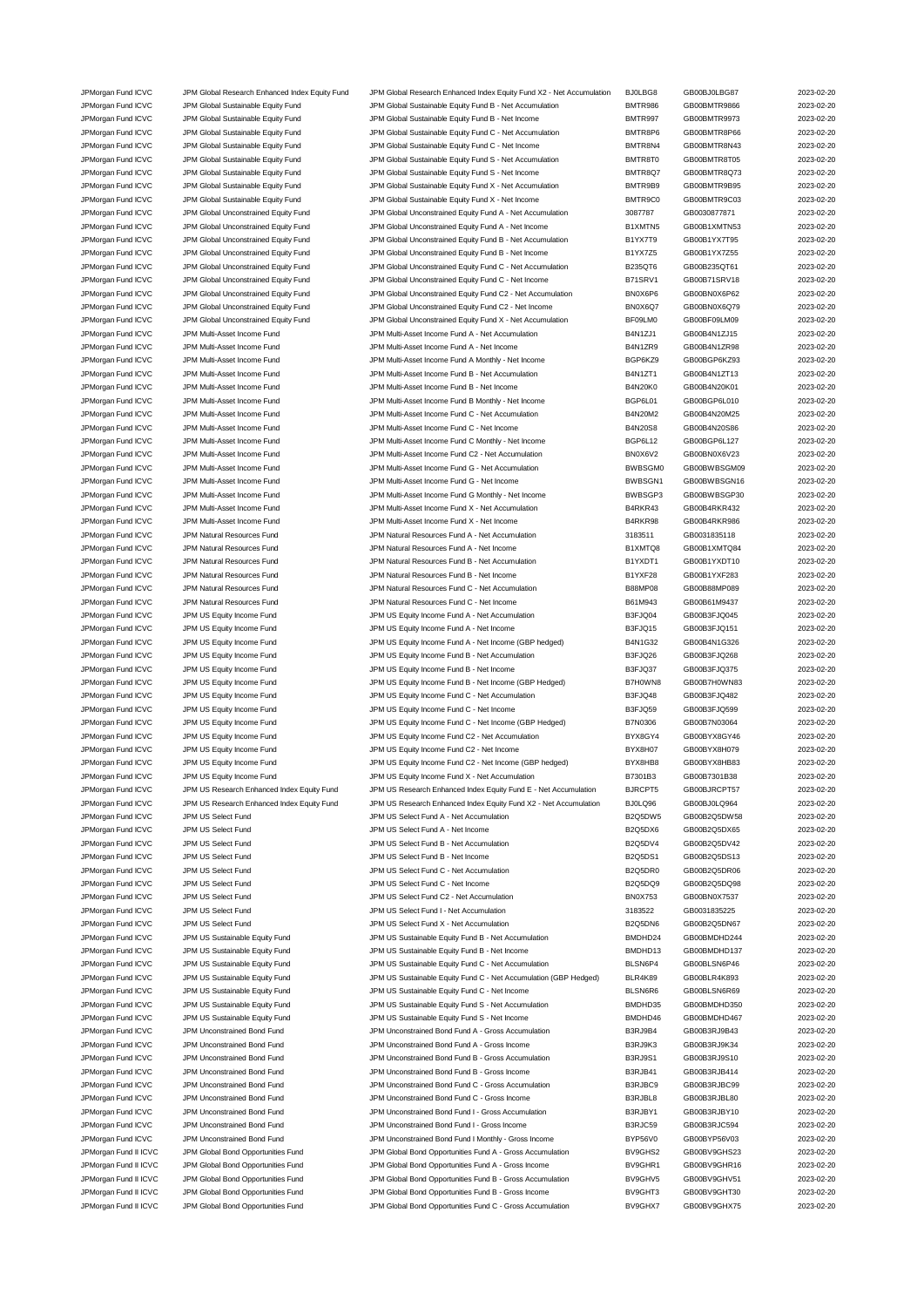JPMorgan Fund ICVC JPM Global Research Enhanced Index Equity Fund JPM Global Research Enhanced Index Equity Fund X2 - Net Accumulation BJ0LBG8 GB00BJ0LBG87 2023-02-20 JPMorgan Fund ICVC JPM Global Sustainable Equity Fund JPM Global Sustainable Equity Fund B - Net Accumulation BMTR986 GB00BMTR9866 2023-02-20 JPMorgan Fund ICVC JPM Global Sustainable Equity Fund JPM Global Sustainable Equity Fund B - Net Income BMTR997 GB00BMTR9973 2023-02-20 JPMorgan Fund ICVC JPM Global Sustainable Equity Fund JPM Global Sustainable Equity Fund C - Net Accumulation BMTR8P6 GB00BMTR8P66 2023-02-20 JPMorgan Fund ICVC JPM Global Sustainable Equity Fund JPM Global Sustainable Equity Fund C - Net Income BMTR8N4 GB00BMTR8N43 2023-02-20 JPMorgan Fund ICVC JPM Global Sustainable Equity Fund JPM Global Sustainable Equity Fund S - Net Accumulation BMTR8T0 GB00BMTR8T05 2023-02-20 JPMorgan Fund ICVC JPM Global Sustainable Equity Fund JPM Global Sustainable Equity Fund S - Net Income BMTR8Q7 GB00BMTR8Q73 2023-02-20 JPMorgan Fund ICVC JPM Global Sustainable Equity Fund JPM Global Sustainable Equity Fund X - Net Accumulation BMTR9B9 GB00BMTR9B95 2023-02-20 JPMorgan Fund ICVC JPM Global Sustainable Equity Fund JPM Global Sustainable Equity Fund X - Net Income BMTR9C0 GB00BMTR9C03 2023-02-20 JPMorgan Fund ICVC JPM Global Unconstrained Equity Fund JPM Global Unconstrained Equity Fund A - Net Accumulation 3087787 GB0030877871 2023-02-20 JPMorgan Fund ICVC JPM Global Unconstrained Equity Fund JPM Global Unconstrained Equity Fund A - Net Income B1XMTN5 GB00B1XMTN53 2023-02-20 JPMorgan Fund ICVC JPM Global Unconstrained Equity Fund JPM Global Unconstrained Equity Fund B - Net Accumulation B1YX7T9 GB00B1YX7T95 2023-02-20 JPMorgan Fund ICVC JPM Global Unconstrained Equity Fund JPM Global Unconstrained Equity Fund B - Net Income B1YX7Z5 GB00B1YX7Z55 2023-02-20 JPMorgan Fund ICVC JPM Global Unconstrained Equity Fund JPM Global Unconstrained Equity Fund C - Net Accumulation B235QT6 GB00B235QT61 2023-02-20 JPMorgan Fund ICVC JPM Global Unconstrained Equity Fund JPM Global Unconstrained Equity Fund C - Net Income B71SRV1 GB00B71SRV18 2023-02-20 JPMorgan Fund ICVC JPM Global Unconstrained Equity Fund JPM Global Unconstrained Equity Fund C2 - Net Accumulation BN0X6P6 GB00BN0X6P62 2023-02-20 JPMorgan Fund ICVC JPM Global Unconstrained Equity Fund JPM Global Unconstrained Equity Fund C2 - Net Income BN0X6Q7 GB00BN0X6Q79 2023-02-20 JPMorgan Fund ICVC JPM Global Unconstrained Equity Fund JPM Global Unconstrained Equity Fund X - Net Accumulation BF09LM0 GB00BF09LM09 2023-02-20 JPMorgan Fund ICVC JPM Multi-Asset Income Fund JPM Multi-Asset Income Fund A - Net Accumulation B4N1ZJ1 GB00B4N1ZJ15 2023-02-20 JPMorgan Fund ICVC JPM Multi-Asset Income Fund JPM Multi-Asset Income Fund A - Net Income Band A - Net Income<br>JPMorgan Fund ICVC JPM Multi-Asset Income Fund JPM Multi-Asset Income Fund A Monthly - Net Income BGP6K29 GB00BG JPMorgan Fund ICVC JPM Multi-Asset Income Fund JPM Multi-Asset Income Fund A Monthly - Net Income BGP6KZ9 GB00BGP6KZ93 2023-02-20 JPMorgan Fund ICVC JPM Multi-Asset Income Fund JPM Multi-Asset Income Fund B - Net Accumulation B4N1ZT1 GB00B4N1ZT13 2023-02-20 JPMorgan Fund ICVC JPM Multi-Asset Income Fund JPM Multi-Asset Income Fund B - Net Income B4N20K0 GB00B4N20K01 2023-02-20 JPMorgan Fund ICVC JPM Multi-Asset Income Fund Come Fund B Month JPM Multi-Asset Income Fund B Monthly - Net Income BGP6L01 GB00BGP6L010 2023-02-20 JPMorgan Fund ICVC JPM Multi-Asset Income Fund JPM Multi-Asset Income Fund C - Net Accumulation B4N20M2 GB00B4N20M25 2023-02-20 JPMorgan Fund ICVC JPM Multi-Asset Income Fund JPM Multi-Asset Income Fund C - Net Income B4N20S8 GB00B4N20S86 2023-02-20 JPMorgan Fund ICVC JPM Multi-Asset Income Fund JPM Multi-Asset Income Fund C Monthly - Net Income BGP6L12 GB00BGP6L127 2023-02-20 JPMorgan Fund ICVC JPM Multi-Asset Income Fund JPM Multi-Asset Income Fund C2 - Net Accumulation BN0X6V2 GB00BN0X6V23 2023-02-20 JPMorgan Fund ICVC JPM Multi-Asset Income Fund JPM Multi-Asset Income Fund G - Net Accumulation BWBSGM0 GB00BWBSGM09 2023-02-20 JPMorgan Fund ICVC JPM Multi-Asset Income Fund JPM Multi-Asset Income Fund G - Net Income BWBSGN1 GB00BWBSGN16 2023-02-20 JPMorgan Fund ICVC JPM Multi-Asset Income Fund JPM Multi-Asset Income Fund G Monthly - Net Income BWBSGP3 GB00BWBSGP30 2023-02-20 JPMorgan Fund ICVC JPM Multi-Asset Income Fund JPM Multi-Asset Income Fund X - Net Accumulation B4RKR43 GB00B4RKR432 2023-02-20 JPMorgan Fund ICVC JPM Multi-Asset Income Fund JPM Multi-Asset Income Fund X - Net Income B4RKR98 GB00B4RKR986 2023-02-20 JPMorgan Fund ICVC JPM Natural Resources Fund JPM Natural Resources Fund A - Net Accumulation 3183511 GB0031835118 2023-02-20 JPMorgan Fund ICVC JPM Natural Resources Fund JPM Natural Resources Fund A - Net Income B1XMTQ8 GB00B1XMTQ84 2023-02-20 JPMorgan Fund ICVC JPM Natural Resources Fund JPM Natural Resources Fund B - Net Accumulation B1YXDT1 GB00B1YXDT10 2023-02-20 JPMorgan Fund ICVC JPM Natural Resources Fund JPM Natural Resources Fund B - Net Income B1YXF28 GB00B1YXF283 2023-02-20 JPMorgan Fund ICVC JPM Natural Resources Fund JPM Natural Resources Fund C - Net Accumulation B88MP08 GB00B88MP089 2023-02-20 JPMorgan Fund ICVC JPM Natural Resources Fund JPM Natural Resources Fund C - Net Income B61M943 GB00B61M9437 2023-02-20 JPMorgan Fund ICVC JPM US Equity Income Fund JPM US Equity Income Fund A - Net Accumulation B3FJQ04 GB00B3FJQ045 2023-02-20 JPMorgan Fund ICVC JPM US Equity Income Fund JPM US Equity Income Fund A - Net Income Fund A - Net Income CO23-02-20 B3FJQ15 GB00B3FJQ151 2023-02-20 JPMorgan Fund ICVC JPM US Equity Income Fund JPM US Equity Income Fund A - Net Income (GBP hedged) B4N1G32 GB00B4N1G326 2023-02-20 JPMorgan Fund ICVC JPM US Equity Income Fund JPM US Equity Income Fund B - Net Accumulation B3FJQ26 GB00B3FJQ268 2023-02-20 JPMorgan Fund ICVC JPM US Equity Income Fund JPM US Equity Income Fund B - Net Income Base JO37 GB00B3FJQ375 2023-02-20 JPMorgan Fund ICVC JPM US Equity Income Fund JPM US Equity Income Fund B - Net Income (GBP Hedged) B7H0WN8 GB00B7H0WN83 2023-02-20 JPMorgan Fund ICVC JPM US Equity Income Fund JPM US Equity Income Fund C - Net Accumulation B3FJQ48 GB00B3FJQ482 2023-02-20 JPMorgan Fund ICVC JPM US Equity Income Fund JPM US Equity Income Fund C - Net Income B3FJQ59 GB00B3FJQ599 2023-02-20 JPMorgan Fund ICVC JPM US Equity Income Fund JPM US Equity Income Fund C - Net Income (GBP Hedged) B7N0306 GB00B7N03064 2023-02-20 JPMorgan Fund ICVC JPM US Equity Income Fund JPM US Equity Income Fund C2 - Net Accumulation BYX8GY4 GB00BYX8GY46 2023-02-20 JPMorgan Fund ICVC JPM US Equity Income Fund JPM US Equity Income Fund C2 - Net Income BYX8H07 GB00BYX8H079 2023-02-20 JPMorgan Fund ICVC JPM US Equity Income Fund JPM US Equity Income Fund C2 - Net Income (GBP hedged) BYX8HB8 GB00BYX8HB83 2023-02-20 JPMorgan Fund ICVC JPM US Equity Income Fund JPM US Equity Income Fund X - Net Accumulation B7301B3 GB00B7301B38 2023-02-20 JPMorgan Fund ICVC JPM US Research Enhanced Index Equity Fund JPM US Research Enhanced Index Equity Fund E - Net Accumulation BJRCPT5 GB00BJRCPT57 2023-02-20 JPMorgan Fund ICVC JPM US Research Enhanced Index Equity Fund JPM US Research Enhanced Index Equity Fund X2 - Net Accumulation BJ0LQ96 GB00BJ0LQ964 2023-02-20 JPMorgan Fund ICVC JPM US Select Fund JPM US Select Fund A - Net Accumulation B2Q5DW5 GB00B2Q5DW58 2023-02-20 JPMorgan Fund ICVC JPM US Select Fund CO23-02-20<br>
JPM US Select Fund A - Net Income Company B2Q5DX6 GB00B2Q5DX65 2023-02-20 JPMorgan Fund ICVC JPM US Select Fund JPM US Select Fund B - Net Accumulation B2Q5DV4 GB00B2Q5DV42 2023-02-20 JPMorgan Fund ICVC JPM US Select Fund JPM US Select Fund B - Net Income B2Q5DS1 GB00B2Q5DS13 2023-02-20 JPMorgan Fund ICVC JPM US Select Fund JPM US Select Fund C - Net Accumulation B2Q5DR0 GB00B2Q5DR06 2023-02-20 JPMorgan Fund ICVC JPM US Select Fund JPM US Select Fund C - Net Income B2Q5DQ9 GB00B2Q5DQ98 2023-02-20 JPMorgan Fund ICVC JPM US Select Fund JPM US Select Fund C2 - Net Accumulation BN0X753 GB00BN0X7537 2023-02-20 JPMorgan Fund ICVC JPM US Select Fund JPM US Select Fund I - Net Accumulation 3183522 GB0031835225 2023-02-20 JPMorgan Fund ICVC JPM US Select Fund JPM US Select Fund X - Net Accumulation B2Q5DN6 GB00B2Q5DN67 2023-02-20 JPMorgan Fund ICVC JPM US Sustainable Equity Fund JPM US Sustainable Equity Fund B - Net Accumulation BMDHD24 GB00BMDHD244 2023-02-20<br>JPMorgan Fund ICVC JPM US Sustainable Equity Fund JPM US Sustainable Equity Fund B - Net JPMorgan Fund ICVC JPM US Sustainable Equity Fund JPM US Sustainable Equity Fund B - Net Income BMDHD13 GB00BMDHD137 2023-02-20 JPMorgan Fund ICVC JPM US Sustainable Equity Fund JPM US Sustainable Equity Fund C - Net Accumulation BLSN6P4 GB00BLSN6P46 2023-02-20 JPMorgan Fund ICVC JPM US Sustainable Equity Fund JPM US Sustainable Equity Fund C - Net Accumulation (GBP Hedged) BLR4K89 GB00BLR4K893 2023-02-20 JPMorgan Fund ICVC JPM US Sustainable Equity Fund JPM US Sustainable Equity Fund C - Net Income BLSN6R6 GB00BLSN6R69 2023-02-20 JPMorgan Fund ICVC JPM US Sustainable Equity Fund JPM US Sustainable Equity Fund S - Net Accumulation BMDHD35 GB00BMDHD350 2023-02-20 JPMorgan Fund ICVC JPM US Sustainable Equity Fund JPM US Sustainable Equity Fund S - Net Income BMDHD46 GB00BMDHD467 2023-02-20 JPMorgan Fund ICVC JPM Unconstrained Bond Fund JPM Unconstrained Bond Fund A - Gross Accumulation B3RJ9B4 GB00B3RJ9B43 2023-02-20 JPMorgan Fund ICVC JPM Unconstrained Bond Fund JPM Unconstrained Bond Fund A - Gross Income B3RJ9K3 GB00B3RJ9K34 2023-02-20 JPMorgan Fund ICVC JPM Unconstrained Bond Fund JPM Unconstrained Bond Fund B - Gross Accumulation B3RJ9S1 GB00B3RJ9S10 2023-02-20 JPMorgan Fund ICVC JPM Unconstrained Bond Fund JPM Unconstrained Bond Fund B - Gross Income B3RJB41 GB00B3RJB414 2023-02-20 JPMorgan Fund ICVC JPM Unconstrained Bond Fund JPM Unconstrained Bond Fund C - Gross Accumulation B3RJBC9 GB00B3RJBC99 2023-02-20 JPMorgan Fund ICVC JPM Unconstrained Bond Fund JPM Unconstrained Bond Fund C - Gross Income B3RJBL8 GB00B3RJBL80 2023-02-20 JPMorgan Fund ICVC JPM Unconstrained Bond Fund JPM Unconstrained Bond Fund I - Gross Accumulation B3RJBY1 GB00B3RJBY10 2023-02-20 JPMorgan Fund ICVC JPM Unconstrained Bond Fund JPM Unconstrained Bond Fund I - Gross Income B3RJC59 GB00B3RJC594 2023-02-20 JPMorgan Fund ICVC JPM Unconstrained Bond Fund JPM Unconstrained Bond Fund I Monthly - Gross Income BYP56V0 GB00BYP56V03 2023-02-20 JPMorgan Fund II ICVC JPM Global Bond Opportunities Fund 30 JPM Global Bond Opportunities Fund A - Gross Accumulation BV9GHS2 GB00BV9GHS23 2023-02-20 JPMorgan Fund II ICVC JPM Global Bond Opportunities Fund JPM Global Bond Opportunities Fund A - Gross Income BV9GHR1 GB00BV9GHR16 2023-02-20 JPMorgan Fund II ICVC JPM Global Bond Opportunities Fund JPM Global Bond Opportunities Fund B - Gross Accumulation BV9GHV5 GB00BV9GHV51 2023-02-20 JPMorgan Fund II ICVC JPM Global Bond Opportunities Fund JPM Global Bond Opportunities Fund B - Gross Income BV9GHT3 GB00BV9GHT30 2023-02-20 JPMorgan Fund II ICVC JPM Global Bond Opportunities Fund JPM Global Bond Opportunities Fund C - Gross Accumulation BV9GHX7 GB00BV9GHX75 2023-02-20

| LBG8                  | GB00BJ0LBG87                 | 2023-02-2              |
|-----------------------|------------------------------|------------------------|
| <b>TR986</b>          | GB00BMTR9866                 | 2023-02-2              |
| <b>TR997</b>          | GB00BMTR9973                 | 2023-02-2              |
| TR8P6<br>TR8N4        | GB00BMTR8P66<br>GB00BMTR8N43 | 2023-02-2              |
| TR8T0                 | GB00BMTR8T05                 | 2023-02-2<br>2023-02-2 |
| <b>TR8Q7</b>          | GB00BMTR8Q73                 | 2023-02-2              |
| TR9B9                 | GB00BMTR9B95                 | 2023-02-2              |
| TR9C0                 | GB00BMTR9C03                 | 2023-02-2              |
| 37787                 | GB0030877871                 | 2023-02-2              |
| KMTN5                 | GB00B1XMTN53                 | 2023-02-2              |
| YX7T9                 | GB00B1YX7T95                 | 2023-02-2              |
| YX7Z5                 | GB00B1YX7Z55                 | 2023-02-2              |
| 35QT6                 | GB00B235QT61                 | 2023-02-2              |
| <b>ISRV1</b>          | GB00B71SRV18                 | 2023-02-2              |
| 0X6P6<br>0X6Q7        | GB00BN0X6P62                 | 2023-02-2              |
| 09LM0                 | GB00BN0X6Q79<br>GB00BF09LM09 | 2023-02-2<br>2023-02-2 |
| N1ZJ1                 | GB00B4N1ZJ15                 | 2023-02-2              |
| N1ZR9                 | GB00B4N1ZR98                 | 2023-02-2              |
| P6KZ9                 | GB00BGP6KZ93                 | 2023-02-2              |
| N1ZT1                 | GB00B4N1ZT13                 | 2023-02-2              |
| <b>N20K0</b>          | GB00B4N20K01                 | 2023-02-2              |
| P6L01                 | GB00BGP6L010                 | 2023-02-2              |
| <b>N20M2</b>          | GB00B4N20M25                 | 2023-02-2              |
| <b>N20S8</b>          | GB00B4N20S86                 | 2023-02-2              |
| P6L12                 | GB00BGP6L127                 | 2023-02-2              |
| 0X6V2                 | GB00BN0X6V23                 | 2023-02-2              |
| BSGM0<br>/BSGN1       | GB00BWBSGM09<br>GB00BWBSGN16 | 2023-02-2<br>2023-02-2 |
| /BSGP3                | GB00BWBSGP30                 | 2023-02-2              |
| RKR43                 | GB00B4RKR432                 | 2023-02-2              |
| <b>RKR98</b>          | GB00B4RKR986                 | 2023-02-2              |
| 33511                 | GB0031835118                 | 2023-02-2              |
| 8QTMX                 | GB00B1XMTQ84                 | 2023-02-2              |
| YXDT1                 | GB00B1YXDT10                 | 2023-02-2              |
| YXF28                 | GB00B1YXF283                 | 2023-02-2              |
| 3MP08                 | GB00B88MP089                 | 2023-02-2              |
| 1 M943                | GB00B61M9437                 | 2023-02-2              |
| FJQ04                 | GB00B3FJQ045<br>GB00B3FJQ151 | 2023-02-2              |
| FJQ15<br><b>V1G32</b> | GB00B4N1G326                 | 2023-02-2<br>2023-02-2 |
| 5JQ26                 | GB00B3FJQ268                 | 2023-02-2              |
| FJQ37                 | GB00B3FJQ375                 | 2023-02-2              |
| 8NW0H                 | GB00B7H0WN83                 | 2023-02-2              |
| FJQ48                 | GB00B3FJQ482                 | 2023-02-2              |
| FJQ59                 | GB00B3FJQ599                 | 2023-02-2              |
| <b>N0306</b>          | GB00B7N03064                 | 2023-02-2              |
| X8GY4                 | GB00BYX8GY46                 | 2023-02-2              |
| X8H07                 | GB00BYX8H079                 | 2023-02-2              |
| X8HB8                 | GB00BYX8HB83                 | 2023-02-2              |
| 301B3<br><b>RCPT5</b> | GB00B7301B38<br>GB00BJRCPT57 | 2023-02-2<br>2023-02-2 |
| JLQ96                 | GB00BJ0LQ964                 | 2023-02-2              |
| 25DW5                 | GB00B2Q5DW58                 | 2023-02-2              |
| Q5DX6                 | GB00B2Q5DX65                 | 2023-02-2              |
| 25DV4                 | GB00B2Q5DV42                 | 2023-02-2              |
| 25DS1                 | GB00B2Q5DS13                 | 2023-02-2              |
| Q5DR0                 | GB00B2Q5DR06                 | 2023-02-2              |
| Q5DQ9                 | GB00B2Q5DQ98                 | 2023-02-2              |
| 0X753                 | GB00BN0X7537                 | 2023-02-2              |
| 33522                 | GB0031835225                 | 2023-02-2              |
| Q5DN6                 | GB00B2Q5DN67                 | 2023-02-2<br>2023-02-2 |
| DHD24<br>DHD13        | GB00BMDHD244<br>GB00BMDHD137 | 2023-02-2              |
| SN6P4                 | GB00BLSN6P46                 | 2023-02-2              |
| R4K89                 | GB00BLR4K893                 | 2023-02-2              |
| SN6R6                 | GB00BLSN6R69                 | 2023-02-2              |
| DHD35                 | GB00BMDHD350                 | 2023-02-2              |
| DHD46                 | GB00BMDHD467                 | 2023-02-2              |
| RJ9B4                 | GB00B3RJ9B43                 | 2023-02-2              |
| RJ9K3                 | GB00B3RJ9K34                 | 2023-02-2              |
| RJ9S1                 | GB00B3RJ9S10                 | 2023-02-2              |
| RJB41                 | GB00B3RJB414                 | 2023-02-2              |
| RJBC9                 | GB00B3RJBC99<br>GB00B3RJBL80 | 2023-02-2<br>2023-02-2 |
| RJBL8<br>RJBY1        | GB00B3RJBY10                 | 2023-02-2              |
| RJC59                 | GB00B3RJC594                 | 2023-02-2              |
| P56V0                 | GB00BYP56V03                 | 2023-02-2              |
| 9GHS2                 | GB00BV9GHS23                 | 2023-02-2              |
| 9GHR1                 | GB00BV9GHR16                 | 2023-02-2              |
| 9GHV5                 | GB00BV9GHV51                 | 2023-02-2              |
| 9GHT3                 | GB00BV9GHT30                 | 2023-02-2              |
| 9GHX7                 | GB00BV9GHX75                 | 2023-02-2              |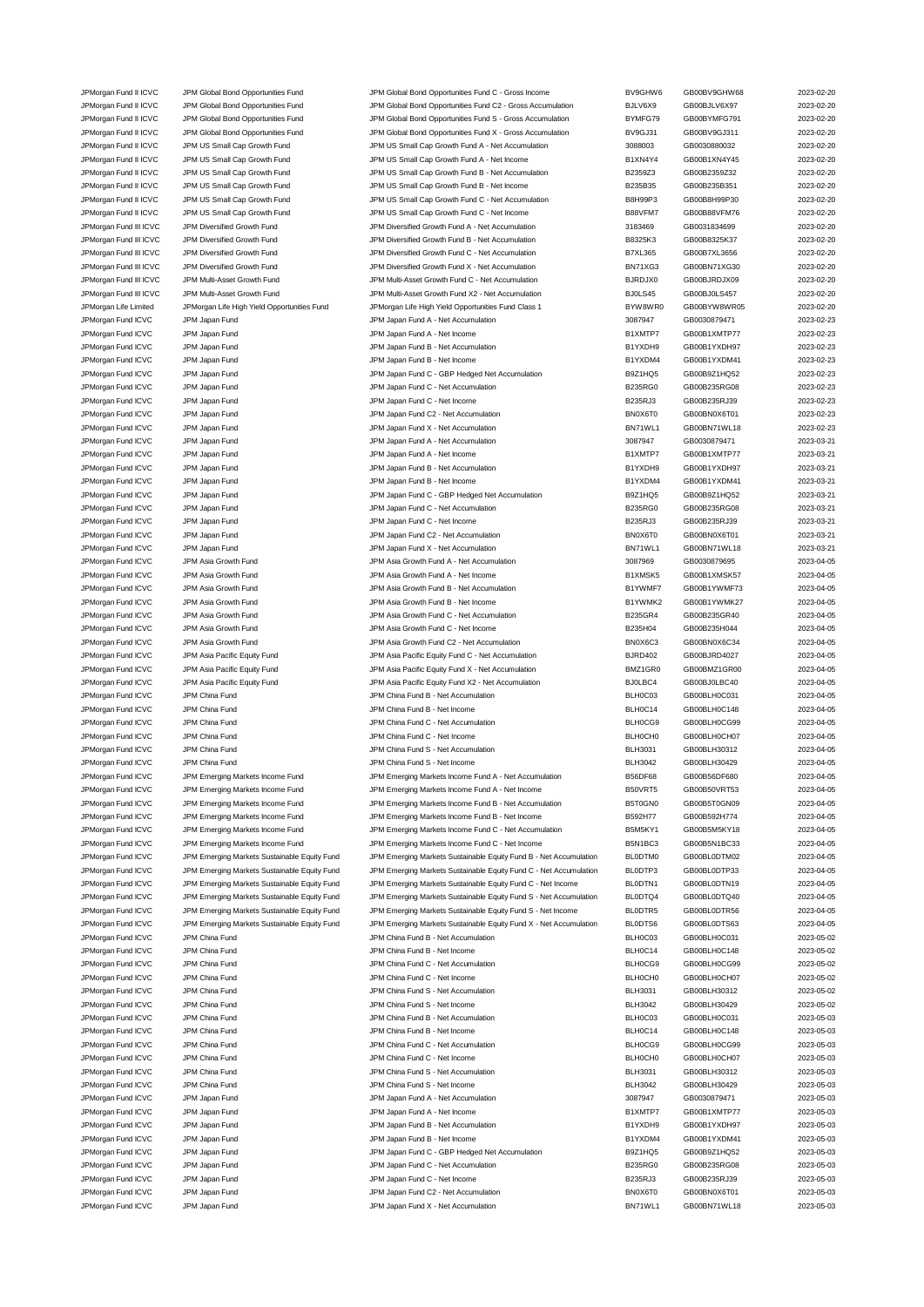JPMorgan Fund II ICVC JPM Global Bond Opportunities Fund JPM Global Bond Opportunities Fund C2 - Gross Accumulation BJLV6X9 GB00BJLV6X97 2023-02-20 JPMorgan Fund II ICVC JPM Global Bond Opportunities Fund JPM Global Bond Opportunities Fund S - Gross Accumulation BYMFG79 GB00BYMFG791 2023-02-20 JPMorgan Fund II ICVC JPM Global Bond Opportunities Fund JPM Global Bond Opportunities Fund X - Gross Accumulation BV9GJ31 GB00BV9GJ311 2023-02-20 JPMorgan Fund II ICVC JPM US Small Cap Growth Fund JPM US Small Cap Growth Fund A - Net Accumulation 3088003 GB0030880032 2023-02-20 JPMorgan Fund II ICVC JPM US Small Cap Growth Fund JPM US Small Cap Growth Fund A - Net Income B1XN4Y4 GB00B1XN4Y45 2023-02-20 JPMorgan Fund II ICVC JPM US Small Cap Growth Fund JPM US Small Cap Growth Fund B - Net Accumulation B2359Z3 GB00B2359Z32 2023-02-20 JPMorgan Fund II ICVC JPM US Small Cap Growth Fund JPM US Small Cap Growth Fund B - Net Income B235B35 GB00B235B351 2023-02-20 JPMorgan Fund II ICVC JPM US Small Cap Growth Fund JPM US Small Cap Growth Fund C - Net Accumulation B8H99P3 GB00B8H99P30 2023-02-20<br>JPMorgan Fund II ICVC JPM US Small Cap Growth Fund JPM US Small Cap Growth Fund C - Net I JPMorgan Fund II ICVC JPM US Small Cap Growth Fund JPM US Small Cap Growth Fund C - Net Income B88VFM7 GB00B88VFM76 2023-02-20 JPMorgan Fund III ICVC JPM Diversified Growth Fund JPM Diversified Growth Fund A - Net Accumulation 3183469 GB0031834699 2023-02-20 JPMorgan Fund III ICVC JPM Diversified Growth Fund JPM Diversified Growth Fund B - Net Accumulation B8325K3 GB00B8325K37 2023-02-20 JPMorgan Fund III ICVC JPM Diversified Growth Fund JPM Diversified Growth Fund C - Net Accumulation B7XL365 GB00B7XL3656 2023-02-20<br>JPMorgan Fund III ICVC JPM Diversified Growth Fund JPM Diversified Growth Fund X - Net Acc JPMorgan Fund III ICVC JPM Diversified Growth Fund JPM Diversified Growth Fund X - Net Accumulation BN71XG3 GB00BN71XG30 2023-02-20 JPMorgan Fund III ICVC JPM Multi-Asset Growth Fund JPM Multi-Asset Growth Fund C - Net Accumulation BJRDJX0 GB00BJRDJX09 2023-02-20 JPMorgan Fund III ICVC JPM Multi-Asset Growth Fund JPM Multi-Asset Growth Fund X2 - Net Accumulation BJ0LS45 GB00BJ0LS457 2023-02-20 JPMorgan Life Limited JPMorgan Life High Yield Opportunities Fund JPMorgan Life High Yield Opportunities Fund Class 1 BYW8WR0 GB00BYW8WR05 2023-02-20 JPMorgan Fund ICVC JPM Japan Fund JPM Japan Fund A - Net Accumulation 3087947 GB0030879471 2023-02-23 JPMorgan Fund ICVC JPM Japan Fund JPM Japan Fund A - Net Income B1XMTP7 GB00B1XMTP77 2023-02-23 JPMorgan Fund ICVC JPM Japan Fund JPM Japan Fund B - Net Accumulation B1YXDH9 GB00B1YXDH97 2023-02-23 JPMorgan Fund ICVC JPM Japan Fund States and B1-Met Income and B1-Net Income B1YXDM4 GB00B1YXDM41 2023-02-23-02-23 JPMorgan Fund ICVC JPM Japan Fund JPM Japan Fund C - GBP Hedged Net Accumulation B9Z1HQ5 GB00B9Z1HQ52 2023-02-23 JPMorgan Fund ICVC JPM Japan Fund JPM Japan Fund C - Net Accumulation B235RG0 GB00B235RG08 2023-02-23 JPMorgan Fund ICVC JPM Japan Fund JPM Japan Fund C - Net Income B235RJ3 GB00B235RJ39 2023-02-23 JPMorgan Fund ICVC JPM Japan Fund 

JPM Japan Tund C2 - Net Accumulation 

JPM Japan Fund C2 - Net Accumulation

JPMorgan Fund ICVC JPM Japan Fund 2023-02-23 JPMorgan Fund ICVC JPM Japan Fund JPM Japan Fund X - Net Accumulation BN71WL1 GB00BN71WL18 2023-02-23 JPMorgan Fund ICVC JPM Japan Fund JPM Japan Fund A - Net Accumulation 3087947 GB0030879471 2023-03-21 JPMorgan Fund ICVC JPM Japan Fund JPM Japan Fund A - Net Income B1XMTP7 GB00B1XMTP77 2023-03-21 JPMorgan Fund ICVC JPM Japan Fund JPM Japan Fund B - Net Accumulation B1YXDH9 GB00B1YXDH97 2023-03-21 JPMorgan Fund ICVC JPM Japan Fund JPM Japan Fund B - Net Income B1YXDM4 GB00B1YXDM41 2023-03-21 JPMorgan Fund ICVC JPM Japan Fund JPM Japan Fund C - GBP Hedged Net Accumulation B9Z1HQ5 GB00B9Z1HQ52 2023-03-21 JPMorgan Fund ICVC JPM Japan Fund States and Secure JPM Japan Fund C - Net Accumulation C - Net Accumulation B235RG0 GB00B235RG08 2023-03-21 JPMorgan Fund ICVC JPM Japan Fund JPM Japan Fund C - Net Income B235RJ3 GB00B235RJ39 2023-03-21 JPMorgan Fund ICVC JPM Japan Fund JPM Japan Fund C2 - Net Accumulation BN0X6T0 GB00BN0X6T01 2023-03-21 JPMorgan Fund ICVC JPM Japan Fund JPM Japan Fund X - Net Accumulation BN71WL1 GB00BN71WL18 2023-03-21 JPMorgan Fund ICVC JPM Asia Growth Fund JPM Asia Growth Fund A - Net Accumulation 3087969 GB0030879695 2023-04-05 JPMorgan Fund ICVC JPM Asia Growth Fund JPM Asia Growth Fund A - Net Income B1XMSK5 GB00B1XMSK57 2023-04-05 JPMorgan Fund ICVC JPM Asia Growth Fund JPM Asia Growth Fund B - Net Accumulation B1YWMF7 GB00B1YWMF73 2023-04-05 JPMorgan Fund ICVC JPM Asia Growth Fund JPM Asia Growth Fund B - Net Income B1YWMK2 GB00B1YWMK27 2023-04-05 JPMorgan Fund ICVC JPM Asia Growth Fund JPM Asia Growth Fund C - Net Accumulation B235GR4 GB00B235GR40 2023-04-05 JPMorgan Fund ICVC JPM Asia Growth Fund JPM Asia Growth Fund C - Net Income B235H04 B235H04 GB00B235H044 2023-04-05 JPMorgan Fund ICVC JPM Asia Growth Fund JPM Asia Growth Fund C2 - Net Accumulation BN0X6C3 GB00BN0X6C34 2023-04-05 JPMorgan Fund ICVC JPM Asia Pacific Equity Fund JPM Asia Pacific Equity Fund C - Net Accumulation BJRD402 GB00BJRD4027 2023-04-05 JPMorgan Fund ICVC JPM Asia Pacific Equity Fund JPM Asia Pacific Equity Fund X - Net Accumulation BMZ1GR0 GB00BMZ1GR00 2023-04-05 JPMorgan Fund ICVC JPM Asia Pacific Equity Fund JPM Asia Pacific Equity Fund X2 - Net Accumulation BJ0LBC4 GB00BJ0LBC40 2023-04-05 JPMorgan Fund ICVC JPM China Fund JPM China Fund B - Net Accumulation BLH0C03 GB00BLH0C031 2023-04-05 JPM Crina Fund ICVC JPM China Fund CHO JPM China Fund B - Net Income BLHOC14 GB00BLH0C148 2023-04-05 JPMorgan Fund ICVC JPM China Fund C - JPM China Fund C - Net Accumulation CHONGG9 GB00BLH0CG99 2023-04-05 JPMorgan Fund ICVC JPM China Fund Company of the United States of the United States of the United States of the United States of the United States of the United States of the United States of the United States of the Unite JPMorgan Fund ICVC JPM China Fund JPM China Fund S - Net Accumulation BLH3031 GB00BLH30312 2023-04-05 JPMorgan Fund ICVC JPM China Fund China Fund S - Net Income China Fund S - Net Income BLH3042 GB00BLH30429 2023-04-05 JPMorgan Fund ICVC JPM Emerging Markets Income Fund JPM Emerging Markets Income Fund A - Net Accumulation B56DF68 GB00B56DF680 2023-04-05 JPMorgan Fund ICVC JPM Emerging Markets Income Fund JPM Emerging Markets Income Fund A - Net Income B50VRT5 GB00B50VRT53 2023-04-05 JPMorgan Fund ICVC JPM Emerging Markets Income Fund JPM Emerging Markets Income Fund B - Net Accumulation B5T0GN0 GB00B5T0GN09 2023-04-05 JPMorgan Fund ICVC JPM Emerging Markets Income Fund JPM Emerging Markets Income Fund B - Net Income B592H77 GB00B592H774 2023-04-05 JPMorgan Fund ICVC JPM Emerging Markets Income Fund JPM Emerging Markets Income Fund C - Net Accumulation B5M5KY1 GB00B5M5KY18 2023-04-05 JPMorgan Fund ICVC JPM Emerging Markets Income Fund JPM Emerging Markets Income Fund C - Net Income B5N1BC3 GB00B5N1BC33 2023-04-05 JPMorgan Fund ICVC JPM Emerging Markets Sustainable Equity Fund JPM Emerging Markets Sustainable Equity Fund B - Net Accumulation BL0DTM0 GB00BL0DTM02 2023-04-05 JPMorgan Fund ICVC JPM Emerging Markets Sustainable Equity Fund JPM Emerging Markets Sustainable Equity Fund C - Net Accumulation BL0DTP3 GB00BL0DTP33 2023-04-05 JPMorgan Fund ICVC JPM Emerging Markets Sustainable Equity Fund JPM Emerging Markets Sustainable Equity Fund C - Net Income BL0DTN1 GB00BL0DTN19 2023-04-05 JPMorgan Fund ICVC JPM Emerging Markets Sustainable Equity Fund JPM Emerging Markets Sustainable Equity Fund S - Net Accumulation BL0DTQ4 GB00BL0DTQ40 2023-04-05 JPMorgan Fund ICVC JPM Emerging Markets Sustainable Equity Fund JPM Emerging Markets Sustainable Equity Fund S - Net Income BL0DTR5 GB00BL0DTR56 2023-04-05 JPMorgan Fund ICVC JPM Emerging Markets Sustainable Equity Fund JPM Emerging Markets Sustainable Equity Fund X - Net Accumulation BL0DTS6 GB00BL0DTS63 2023-04-05 JPMorgan Fund ICVC JPM China Fund China Fund JPM China Fund B - Net Accumulation BLH0C03 GB00BLH0C031 2023-05-02 JPMorgan Fund ICVC JPM China Fund JPM China Fund B - Net Income BLH0C14 GB00BLH0C148 2023-05-02 JPMorgan Fund ICVC JPM China Fund JPM China Fund C - Net Accumulation BLH0CG9 GB00BLH0CG99 2023-05-02 JPMorgan Fund ICVC JPM China Fund C - Net Income C - Net Income C - Net Income BLH0CH0 GB00BLH0CH07 2023-05-02 JPMorgan Fund ICVC JPM China Fund S - Net Accumulation JPM China Fund S - Net Accumulation BLH3031 GB00BLH30312 2023-05-02 JPMorgan Fund ICVC JPM China Fund S - Net Income CHINA China Fund S - Net Income BLH3042 GB00BLH30429 2023-05-02 JPMorgan Fund ICVC JPM China Fund 3023-05-03<br>JPM China Fund Hotel Description B - Net Accumulation BLH0C03 GB00BLH0C031 2023-05-03 JPMorgan Fund ICVC JPM China Fund **JPM China Fund B** - Net Income **BLHOC14** GB00BLH0C148 2023-05-03 JPMorgan Fund ICVC JPM China Fund CHINA China Fund C - Net Accumulation CHINA CONSIDERED BLH0CG9 GB00BLH0CG99 2023-05-03 JPMorgan Fund ICVC JPM China Fund Company of the United States of the United States of the United States of the United States of the United States of the United States of the United States of the United States of the Unite JPMorgan Fund ICVC JPM China Fund Server China Fund S - Net Accumulation CHE SERVER BLH3031 GB00BLH30312 2023-05-03 JPMorgan Fund ICVC JPM China Fund China Fund S - Net Income BLH3042 GB00BLH30429 2023-05-03 JPMorgan Fund ICVC JPM Japan Fund JPM Japan Fund A - Net Accumulation 3087947 GB0030879471 2023-05-03 JPMorgan Fund ICVC JPM Japan Fund JPM Japan Fund A - Net Income B1XMTP7 GB00B1XMTP77 2023-05-03 JPMorgan Fund ICVC JPM Japan Fund JPM Japan Fund B - Net Accumulation B1YXDH9 GB00B1YXDH97 2023-05-03 JPMorgan Fund ICVC JPM Japan Fund JPM Japan Fund B - Net Income B1YXDM4 GB00B1YXDM41 2023-05-03 JPMorgan Fund ICVC JPM Japan Fund JPM Japan Fund C - GBP Hedged Net Accumulation B9Z1HQ5 GB00B9Z1HQ52 2023-05-03 JPMorgan Fund ICVC JPM Japan Fund JPM Japan Fund C - Net Accumulation B235RG0 GB00B235RG08 2023-05-03 JPMorgan Fund ICVC JPM Japan Fund States and States JPM Japan Fund C - Net Income C - Net Income B235RJ3 GB00B235RJ39 2023-05-03 JPMorgan Fund ICVC JPM Japan Fund 1000 JPM Japan Fund C2 - Net Accumulation 1999 BN0X6T0 GB00BN0X6T01 2023-05-03 JPMorgan Fund ICVC JPM Japan Fund 1000 JPM Japan Fund X - Net Accumulation CHO BN71WL1 GB00BN71WL18 2023-05-03

JPMorgan Fund II ICVC JPM Global Bond Opportunities Fund JPM Global Bond Opportunities Fund C - Gross Income BV9GHW6 BV9GHW6 GB00BV9GHW68 2023-02-20